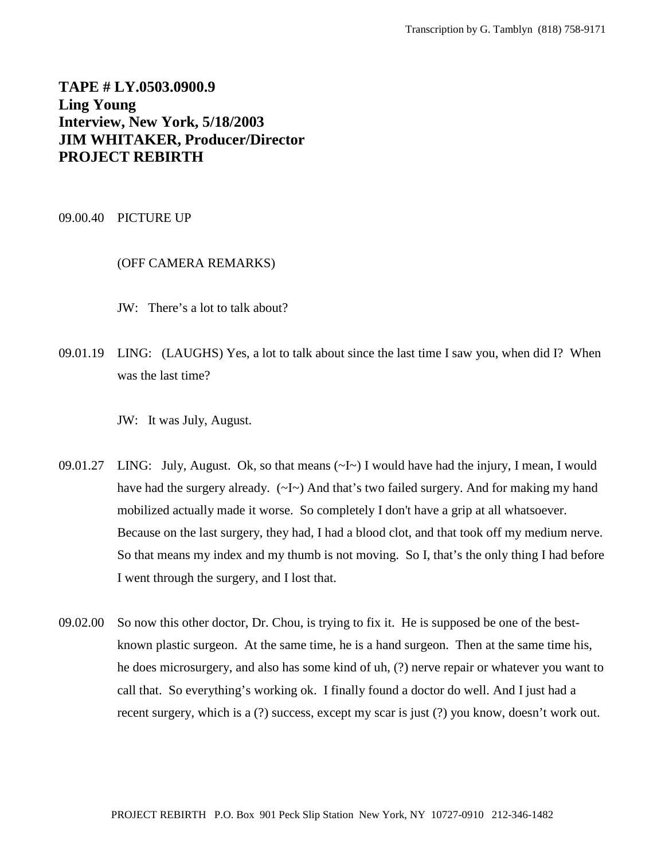## **TAPE # LY.0503.0900.9 Ling Young Interview, New York, 5/18/2003 JIM WHITAKER, Producer/Director PROJECT REBIRTH**

09.00.40 PICTURE UP

## (OFF CAMERA REMARKS)

JW: There's a lot to talk about?

09.01.19 LING: (LAUGHS) Yes, a lot to talk about since the last time I saw you, when did I? When was the last time?

JW: It was July, August.

- 09.01.27 LING: July, August. Ok, so that means (~I~) I would have had the injury, I mean, I would have had the surgery already. (~I~) And that's two failed surgery. And for making my hand mobilized actually made it worse. So completely I don't have a grip at all whatsoever. Because on the last surgery, they had, I had a blood clot, and that took off my medium nerve. So that means my index and my thumb is not moving. So I, that's the only thing I had before I went through the surgery, and I lost that.
- 09.02.00 So now this other doctor, Dr. Chou, is trying to fix it. He is supposed be one of the bestknown plastic surgeon. At the same time, he is a hand surgeon. Then at the same time his, he does microsurgery, and also has some kind of uh, (?) nerve repair or whatever you want to call that. So everything's working ok. I finally found a doctor do well. And I just had a recent surgery, which is a (?) success, except my scar is just (?) you know, doesn't work out.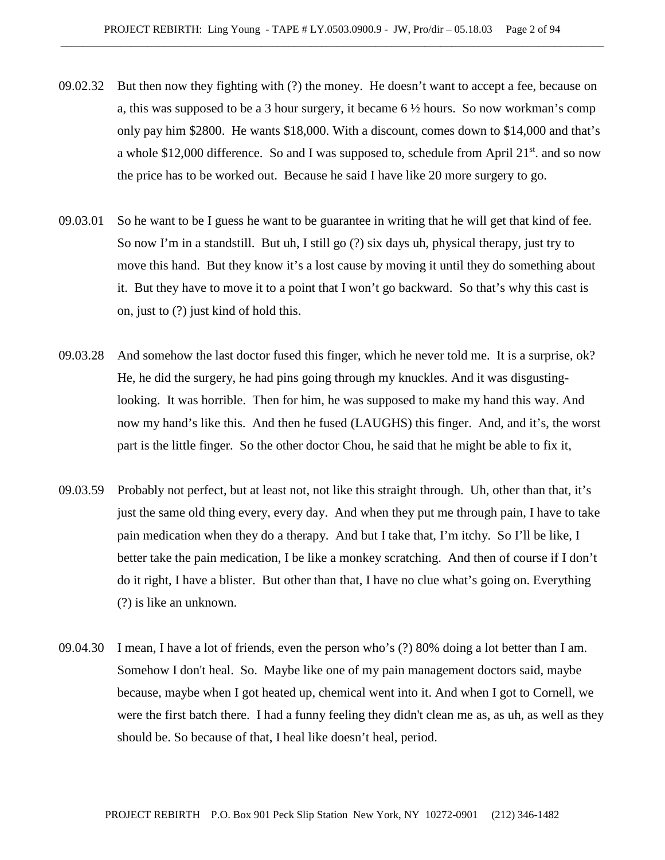- 09.02.32 But then now they fighting with (?) the money. He doesn't want to accept a fee, because on a, this was supposed to be a 3 hour surgery, it became 6  $\frac{1}{2}$  hours. So now workman's comp only pay him \$2800. He wants \$18,000. With a discount, comes down to \$14,000 and that's a whole \$12,000 difference. So and I was supposed to, schedule from April  $21<sup>st</sup>$  and so now the price has to be worked out. Because he said I have like 20 more surgery to go.
- 09.03.01 So he want to be I guess he want to be guarantee in writing that he will get that kind of fee. So now I'm in a standstill. But uh, I still go (?) six days uh, physical therapy, just try to move this hand. But they know it's a lost cause by moving it until they do something about it. But they have to move it to a point that I won't go backward. So that's why this cast is on, just to (?) just kind of hold this.
- 09.03.28 And somehow the last doctor fused this finger, which he never told me. It is a surprise, ok? He, he did the surgery, he had pins going through my knuckles. And it was disgustinglooking. It was horrible. Then for him, he was supposed to make my hand this way. And now my hand's like this. And then he fused (LAUGHS) this finger. And, and it's, the worst part is the little finger. So the other doctor Chou, he said that he might be able to fix it,
- 09.03.59 Probably not perfect, but at least not, not like this straight through. Uh, other than that, it's just the same old thing every, every day. And when they put me through pain, I have to take pain medication when they do a therapy. And but I take that, I'm itchy. So I'll be like, I better take the pain medication, I be like a monkey scratching. And then of course if I don't do it right, I have a blister. But other than that, I have no clue what's going on. Everything (?) is like an unknown.
- 09.04.30 I mean, I have a lot of friends, even the person who's (?) 80% doing a lot better than I am. Somehow I don't heal. So. Maybe like one of my pain management doctors said, maybe because, maybe when I got heated up, chemical went into it. And when I got to Cornell, we were the first batch there. I had a funny feeling they didn't clean me as, as uh, as well as they should be. So because of that, I heal like doesn't heal, period.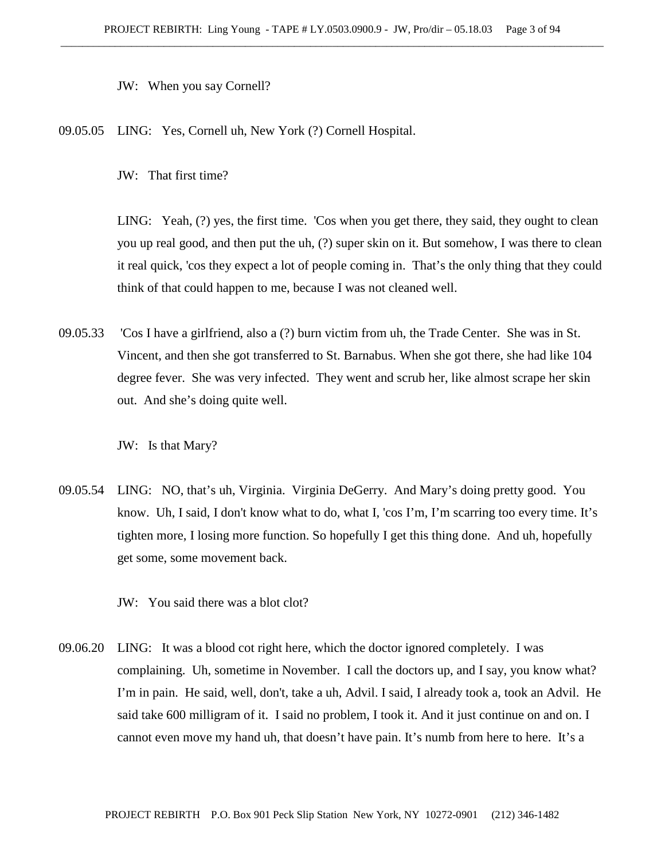JW: When you say Cornell?

09.05.05 LING: Yes, Cornell uh, New York (?) Cornell Hospital.

JW: That first time?

LING: Yeah, (?) yes, the first time. 'Cos when you get there, they said, they ought to clean you up real good, and then put the uh, (?) super skin on it. But somehow, I was there to clean it real quick, 'cos they expect a lot of people coming in. That's the only thing that they could think of that could happen to me, because I was not cleaned well.

09.05.33 'Cos I have a girlfriend, also a (?) burn victim from uh, the Trade Center. She was in St. Vincent, and then she got transferred to St. Barnabus. When she got there, she had like 104 degree fever. She was very infected. They went and scrub her, like almost scrape her skin out. And she's doing quite well.

JW: Is that Mary?

09.05.54 LING: NO, that's uh, Virginia. Virginia DeGerry. And Mary's doing pretty good. You know. Uh, I said, I don't know what to do, what I, 'cos I'm, I'm scarring too every time. It's tighten more, I losing more function. So hopefully I get this thing done. And uh, hopefully get some, some movement back.

JW: You said there was a blot clot?

09.06.20 LING: It was a blood cot right here, which the doctor ignored completely. I was complaining. Uh, sometime in November. I call the doctors up, and I say, you know what? I'm in pain. He said, well, don't, take a uh, Advil. I said, I already took a, took an Advil. He said take 600 milligram of it. I said no problem, I took it. And it just continue on and on. I cannot even move my hand uh, that doesn't have pain. It's numb from here to here. It's a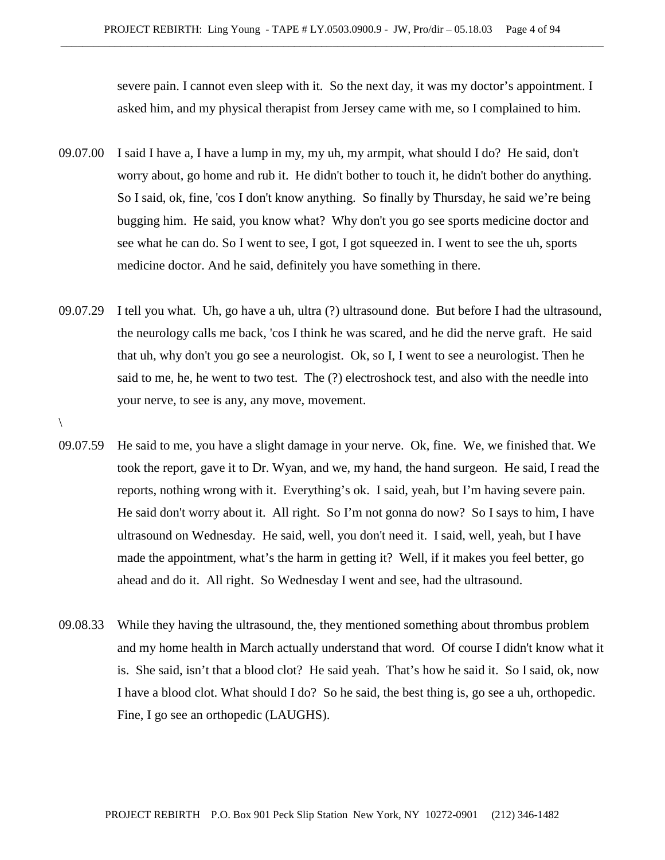severe pain. I cannot even sleep with it. So the next day, it was my doctor's appointment. I asked him, and my physical therapist from Jersey came with me, so I complained to him.

- 09.07.00 I said I have a, I have a lump in my, my uh, my armpit, what should I do? He said, don't worry about, go home and rub it. He didn't bother to touch it, he didn't bother do anything. So I said, ok, fine, 'cos I don't know anything. So finally by Thursday, he said we're being bugging him. He said, you know what? Why don't you go see sports medicine doctor and see what he can do. So I went to see, I got, I got squeezed in. I went to see the uh, sports medicine doctor. And he said, definitely you have something in there.
- 09.07.29 I tell you what. Uh, go have a uh, ultra (?) ultrasound done. But before I had the ultrasound, the neurology calls me back, 'cos I think he was scared, and he did the nerve graft. He said that uh, why don't you go see a neurologist. Ok, so I, I went to see a neurologist. Then he said to me, he, he went to two test. The (?) electroshock test, and also with the needle into your nerve, to see is any, any move, movement.

 $\setminus$ 

- 09.07.59 He said to me, you have a slight damage in your nerve. Ok, fine. We, we finished that. We took the report, gave it to Dr. Wyan, and we, my hand, the hand surgeon. He said, I read the reports, nothing wrong with it. Everything's ok. I said, yeah, but I'm having severe pain. He said don't worry about it. All right. So I'm not gonna do now? So I says to him, I have ultrasound on Wednesday. He said, well, you don't need it. I said, well, yeah, but I have made the appointment, what's the harm in getting it? Well, if it makes you feel better, go ahead and do it. All right. So Wednesday I went and see, had the ultrasound.
- 09.08.33 While they having the ultrasound, the, they mentioned something about thrombus problem and my home health in March actually understand that word. Of course I didn't know what it is. She said, isn't that a blood clot? He said yeah. That's how he said it. So I said, ok, now I have a blood clot. What should I do? So he said, the best thing is, go see a uh, orthopedic. Fine, I go see an orthopedic (LAUGHS).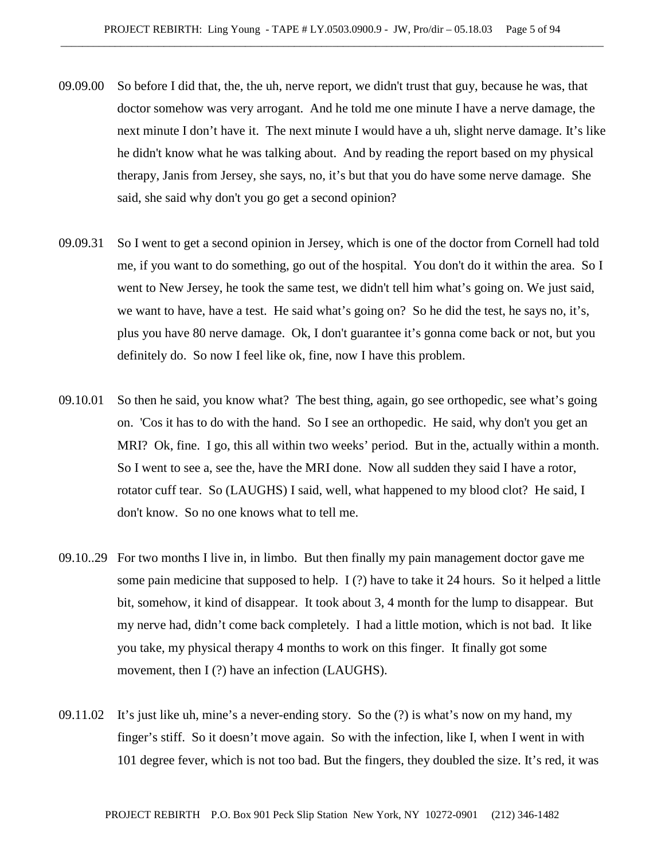- 09.09.00 So before I did that, the, the uh, nerve report, we didn't trust that guy, because he was, that doctor somehow was very arrogant. And he told me one minute I have a nerve damage, the next minute I don't have it. The next minute I would have a uh, slight nerve damage. It's like he didn't know what he was talking about. And by reading the report based on my physical therapy, Janis from Jersey, she says, no, it's but that you do have some nerve damage. She said, she said why don't you go get a second opinion?
- 09.09.31 So I went to get a second opinion in Jersey, which is one of the doctor from Cornell had told me, if you want to do something, go out of the hospital. You don't do it within the area. So I went to New Jersey, he took the same test, we didn't tell him what's going on. We just said, we want to have, have a test. He said what's going on? So he did the test, he says no, it's, plus you have 80 nerve damage. Ok, I don't guarantee it's gonna come back or not, but you definitely do. So now I feel like ok, fine, now I have this problem.
- 09.10.01 So then he said, you know what? The best thing, again, go see orthopedic, see what's going on. 'Cos it has to do with the hand. So I see an orthopedic. He said, why don't you get an MRI? Ok, fine. I go, this all within two weeks' period. But in the, actually within a month. So I went to see a, see the, have the MRI done. Now all sudden they said I have a rotor, rotator cuff tear. So (LAUGHS) I said, well, what happened to my blood clot? He said, I don't know. So no one knows what to tell me.
- 09.10..29 For two months I live in, in limbo. But then finally my pain management doctor gave me some pain medicine that supposed to help. I (?) have to take it 24 hours. So it helped a little bit, somehow, it kind of disappear. It took about 3, 4 month for the lump to disappear. But my nerve had, didn't come back completely. I had a little motion, which is not bad. It like you take, my physical therapy 4 months to work on this finger. It finally got some movement, then I (?) have an infection (LAUGHS).
- 09.11.02 It's just like uh, mine's a never-ending story. So the (?) is what's now on my hand, my finger's stiff. So it doesn't move again. So with the infection, like I, when I went in with 101 degree fever, which is not too bad. But the fingers, they doubled the size. It's red, it was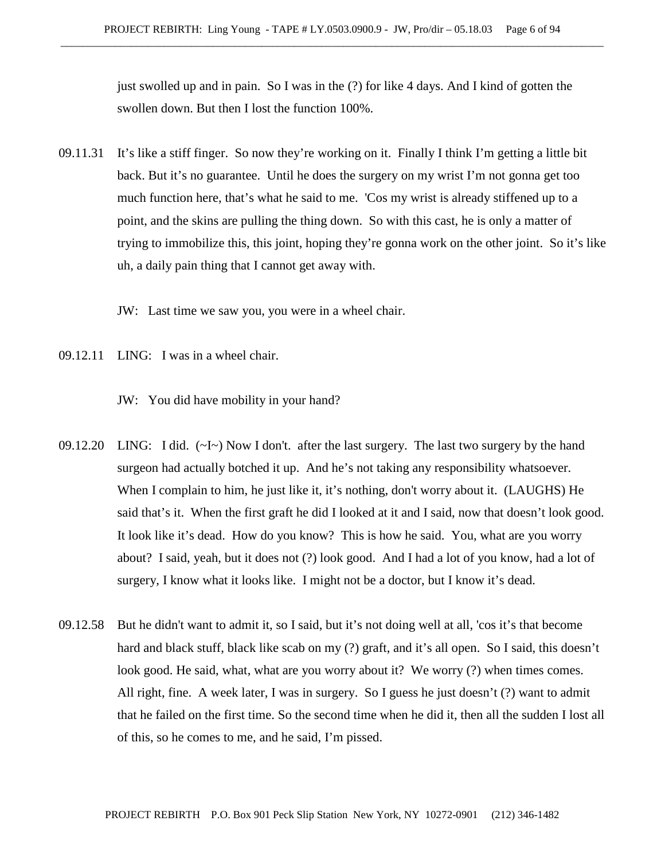just swolled up and in pain. So I was in the (?) for like 4 days. And I kind of gotten the swollen down. But then I lost the function 100%.

09.11.31 It's like a stiff finger. So now they're working on it. Finally I think I'm getting a little bit back. But it's no guarantee. Until he does the surgery on my wrist I'm not gonna get too much function here, that's what he said to me. 'Cos my wrist is already stiffened up to a point, and the skins are pulling the thing down. So with this cast, he is only a matter of trying to immobilize this, this joint, hoping they're gonna work on the other joint. So it's like uh, a daily pain thing that I cannot get away with.

JW: Last time we saw you, you were in a wheel chair.

09.12.11 LING: I was in a wheel chair.

JW: You did have mobility in your hand?

- 09.12.20 LING: I did. (~I~) Now I don't. after the last surgery. The last two surgery by the hand surgeon had actually botched it up. And he's not taking any responsibility whatsoever. When I complain to him, he just like it, it's nothing, don't worry about it. (LAUGHS) He said that's it. When the first graft he did I looked at it and I said, now that doesn't look good. It look like it's dead. How do you know? This is how he said. You, what are you worry about? I said, yeah, but it does not (?) look good. And I had a lot of you know, had a lot of surgery, I know what it looks like. I might not be a doctor, but I know it's dead.
- 09.12.58 But he didn't want to admit it, so I said, but it's not doing well at all, 'cos it's that become hard and black stuff, black like scab on my (?) graft, and it's all open. So I said, this doesn't look good. He said, what, what are you worry about it? We worry (?) when times comes. All right, fine. A week later, I was in surgery. So I guess he just doesn't (?) want to admit that he failed on the first time. So the second time when he did it, then all the sudden I lost all of this, so he comes to me, and he said, I'm pissed.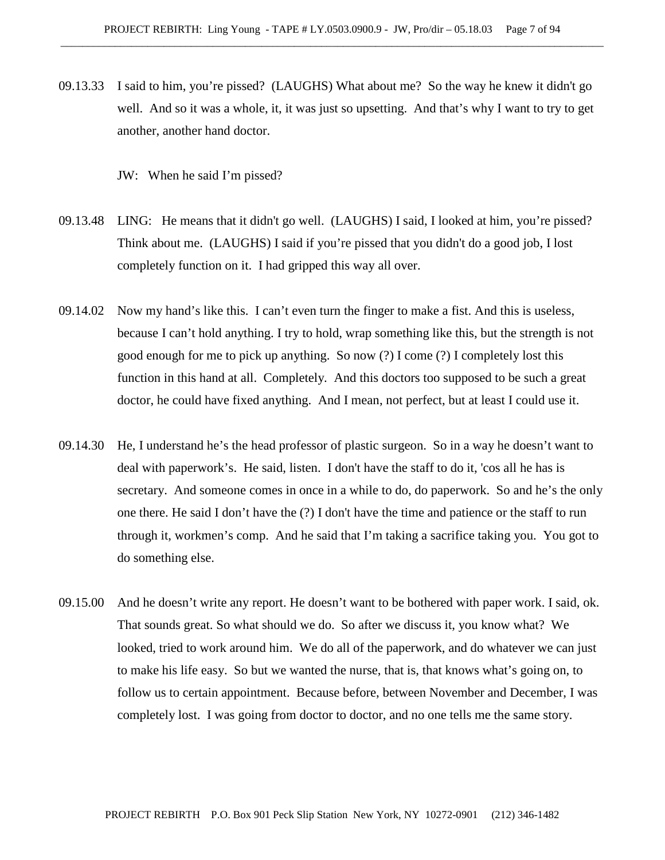09.13.33 I said to him, you're pissed? (LAUGHS) What about me? So the way he knew it didn't go well. And so it was a whole, it, it was just so upsetting. And that's why I want to try to get another, another hand doctor.

JW: When he said I'm pissed?

- 09.13.48 LING: He means that it didn't go well. (LAUGHS) I said, I looked at him, you're pissed? Think about me. (LAUGHS) I said if you're pissed that you didn't do a good job, I lost completely function on it. I had gripped this way all over.
- 09.14.02 Now my hand's like this. I can't even turn the finger to make a fist. And this is useless, because I can't hold anything. I try to hold, wrap something like this, but the strength is not good enough for me to pick up anything. So now (?) I come (?) I completely lost this function in this hand at all. Completely. And this doctors too supposed to be such a great doctor, he could have fixed anything. And I mean, not perfect, but at least I could use it.
- 09.14.30 He, I understand he's the head professor of plastic surgeon. So in a way he doesn't want to deal with paperwork's. He said, listen. I don't have the staff to do it, 'cos all he has is secretary. And someone comes in once in a while to do, do paperwork. So and he's the only one there. He said I don't have the (?) I don't have the time and patience or the staff to run through it, workmen's comp. And he said that I'm taking a sacrifice taking you. You got to do something else.
- 09.15.00 And he doesn't write any report. He doesn't want to be bothered with paper work. I said, ok. That sounds great. So what should we do. So after we discuss it, you know what? We looked, tried to work around him. We do all of the paperwork, and do whatever we can just to make his life easy. So but we wanted the nurse, that is, that knows what's going on, to follow us to certain appointment. Because before, between November and December, I was completely lost. I was going from doctor to doctor, and no one tells me the same story.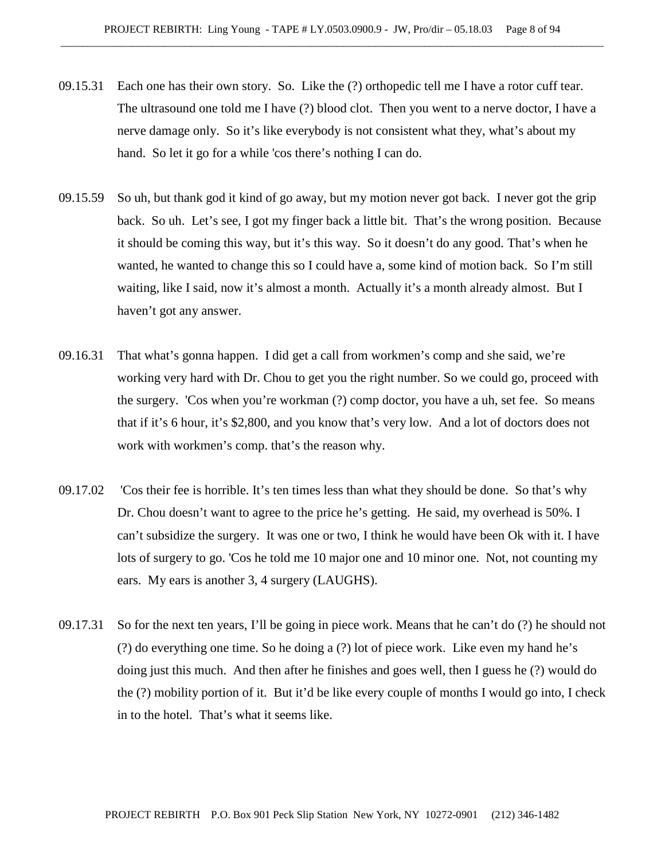- 09.15.31 Each one has their own story. So. Like the (?) orthopedic tell me I have a rotor cuff tear. The ultrasound one told me I have (?) blood clot. Then you went to a nerve doctor, I have a nerve damage only. So it's like everybody is not consistent what they, what's about my hand. So let it go for a while 'cos there's nothing I can do.
- 09.15.59 So uh, but thank god it kind of go away, but my motion never got back. I never got the grip back. So uh. Let's see, I got my finger back a little bit. That's the wrong position. Because it should be coming this way, but it's this way. So it doesn't do any good. That's when he wanted, he wanted to change this so I could have a, some kind of motion back. So I'm still waiting, like I said, now it's almost a month. Actually it's a month already almost. But I haven't got any answer.
- 09.16.31 That what's gonna happen. I did get a call from workmen's comp and she said, we're working very hard with Dr. Chou to get you the right number. So we could go, proceed with the surgery. 'Cos when you're workman (?) comp doctor, you have a uh, set fee. So means that if it's 6 hour, it's \$2,800, and you know that's very low. And a lot of doctors does not work with workmen's comp. that's the reason why.
- 09.17.02 'Cos their fee is horrible. It's ten times less than what they should be done. So that's why Dr. Chou doesn't want to agree to the price he's getting. He said, my overhead is 50%. I can't subsidize the surgery. It was one or two, I think he would have been Ok with it. I have lots of surgery to go. 'Cos he told me 10 major one and 10 minor one. Not, not counting my ears. My ears is another 3, 4 surgery (LAUGHS).
- 09.17.31 So for the next ten years, I'll be going in piece work. Means that he can't do (?) he should not (?) do everything one time. So he doing a (?) lot of piece work. Like even my hand he's doing just this much. And then after he finishes and goes well, then I guess he (?) would do the (?) mobility portion of it. But it'd be like every couple of months I would go into, I check in to the hotel. That's what it seems like.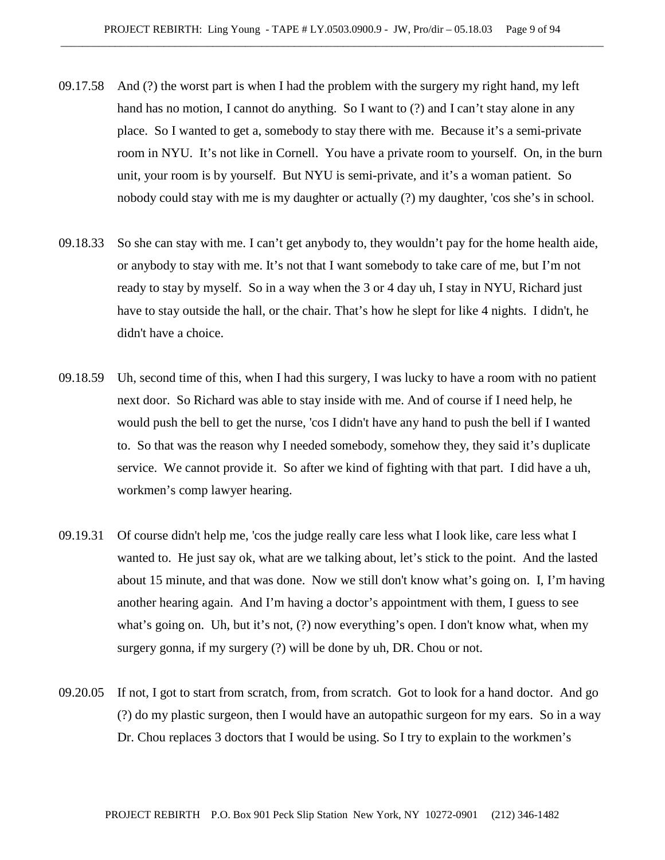- 09.17.58 And (?) the worst part is when I had the problem with the surgery my right hand, my left hand has no motion, I cannot do anything. So I want to (?) and I can't stay alone in any place. So I wanted to get a, somebody to stay there with me. Because it's a semi-private room in NYU. It's not like in Cornell. You have a private room to yourself. On, in the burn unit, your room is by yourself. But NYU is semi-private, and it's a woman patient. So nobody could stay with me is my daughter or actually (?) my daughter, 'cos she's in school.
- 09.18.33 So she can stay with me. I can't get anybody to, they wouldn't pay for the home health aide, or anybody to stay with me. It's not that I want somebody to take care of me, but I'm not ready to stay by myself. So in a way when the 3 or 4 day uh, I stay in NYU, Richard just have to stay outside the hall, or the chair. That's how he slept for like 4 nights. I didn't, he didn't have a choice.
- 09.18.59 Uh, second time of this, when I had this surgery, I was lucky to have a room with no patient next door. So Richard was able to stay inside with me. And of course if I need help, he would push the bell to get the nurse, 'cos I didn't have any hand to push the bell if I wanted to. So that was the reason why I needed somebody, somehow they, they said it's duplicate service. We cannot provide it. So after we kind of fighting with that part. I did have a uh, workmen's comp lawyer hearing.
- 09.19.31 Of course didn't help me, 'cos the judge really care less what I look like, care less what I wanted to. He just say ok, what are we talking about, let's stick to the point. And the lasted about 15 minute, and that was done. Now we still don't know what's going on. I, I'm having another hearing again. And I'm having a doctor's appointment with them, I guess to see what's going on. Uh, but it's not, (?) now everything's open. I don't know what, when my surgery gonna, if my surgery (?) will be done by uh, DR. Chou or not.
- 09.20.05 If not, I got to start from scratch, from, from scratch. Got to look for a hand doctor. And go (?) do my plastic surgeon, then I would have an autopathic surgeon for my ears. So in a way Dr. Chou replaces 3 doctors that I would be using. So I try to explain to the workmen's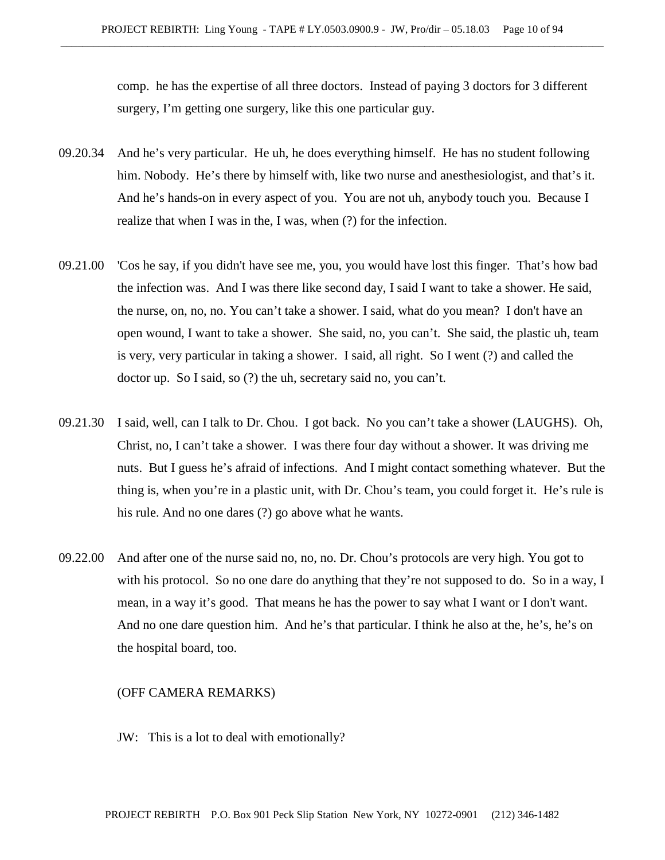comp. he has the expertise of all three doctors. Instead of paying 3 doctors for 3 different surgery, I'm getting one surgery, like this one particular guy.

- 09.20.34 And he's very particular. He uh, he does everything himself. He has no student following him. Nobody. He's there by himself with, like two nurse and anesthesiologist, and that's it. And he's hands-on in every aspect of you. You are not uh, anybody touch you. Because I realize that when I was in the, I was, when (?) for the infection.
- 09.21.00 'Cos he say, if you didn't have see me, you, you would have lost this finger. That's how bad the infection was. And I was there like second day, I said I want to take a shower. He said, the nurse, on, no, no. You can't take a shower. I said, what do you mean? I don't have an open wound, I want to take a shower. She said, no, you can't. She said, the plastic uh, team is very, very particular in taking a shower. I said, all right. So I went (?) and called the doctor up. So I said, so (?) the uh, secretary said no, you can't.
- 09.21.30 I said, well, can I talk to Dr. Chou. I got back. No you can't take a shower (LAUGHS). Oh, Christ, no, I can't take a shower. I was there four day without a shower. It was driving me nuts. But I guess he's afraid of infections. And I might contact something whatever. But the thing is, when you're in a plastic unit, with Dr. Chou's team, you could forget it. He's rule is his rule. And no one dares (?) go above what he wants.
- 09.22.00 And after one of the nurse said no, no, no. Dr. Chou's protocols are very high. You got to with his protocol. So no one dare do anything that they're not supposed to do. So in a way, I mean, in a way it's good. That means he has the power to say what I want or I don't want. And no one dare question him. And he's that particular. I think he also at the, he's, he's on the hospital board, too.

## (OFF CAMERA REMARKS)

JW: This is a lot to deal with emotionally?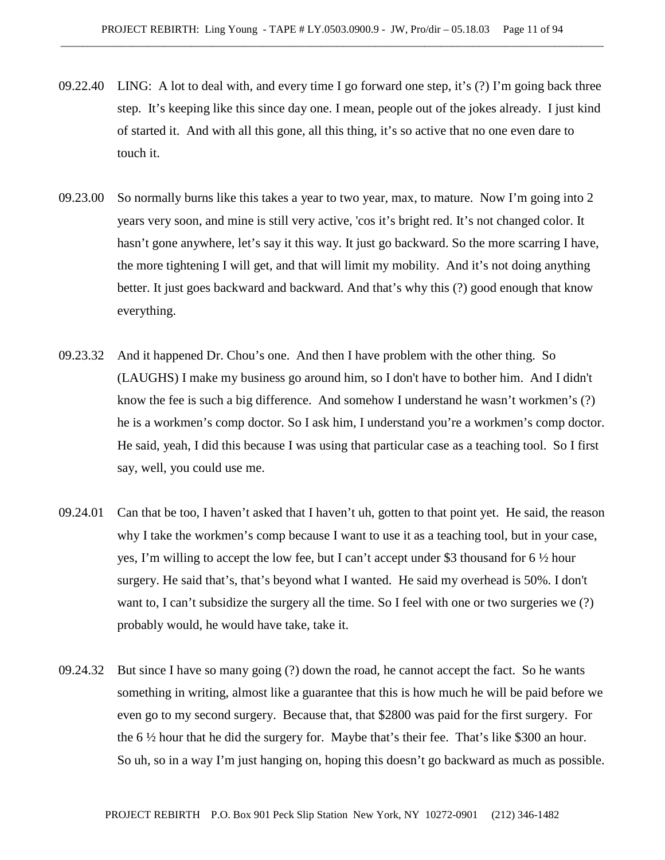- 09.22.40 LING: A lot to deal with, and every time I go forward one step, it's  $(?)$  I'm going back three step. It's keeping like this since day one. I mean, people out of the jokes already. I just kind of started it. And with all this gone, all this thing, it's so active that no one even dare to touch it.
- 09.23.00 So normally burns like this takes a year to two year, max, to mature. Now I'm going into 2 years very soon, and mine is still very active, 'cos it's bright red. It's not changed color. It hasn't gone anywhere, let's say it this way. It just go backward. So the more scarring I have, the more tightening I will get, and that will limit my mobility. And it's not doing anything better. It just goes backward and backward. And that's why this (?) good enough that know everything.
- 09.23.32 And it happened Dr. Chou's one. And then I have problem with the other thing. So (LAUGHS) I make my business go around him, so I don't have to bother him. And I didn't know the fee is such a big difference. And somehow I understand he wasn't workmen's (?) he is a workmen's comp doctor. So I ask him, I understand you're a workmen's comp doctor. He said, yeah, I did this because I was using that particular case as a teaching tool. So I first say, well, you could use me.
- 09.24.01 Can that be too, I haven't asked that I haven't uh, gotten to that point yet. He said, the reason why I take the workmen's comp because I want to use it as a teaching tool, but in your case, yes, I'm willing to accept the low fee, but I can't accept under \$3 thousand for 6 ½ hour surgery. He said that's, that's beyond what I wanted. He said my overhead is 50%. I don't want to, I can't subsidize the surgery all the time. So I feel with one or two surgeries we (?) probably would, he would have take, take it.
- 09.24.32 But since I have so many going (?) down the road, he cannot accept the fact. So he wants something in writing, almost like a guarantee that this is how much he will be paid before we even go to my second surgery. Because that, that \$2800 was paid for the first surgery. For the  $6\frac{1}{2}$  hour that he did the surgery for. Maybe that's their fee. That's like \$300 an hour. So uh, so in a way I'm just hanging on, hoping this doesn't go backward as much as possible.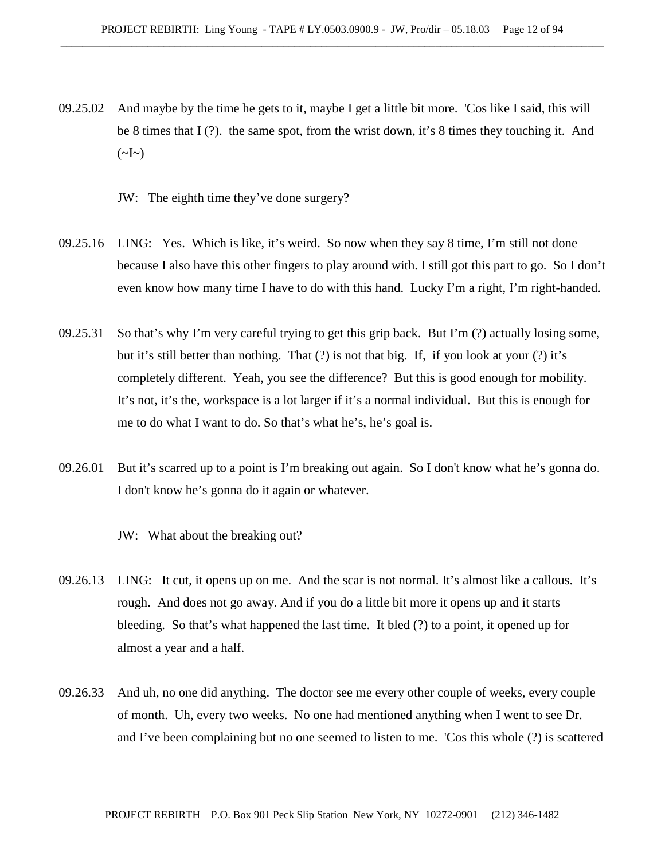- 09.25.02 And maybe by the time he gets to it, maybe I get a little bit more. 'Cos like I said, this will be 8 times that I (?). the same spot, from the wrist down, it's 8 times they touching it. And  $(\sim]_{\sim}$ 
	- JW: The eighth time they've done surgery?
- 09.25.16 LING: Yes. Which is like, it's weird. So now when they say 8 time, I'm still not done because I also have this other fingers to play around with. I still got this part to go. So I don't even know how many time I have to do with this hand. Lucky I'm a right, I'm right-handed.
- 09.25.31 So that's why I'm very careful trying to get this grip back. But I'm (?) actually losing some, but it's still better than nothing. That (?) is not that big. If, if you look at your (?) it's completely different. Yeah, you see the difference? But this is good enough for mobility. It's not, it's the, workspace is a lot larger if it's a normal individual. But this is enough for me to do what I want to do. So that's what he's, he's goal is.
- 09.26.01 But it's scarred up to a point is I'm breaking out again. So I don't know what he's gonna do. I don't know he's gonna do it again or whatever.
	- JW: What about the breaking out?
- 09.26.13 LING: It cut, it opens up on me. And the scar is not normal. It's almost like a callous. It's rough. And does not go away. And if you do a little bit more it opens up and it starts bleeding. So that's what happened the last time. It bled (?) to a point, it opened up for almost a year and a half.
- 09.26.33 And uh, no one did anything. The doctor see me every other couple of weeks, every couple of month. Uh, every two weeks. No one had mentioned anything when I went to see Dr. and I've been complaining but no one seemed to listen to me. 'Cos this whole (?) is scattered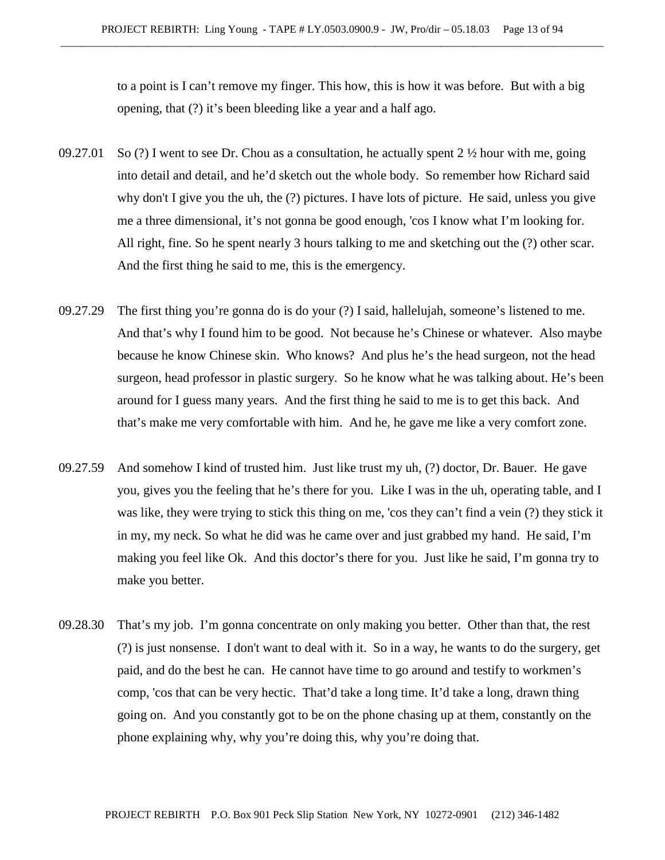to a point is I can't remove my finger. This how, this is how it was before. But with a big opening, that (?) it's been bleeding like a year and a half ago.

- 09.27.01 So (?) I went to see Dr. Chou as a consultation, he actually spent  $2\frac{1}{2}$  hour with me, going into detail and detail, and he'd sketch out the whole body. So remember how Richard said why don't I give you the uh, the (?) pictures. I have lots of picture. He said, unless you give me a three dimensional, it's not gonna be good enough, 'cos I know what I'm looking for. All right, fine. So he spent nearly 3 hours talking to me and sketching out the (?) other scar. And the first thing he said to me, this is the emergency.
- 09.27.29 The first thing you're gonna do is do your (?) I said, hallelujah, someone's listened to me. And that's why I found him to be good. Not because he's Chinese or whatever. Also maybe because he know Chinese skin. Who knows? And plus he's the head surgeon, not the head surgeon, head professor in plastic surgery. So he know what he was talking about. He's been around for I guess many years. And the first thing he said to me is to get this back. And that's make me very comfortable with him. And he, he gave me like a very comfort zone.
- 09.27.59 And somehow I kind of trusted him. Just like trust my uh, (?) doctor, Dr. Bauer. He gave you, gives you the feeling that he's there for you. Like I was in the uh, operating table, and I was like, they were trying to stick this thing on me, 'cos they can't find a vein (?) they stick it in my, my neck. So what he did was he came over and just grabbed my hand. He said, I'm making you feel like Ok. And this doctor's there for you. Just like he said, I'm gonna try to make you better.
- 09.28.30 That's my job. I'm gonna concentrate on only making you better. Other than that, the rest (?) is just nonsense. I don't want to deal with it. So in a way, he wants to do the surgery, get paid, and do the best he can. He cannot have time to go around and testify to workmen's comp, 'cos that can be very hectic. That'd take a long time. It'd take a long, drawn thing going on. And you constantly got to be on the phone chasing up at them, constantly on the phone explaining why, why you're doing this, why you're doing that.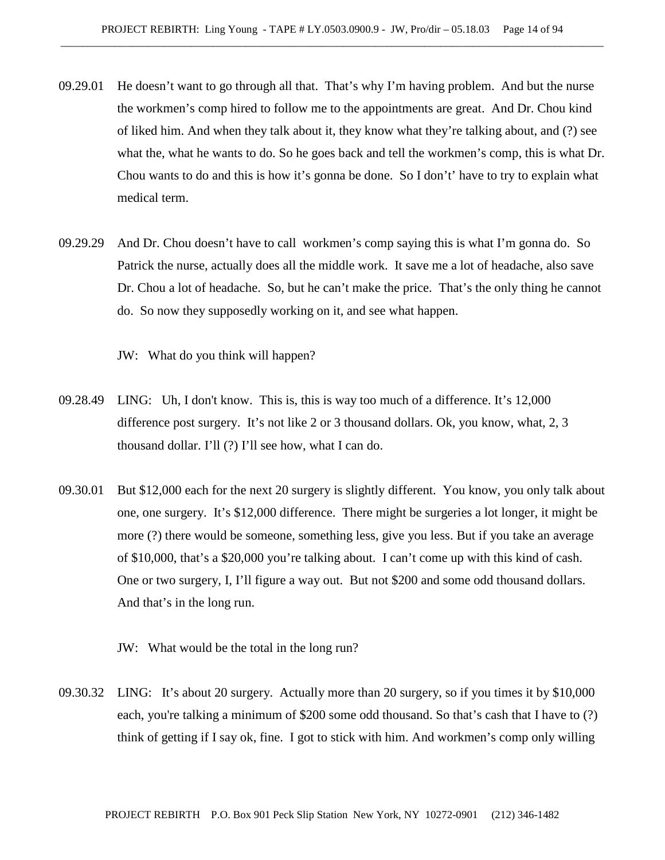- 09.29.01 He doesn't want to go through all that. That's why I'm having problem. And but the nurse the workmen's comp hired to follow me to the appointments are great. And Dr. Chou kind of liked him. And when they talk about it, they know what they're talking about, and (?) see what the, what he wants to do. So he goes back and tell the workmen's comp, this is what Dr. Chou wants to do and this is how it's gonna be done. So I don't' have to try to explain what medical term.
- 09.29.29 And Dr. Chou doesn't have to call workmen's comp saying this is what I'm gonna do. So Patrick the nurse, actually does all the middle work. It save me a lot of headache, also save Dr. Chou a lot of headache. So, but he can't make the price. That's the only thing he cannot do. So now they supposedly working on it, and see what happen.

JW: What do you think will happen?

- 09.28.49 LING: Uh, I don't know. This is, this is way too much of a difference. It's 12,000 difference post surgery. It's not like 2 or 3 thousand dollars. Ok, you know, what, 2, 3 thousand dollar. I'll (?) I'll see how, what I can do.
- 09.30.01 But \$12,000 each for the next 20 surgery is slightly different. You know, you only talk about one, one surgery. It's \$12,000 difference. There might be surgeries a lot longer, it might be more (?) there would be someone, something less, give you less. But if you take an average of \$10,000, that's a \$20,000 you're talking about. I can't come up with this kind of cash. One or two surgery, I, I'll figure a way out. But not \$200 and some odd thousand dollars. And that's in the long run.

JW: What would be the total in the long run?

09.30.32 LING: It's about 20 surgery. Actually more than 20 surgery, so if you times it by \$10,000 each, you're talking a minimum of \$200 some odd thousand. So that's cash that I have to (?) think of getting if I say ok, fine. I got to stick with him. And workmen's comp only willing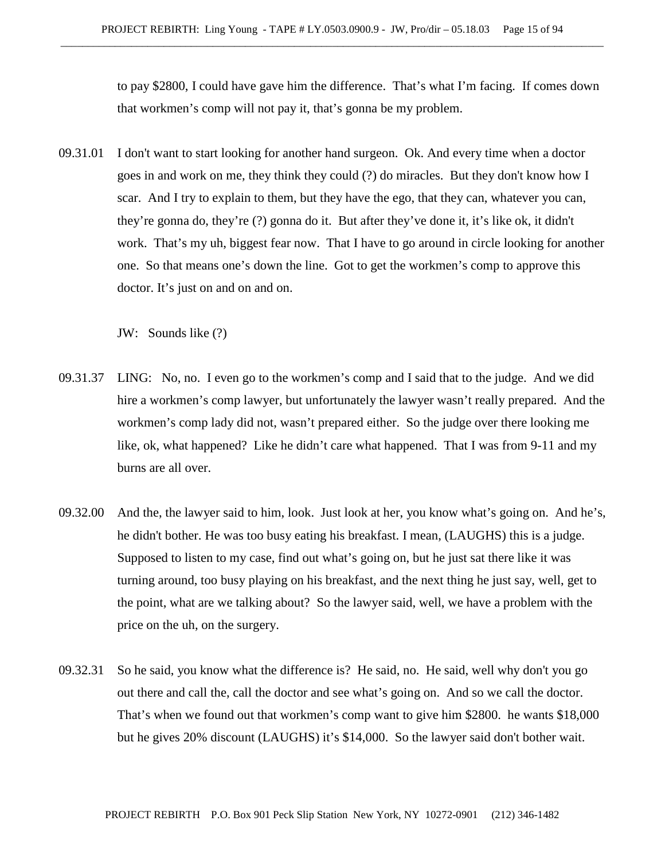to pay \$2800, I could have gave him the difference. That's what I'm facing. If comes down that workmen's comp will not pay it, that's gonna be my problem.

09.31.01 I don't want to start looking for another hand surgeon. Ok. And every time when a doctor goes in and work on me, they think they could (?) do miracles. But they don't know how I scar. And I try to explain to them, but they have the ego, that they can, whatever you can, they're gonna do, they're (?) gonna do it. But after they've done it, it's like ok, it didn't work. That's my uh, biggest fear now. That I have to go around in circle looking for another one. So that means one's down the line. Got to get the workmen's comp to approve this doctor. It's just on and on and on.

JW: Sounds like (?)

- 09.31.37 LING: No, no. I even go to the workmen's comp and I said that to the judge. And we did hire a workmen's comp lawyer, but unfortunately the lawyer wasn't really prepared. And the workmen's comp lady did not, wasn't prepared either. So the judge over there looking me like, ok, what happened? Like he didn't care what happened. That I was from 9-11 and my burns are all over.
- 09.32.00 And the, the lawyer said to him, look. Just look at her, you know what's going on. And he's, he didn't bother. He was too busy eating his breakfast. I mean, (LAUGHS) this is a judge. Supposed to listen to my case, find out what's going on, but he just sat there like it was turning around, too busy playing on his breakfast, and the next thing he just say, well, get to the point, what are we talking about? So the lawyer said, well, we have a problem with the price on the uh, on the surgery.
- 09.32.31 So he said, you know what the difference is? He said, no. He said, well why don't you go out there and call the, call the doctor and see what's going on. And so we call the doctor. That's when we found out that workmen's comp want to give him \$2800. he wants \$18,000 but he gives 20% discount (LAUGHS) it's \$14,000. So the lawyer said don't bother wait.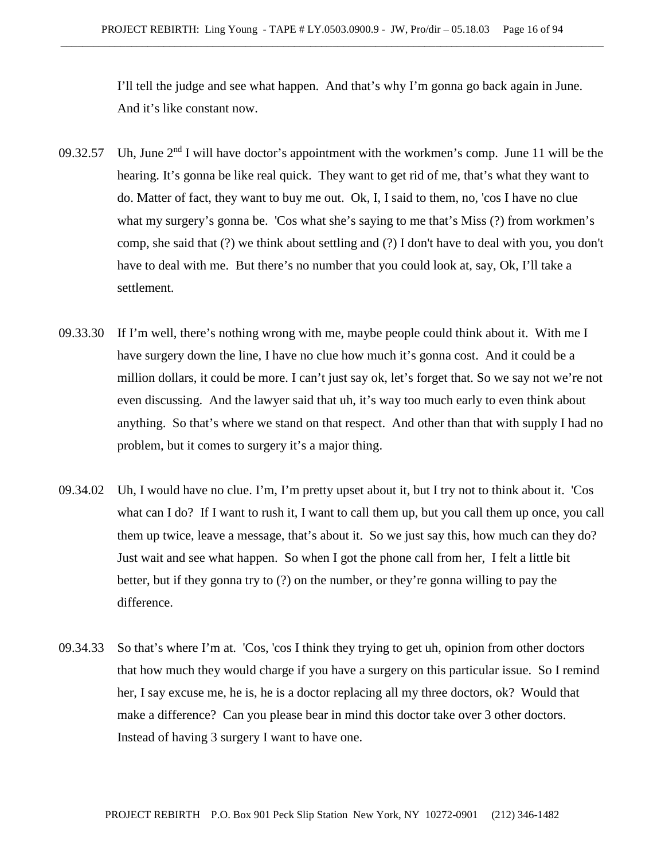I'll tell the judge and see what happen. And that's why I'm gonna go back again in June. And it's like constant now.

- 09.32.57 Uh, June  $2<sup>nd</sup>$  I will have doctor's appointment with the workmen's comp. June 11 will be the hearing. It's gonna be like real quick. They want to get rid of me, that's what they want to do. Matter of fact, they want to buy me out. Ok, I, I said to them, no, 'cos I have no clue what my surgery's gonna be. 'Cos what she's saying to me that's Miss (?) from workmen's comp, she said that (?) we think about settling and (?) I don't have to deal with you, you don't have to deal with me. But there's no number that you could look at, say, Ok, I'll take a settlement.
- 09.33.30 If I'm well, there's nothing wrong with me, maybe people could think about it. With me I have surgery down the line, I have no clue how much it's gonna cost. And it could be a million dollars, it could be more. I can't just say ok, let's forget that. So we say not we're not even discussing. And the lawyer said that uh, it's way too much early to even think about anything. So that's where we stand on that respect. And other than that with supply I had no problem, but it comes to surgery it's a major thing.
- 09.34.02 Uh, I would have no clue. I'm, I'm pretty upset about it, but I try not to think about it. 'Cos what can I do? If I want to rush it, I want to call them up, but you call them up once, you call them up twice, leave a message, that's about it. So we just say this, how much can they do? Just wait and see what happen. So when I got the phone call from her, I felt a little bit better, but if they gonna try to (?) on the number, or they're gonna willing to pay the difference.
- 09.34.33 So that's where I'm at. 'Cos, 'cos I think they trying to get uh, opinion from other doctors that how much they would charge if you have a surgery on this particular issue. So I remind her, I say excuse me, he is, he is a doctor replacing all my three doctors, ok? Would that make a difference? Can you please bear in mind this doctor take over 3 other doctors. Instead of having 3 surgery I want to have one.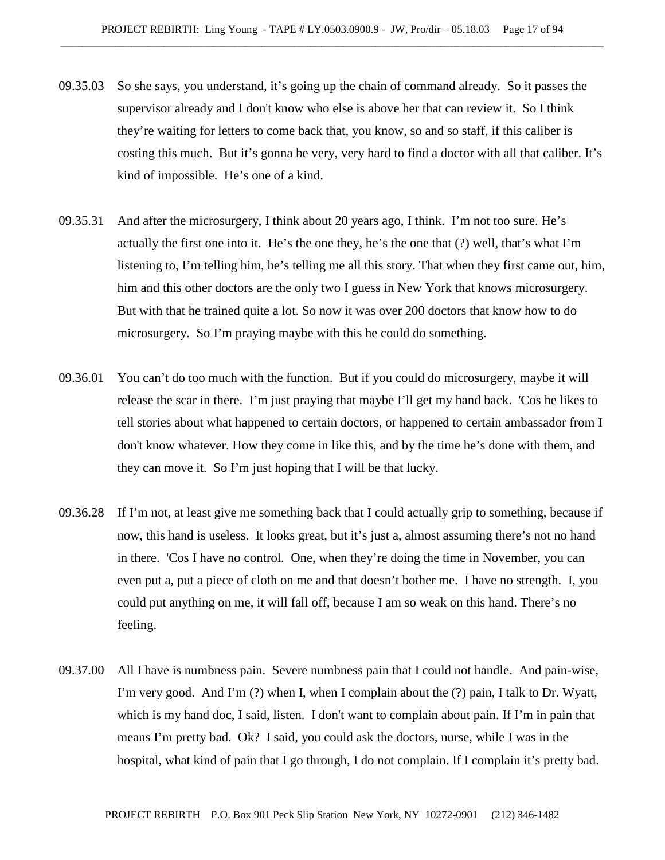- 09.35.03 So she says, you understand, it's going up the chain of command already. So it passes the supervisor already and I don't know who else is above her that can review it. So I think they're waiting for letters to come back that, you know, so and so staff, if this caliber is costing this much. But it's gonna be very, very hard to find a doctor with all that caliber. It's kind of impossible. He's one of a kind.
- 09.35.31 And after the microsurgery, I think about 20 years ago, I think. I'm not too sure. He's actually the first one into it. He's the one they, he's the one that (?) well, that's what I'm listening to, I'm telling him, he's telling me all this story. That when they first came out, him, him and this other doctors are the only two I guess in New York that knows microsurgery. But with that he trained quite a lot. So now it was over 200 doctors that know how to do microsurgery. So I'm praying maybe with this he could do something.
- 09.36.01 You can't do too much with the function. But if you could do microsurgery, maybe it will release the scar in there. I'm just praying that maybe I'll get my hand back. 'Cos he likes to tell stories about what happened to certain doctors, or happened to certain ambassador from I don't know whatever. How they come in like this, and by the time he's done with them, and they can move it. So I'm just hoping that I will be that lucky.
- 09.36.28 If I'm not, at least give me something back that I could actually grip to something, because if now, this hand is useless. It looks great, but it's just a, almost assuming there's not no hand in there. 'Cos I have no control. One, when they're doing the time in November, you can even put a, put a piece of cloth on me and that doesn't bother me. I have no strength. I, you could put anything on me, it will fall off, because I am so weak on this hand. There's no feeling.
- 09.37.00 All I have is numbness pain. Severe numbness pain that I could not handle. And pain-wise, I'm very good. And I'm (?) when I, when I complain about the (?) pain, I talk to Dr. Wyatt, which is my hand doc, I said, listen. I don't want to complain about pain. If I'm in pain that means I'm pretty bad. Ok? I said, you could ask the doctors, nurse, while I was in the hospital, what kind of pain that I go through, I do not complain. If I complain it's pretty bad.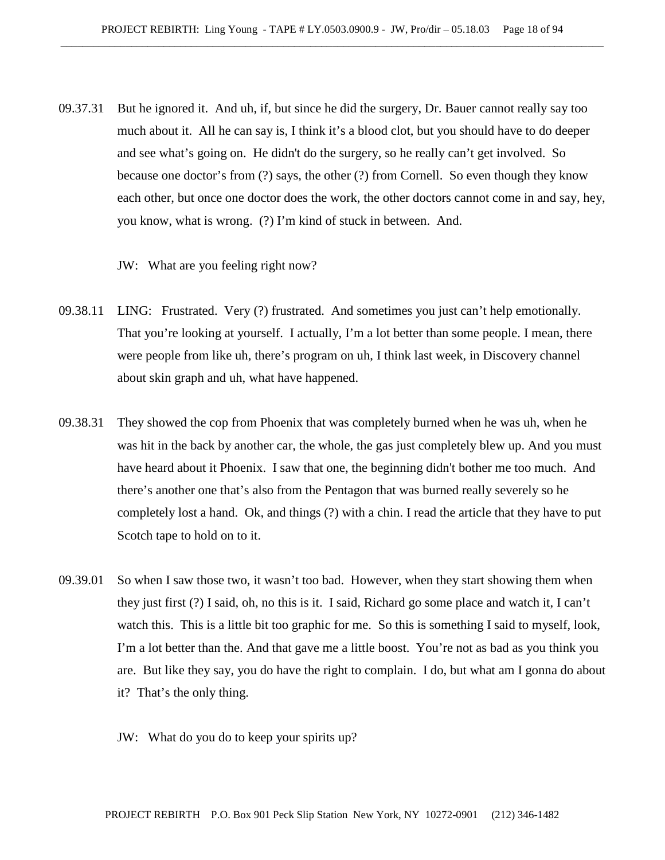09.37.31 But he ignored it. And uh, if, but since he did the surgery, Dr. Bauer cannot really say too much about it. All he can say is, I think it's a blood clot, but you should have to do deeper and see what's going on. He didn't do the surgery, so he really can't get involved. So because one doctor's from (?) says, the other (?) from Cornell. So even though they know each other, but once one doctor does the work, the other doctors cannot come in and say, hey, you know, what is wrong. (?) I'm kind of stuck in between. And.

JW: What are you feeling right now?

- 09.38.11 LING: Frustrated. Very (?) frustrated. And sometimes you just can't help emotionally. That you're looking at yourself. I actually, I'm a lot better than some people. I mean, there were people from like uh, there's program on uh, I think last week, in Discovery channel about skin graph and uh, what have happened.
- 09.38.31 They showed the cop from Phoenix that was completely burned when he was uh, when he was hit in the back by another car, the whole, the gas just completely blew up. And you must have heard about it Phoenix. I saw that one, the beginning didn't bother me too much. And there's another one that's also from the Pentagon that was burned really severely so he completely lost a hand. Ok, and things (?) with a chin. I read the article that they have to put Scotch tape to hold on to it.
- 09.39.01 So when I saw those two, it wasn't too bad. However, when they start showing them when they just first (?) I said, oh, no this is it. I said, Richard go some place and watch it, I can't watch this. This is a little bit too graphic for me. So this is something I said to myself, look, I'm a lot better than the. And that gave me a little boost. You're not as bad as you think you are. But like they say, you do have the right to complain. I do, but what am I gonna do about it? That's the only thing.
	- JW: What do you do to keep your spirits up?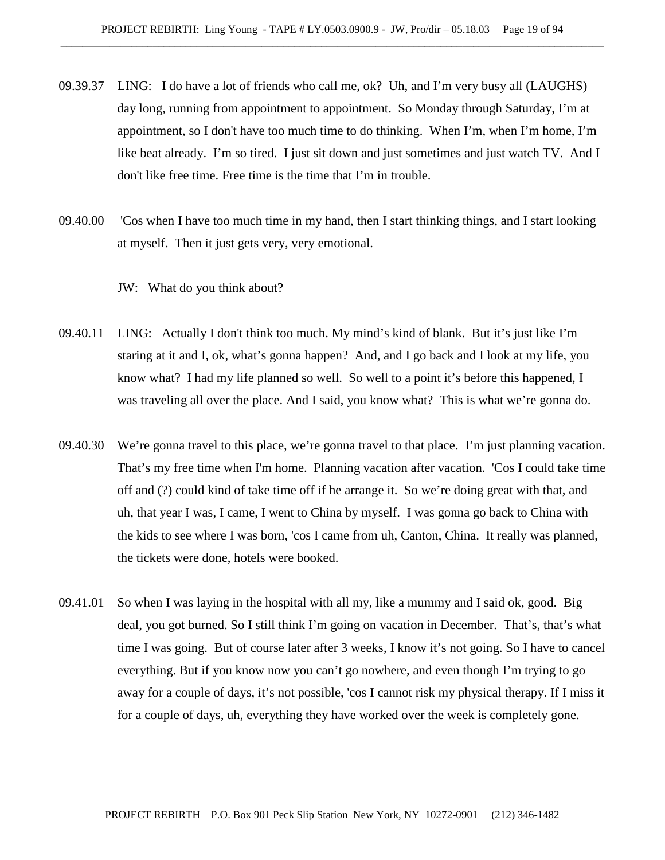- 09.39.37 LING: I do have a lot of friends who call me, ok? Uh, and I'm very busy all (LAUGHS) day long, running from appointment to appointment. So Monday through Saturday, I'm at appointment, so I don't have too much time to do thinking. When I'm, when I'm home, I'm like beat already. I'm so tired. I just sit down and just sometimes and just watch TV. And I don't like free time. Free time is the time that I'm in trouble.
- 09.40.00 'Cos when I have too much time in my hand, then I start thinking things, and I start looking at myself. Then it just gets very, very emotional.

JW: What do you think about?

- 09.40.11 LING: Actually I don't think too much. My mind's kind of blank. But it's just like I'm staring at it and I, ok, what's gonna happen? And, and I go back and I look at my life, you know what? I had my life planned so well. So well to a point it's before this happened, I was traveling all over the place. And I said, you know what? This is what we're gonna do.
- 09.40.30 We're gonna travel to this place, we're gonna travel to that place. I'm just planning vacation. That's my free time when I'm home. Planning vacation after vacation. 'Cos I could take time off and (?) could kind of take time off if he arrange it. So we're doing great with that, and uh, that year I was, I came, I went to China by myself. I was gonna go back to China with the kids to see where I was born, 'cos I came from uh, Canton, China. It really was planned, the tickets were done, hotels were booked.
- 09.41.01 So when I was laying in the hospital with all my, like a mummy and I said ok, good. Big deal, you got burned. So I still think I'm going on vacation in December. That's, that's what time I was going. But of course later after 3 weeks, I know it's not going. So I have to cancel everything. But if you know now you can't go nowhere, and even though I'm trying to go away for a couple of days, it's not possible, 'cos I cannot risk my physical therapy. If I miss it for a couple of days, uh, everything they have worked over the week is completely gone.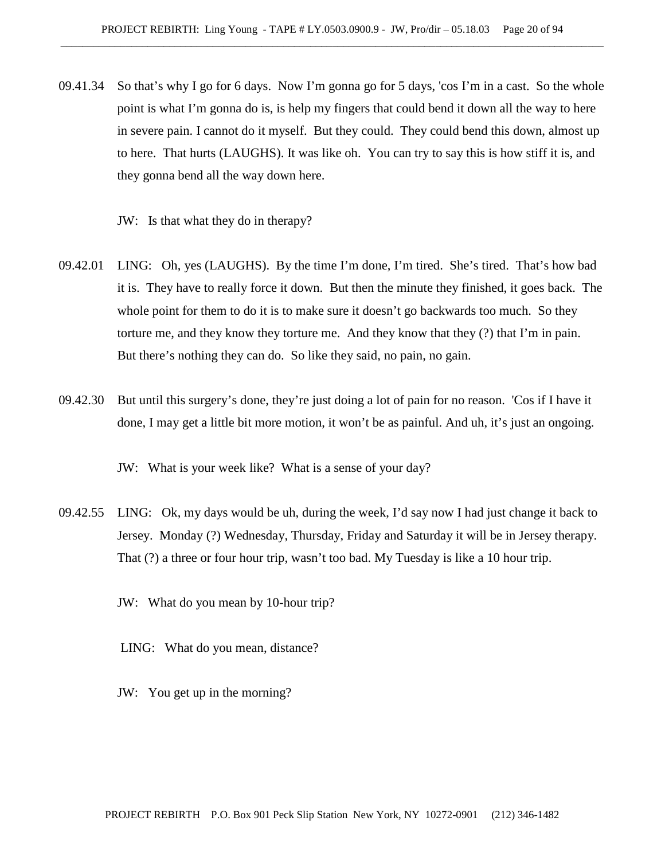09.41.34 So that's why I go for 6 days. Now I'm gonna go for 5 days, 'cos I'm in a cast. So the whole point is what I'm gonna do is, is help my fingers that could bend it down all the way to here in severe pain. I cannot do it myself. But they could. They could bend this down, almost up to here. That hurts (LAUGHS). It was like oh. You can try to say this is how stiff it is, and they gonna bend all the way down here.

JW: Is that what they do in therapy?

- 09.42.01 LING: Oh, yes (LAUGHS). By the time I'm done, I'm tired. She's tired. That's how bad it is. They have to really force it down. But then the minute they finished, it goes back. The whole point for them to do it is to make sure it doesn't go backwards too much. So they torture me, and they know they torture me. And they know that they (?) that I'm in pain. But there's nothing they can do. So like they said, no pain, no gain.
- 09.42.30 But until this surgery's done, they're just doing a lot of pain for no reason. 'Cos if I have it done, I may get a little bit more motion, it won't be as painful. And uh, it's just an ongoing.

JW: What is your week like? What is a sense of your day?

- 09.42.55 LING: Ok, my days would be uh, during the week, I'd say now I had just change it back to Jersey. Monday (?) Wednesday, Thursday, Friday and Saturday it will be in Jersey therapy. That (?) a three or four hour trip, wasn't too bad. My Tuesday is like a 10 hour trip.
	- JW: What do you mean by 10-hour trip?
	- LING: What do you mean, distance?
	- JW: You get up in the morning?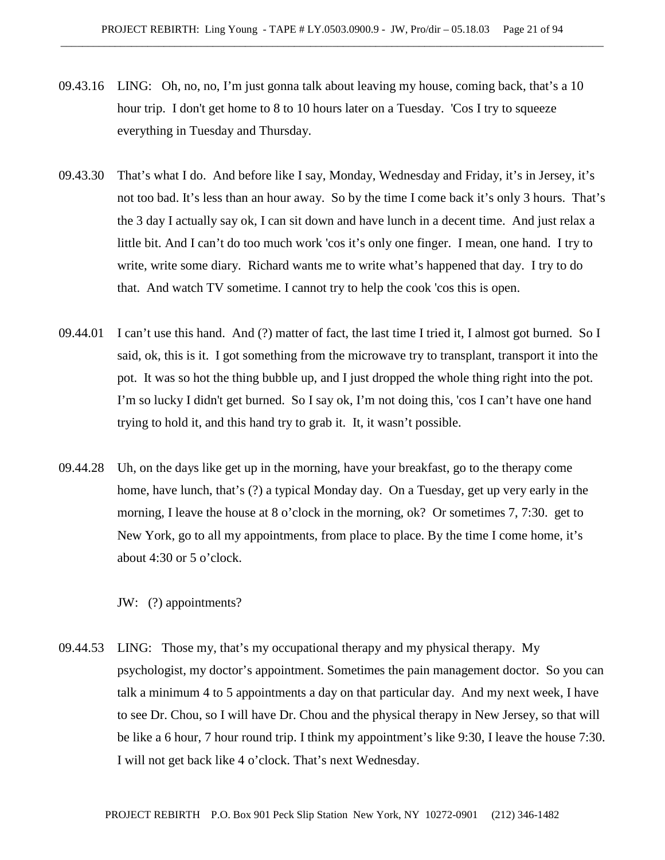- 09.43.16 LING: Oh, no, no, I'm just gonna talk about leaving my house, coming back, that's a 10 hour trip. I don't get home to 8 to 10 hours later on a Tuesday. 'Cos I try to squeeze everything in Tuesday and Thursday.
- 09.43.30 That's what I do. And before like I say, Monday, Wednesday and Friday, it's in Jersey, it's not too bad. It's less than an hour away. So by the time I come back it's only 3 hours. That's the 3 day I actually say ok, I can sit down and have lunch in a decent time. And just relax a little bit. And I can't do too much work 'cos it's only one finger. I mean, one hand. I try to write, write some diary. Richard wants me to write what's happened that day. I try to do that. And watch TV sometime. I cannot try to help the cook 'cos this is open.
- 09.44.01 I can't use this hand. And (?) matter of fact, the last time I tried it, I almost got burned. So I said, ok, this is it. I got something from the microwave try to transplant, transport it into the pot. It was so hot the thing bubble up, and I just dropped the whole thing right into the pot. I'm so lucky I didn't get burned. So I say ok, I'm not doing this, 'cos I can't have one hand trying to hold it, and this hand try to grab it. It, it wasn't possible.
- 09.44.28 Uh, on the days like get up in the morning, have your breakfast, go to the therapy come home, have lunch, that's (?) a typical Monday day. On a Tuesday, get up very early in the morning, I leave the house at 8 o'clock in the morning, ok? Or sometimes 7, 7:30. get to New York, go to all my appointments, from place to place. By the time I come home, it's about 4:30 or 5 o'clock.

JW: (?) appointments?

09.44.53 LING: Those my, that's my occupational therapy and my physical therapy. My psychologist, my doctor's appointment. Sometimes the pain management doctor. So you can talk a minimum 4 to 5 appointments a day on that particular day. And my next week, I have to see Dr. Chou, so I will have Dr. Chou and the physical therapy in New Jersey, so that will be like a 6 hour, 7 hour round trip. I think my appointment's like 9:30, I leave the house 7:30. I will not get back like 4 o'clock. That's next Wednesday.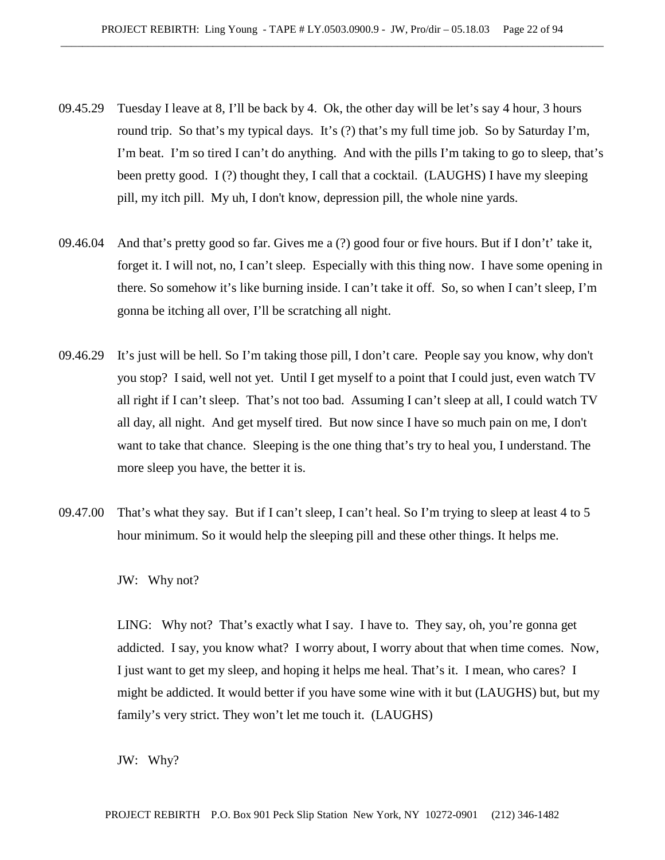- 09.45.29 Tuesday I leave at 8, I'll be back by 4. Ok, the other day will be let's say 4 hour, 3 hours round trip. So that's my typical days. It's (?) that's my full time job. So by Saturday I'm, I'm beat. I'm so tired I can't do anything. And with the pills I'm taking to go to sleep, that's been pretty good. I (?) thought they, I call that a cocktail. (LAUGHS) I have my sleeping pill, my itch pill. My uh, I don't know, depression pill, the whole nine yards.
- 09.46.04 And that's pretty good so far. Gives me a (?) good four or five hours. But if I don't' take it, forget it. I will not, no, I can't sleep. Especially with this thing now. I have some opening in there. So somehow it's like burning inside. I can't take it off. So, so when I can't sleep, I'm gonna be itching all over, I'll be scratching all night.
- 09.46.29 It's just will be hell. So I'm taking those pill, I don't care. People say you know, why don't you stop? I said, well not yet. Until I get myself to a point that I could just, even watch TV all right if I can't sleep. That's not too bad. Assuming I can't sleep at all, I could watch TV all day, all night. And get myself tired. But now since I have so much pain on me, I don't want to take that chance. Sleeping is the one thing that's try to heal you, I understand. The more sleep you have, the better it is.
- 09.47.00 That's what they say. But if I can't sleep, I can't heal. So I'm trying to sleep at least 4 to 5 hour minimum. So it would help the sleeping pill and these other things. It helps me.

JW: Why not?

LING: Why not? That's exactly what I say. I have to. They say, oh, you're gonna get addicted. I say, you know what? I worry about, I worry about that when time comes. Now, I just want to get my sleep, and hoping it helps me heal. That's it. I mean, who cares? I might be addicted. It would better if you have some wine with it but (LAUGHS) but, but my family's very strict. They won't let me touch it. (LAUGHS)

JW: Why?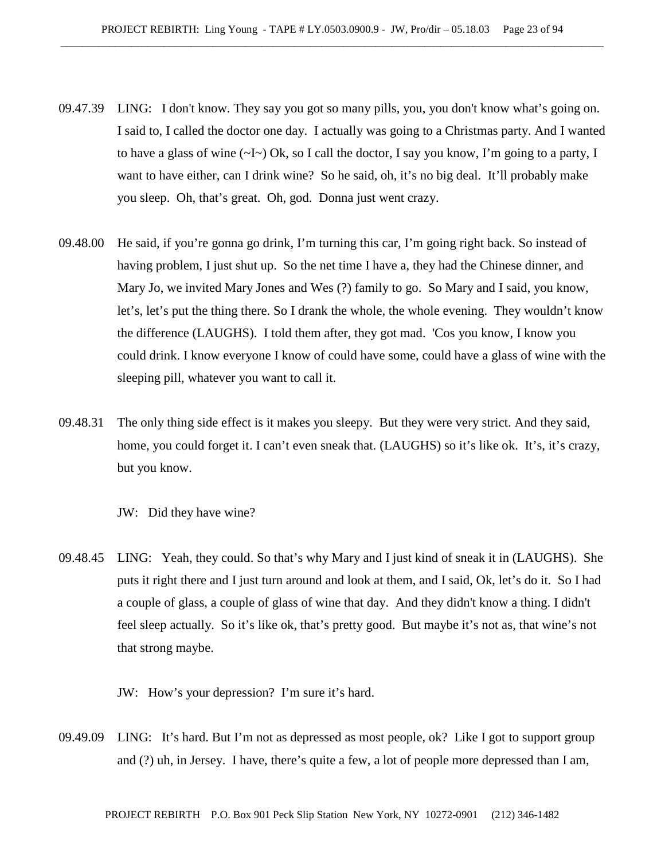- 09.47.39 LING: I don't know. They say you got so many pills, you, you don't know what's going on. I said to, I called the doctor one day. I actually was going to a Christmas party. And I wanted to have a glass of wine  $(\sim I \sim)$  Ok, so I call the doctor, I say you know, I'm going to a party, I want to have either, can I drink wine? So he said, oh, it's no big deal. It'll probably make you sleep. Oh, that's great. Oh, god. Donna just went crazy.
- 09.48.00 He said, if you're gonna go drink, I'm turning this car, I'm going right back. So instead of having problem, I just shut up. So the net time I have a, they had the Chinese dinner, and Mary Jo, we invited Mary Jones and Wes (?) family to go. So Mary and I said, you know, let's, let's put the thing there. So I drank the whole, the whole evening. They wouldn't know the difference (LAUGHS). I told them after, they got mad. 'Cos you know, I know you could drink. I know everyone I know of could have some, could have a glass of wine with the sleeping pill, whatever you want to call it.
- 09.48.31 The only thing side effect is it makes you sleepy. But they were very strict. And they said, home, you could forget it. I can't even sneak that. (LAUGHS) so it's like ok. It's, it's crazy, but you know.

JW: Did they have wine?

09.48.45 LING: Yeah, they could. So that's why Mary and I just kind of sneak it in (LAUGHS). She puts it right there and I just turn around and look at them, and I said, Ok, let's do it. So I had a couple of glass, a couple of glass of wine that day. And they didn't know a thing. I didn't feel sleep actually. So it's like ok, that's pretty good. But maybe it's not as, that wine's not that strong maybe.

JW: How's your depression? I'm sure it's hard.

09.49.09 LING: It's hard. But I'm not as depressed as most people, ok? Like I got to support group and (?) uh, in Jersey. I have, there's quite a few, a lot of people more depressed than I am,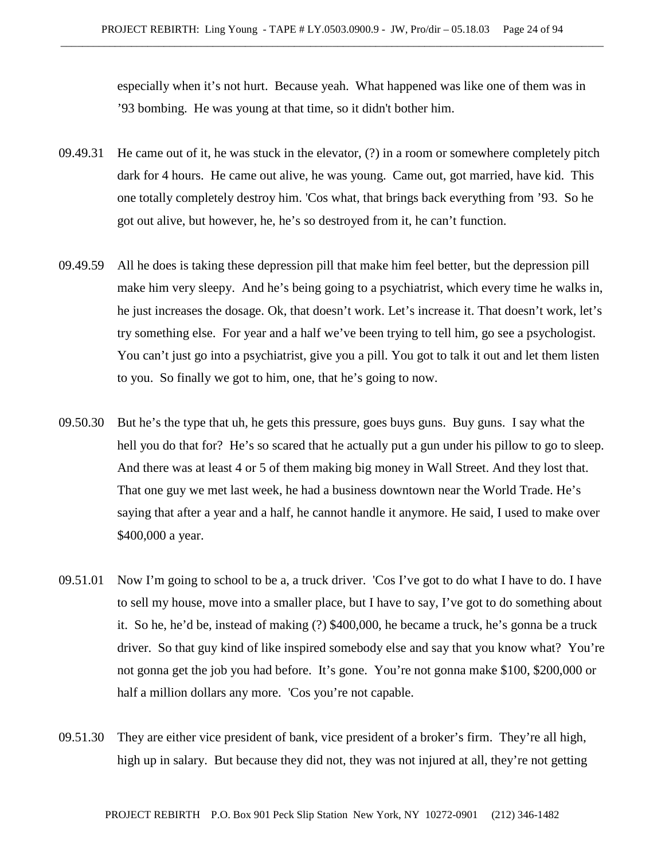especially when it's not hurt. Because yeah. What happened was like one of them was in '93 bombing. He was young at that time, so it didn't bother him.

- 09.49.31 He came out of it, he was stuck in the elevator, (?) in a room or somewhere completely pitch dark for 4 hours. He came out alive, he was young. Came out, got married, have kid. This one totally completely destroy him. 'Cos what, that brings back everything from '93. So he got out alive, but however, he, he's so destroyed from it, he can't function.
- 09.49.59 All he does is taking these depression pill that make him feel better, but the depression pill make him very sleepy. And he's being going to a psychiatrist, which every time he walks in, he just increases the dosage. Ok, that doesn't work. Let's increase it. That doesn't work, let's try something else. For year and a half we've been trying to tell him, go see a psychologist. You can't just go into a psychiatrist, give you a pill. You got to talk it out and let them listen to you. So finally we got to him, one, that he's going to now.
- 09.50.30 But he's the type that uh, he gets this pressure, goes buys guns. Buy guns. I say what the hell you do that for? He's so scared that he actually put a gun under his pillow to go to sleep. And there was at least 4 or 5 of them making big money in Wall Street. And they lost that. That one guy we met last week, he had a business downtown near the World Trade. He's saying that after a year and a half, he cannot handle it anymore. He said, I used to make over \$400,000 a year.
- 09.51.01 Now I'm going to school to be a, a truck driver. 'Cos I've got to do what I have to do. I have to sell my house, move into a smaller place, but I have to say, I've got to do something about it. So he, he'd be, instead of making (?) \$400,000, he became a truck, he's gonna be a truck driver. So that guy kind of like inspired somebody else and say that you know what? You're not gonna get the job you had before. It's gone. You're not gonna make \$100, \$200,000 or half a million dollars any more. 'Cos you're not capable.
- 09.51.30 They are either vice president of bank, vice president of a broker's firm. They're all high, high up in salary. But because they did not, they was not injured at all, they're not getting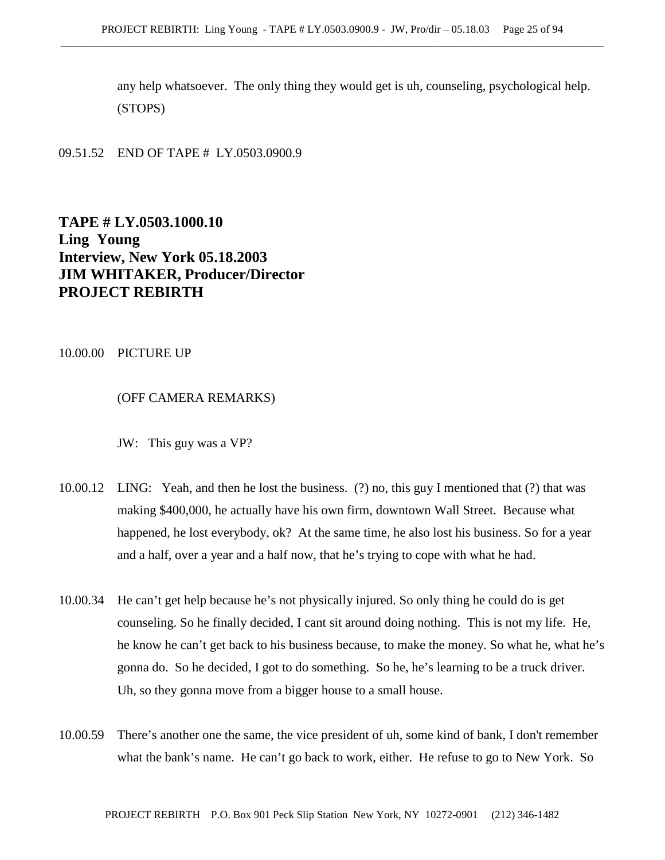any help whatsoever. The only thing they would get is uh, counseling, psychological help. (STOPS)

09.51.52 END OF TAPE # LY.0503.0900.9

**TAPE # LY.0503.1000.10 Ling Young Interview, New York 05.18.2003 JIM WHITAKER, Producer/Director PROJECT REBIRTH**

10.00.00 PICTURE UP

## (OFF CAMERA REMARKS)

JW: This guy was a VP?

- 10.00.12 LING: Yeah, and then he lost the business. (?) no, this guy I mentioned that (?) that was making \$400,000, he actually have his own firm, downtown Wall Street. Because what happened, he lost everybody, ok? At the same time, he also lost his business. So for a year and a half, over a year and a half now, that he's trying to cope with what he had.
- 10.00.34 He can't get help because he's not physically injured. So only thing he could do is get counseling. So he finally decided, I cant sit around doing nothing. This is not my life. He, he know he can't get back to his business because, to make the money. So what he, what he's gonna do. So he decided, I got to do something. So he, he's learning to be a truck driver. Uh, so they gonna move from a bigger house to a small house.
- 10.00.59 There's another one the same, the vice president of uh, some kind of bank, I don't remember what the bank's name. He can't go back to work, either. He refuse to go to New York. So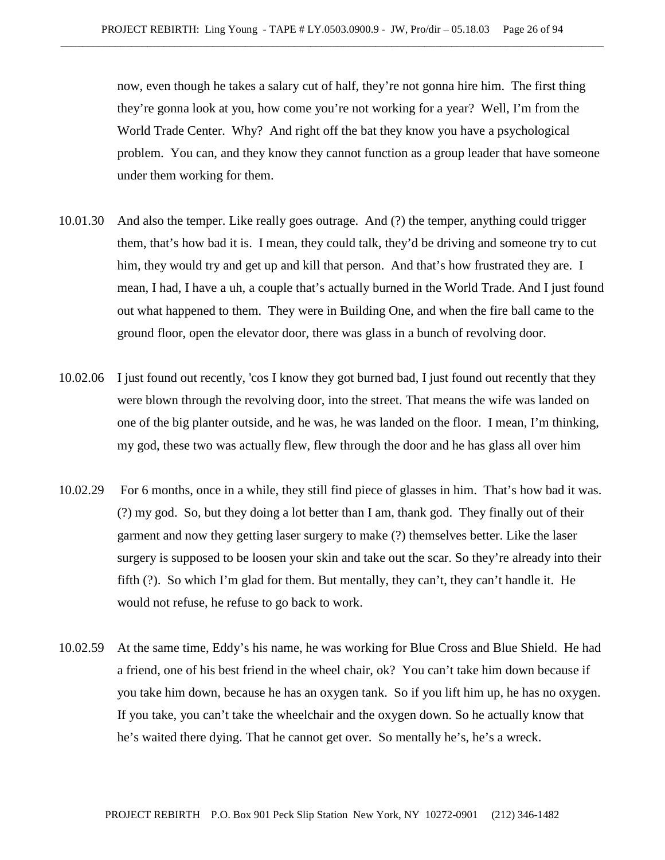now, even though he takes a salary cut of half, they're not gonna hire him. The first thing they're gonna look at you, how come you're not working for a year? Well, I'm from the World Trade Center. Why? And right off the bat they know you have a psychological problem. You can, and they know they cannot function as a group leader that have someone under them working for them.

- 10.01.30 And also the temper. Like really goes outrage. And (?) the temper, anything could trigger them, that's how bad it is. I mean, they could talk, they'd be driving and someone try to cut him, they would try and get up and kill that person. And that's how frustrated they are. I mean, I had, I have a uh, a couple that's actually burned in the World Trade. And I just found out what happened to them. They were in Building One, and when the fire ball came to the ground floor, open the elevator door, there was glass in a bunch of revolving door.
- 10.02.06 I just found out recently, 'cos I know they got burned bad, I just found out recently that they were blown through the revolving door, into the street. That means the wife was landed on one of the big planter outside, and he was, he was landed on the floor. I mean, I'm thinking, my god, these two was actually flew, flew through the door and he has glass all over him
- 10.02.29 For 6 months, once in a while, they still find piece of glasses in him. That's how bad it was. (?) my god. So, but they doing a lot better than I am, thank god. They finally out of their garment and now they getting laser surgery to make (?) themselves better. Like the laser surgery is supposed to be loosen your skin and take out the scar. So they're already into their fifth (?). So which I'm glad for them. But mentally, they can't, they can't handle it. He would not refuse, he refuse to go back to work.
- 10.02.59 At the same time, Eddy's his name, he was working for Blue Cross and Blue Shield. He had a friend, one of his best friend in the wheel chair, ok? You can't take him down because if you take him down, because he has an oxygen tank. So if you lift him up, he has no oxygen. If you take, you can't take the wheelchair and the oxygen down. So he actually know that he's waited there dying. That he cannot get over. So mentally he's, he's a wreck.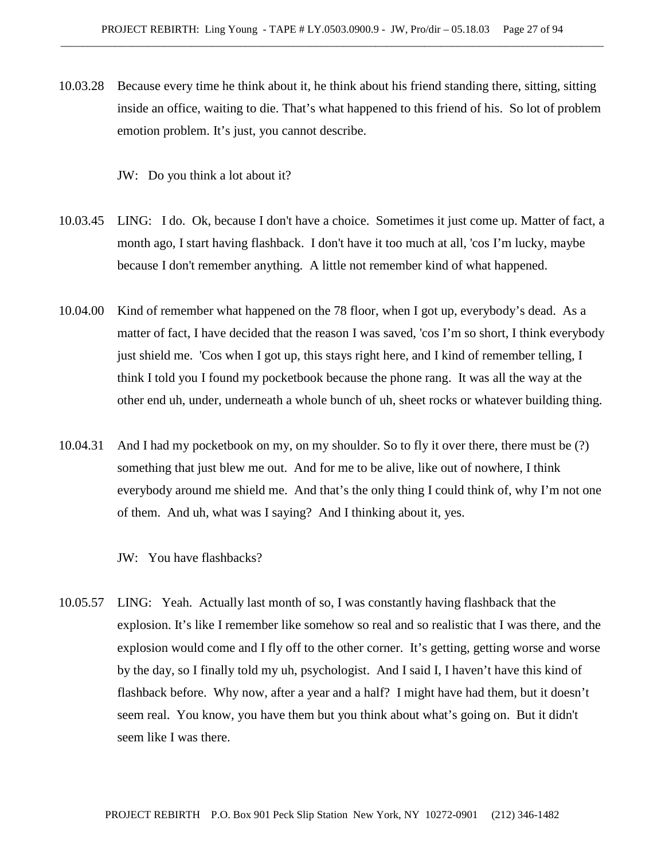10.03.28 Because every time he think about it, he think about his friend standing there, sitting, sitting inside an office, waiting to die. That's what happened to this friend of his. So lot of problem emotion problem. It's just, you cannot describe.

JW: Do you think a lot about it?

- 10.03.45 LING: I do. Ok, because I don't have a choice. Sometimes it just come up. Matter of fact, a month ago, I start having flashback. I don't have it too much at all, 'cos I'm lucky, maybe because I don't remember anything. A little not remember kind of what happened.
- 10.04.00 Kind of remember what happened on the 78 floor, when I got up, everybody's dead. As a matter of fact, I have decided that the reason I was saved, 'cos I'm so short, I think everybody just shield me. 'Cos when I got up, this stays right here, and I kind of remember telling, I think I told you I found my pocketbook because the phone rang. It was all the way at the other end uh, under, underneath a whole bunch of uh, sheet rocks or whatever building thing.
- 10.04.31 And I had my pocketbook on my, on my shoulder. So to fly it over there, there must be (?) something that just blew me out. And for me to be alive, like out of nowhere, I think everybody around me shield me. And that's the only thing I could think of, why I'm not one of them. And uh, what was I saying? And I thinking about it, yes.

JW: You have flashbacks?

10.05.57 LING: Yeah. Actually last month of so, I was constantly having flashback that the explosion. It's like I remember like somehow so real and so realistic that I was there, and the explosion would come and I fly off to the other corner. It's getting, getting worse and worse by the day, so I finally told my uh, psychologist. And I said I, I haven't have this kind of flashback before. Why now, after a year and a half? I might have had them, but it doesn't seem real. You know, you have them but you think about what's going on. But it didn't seem like I was there.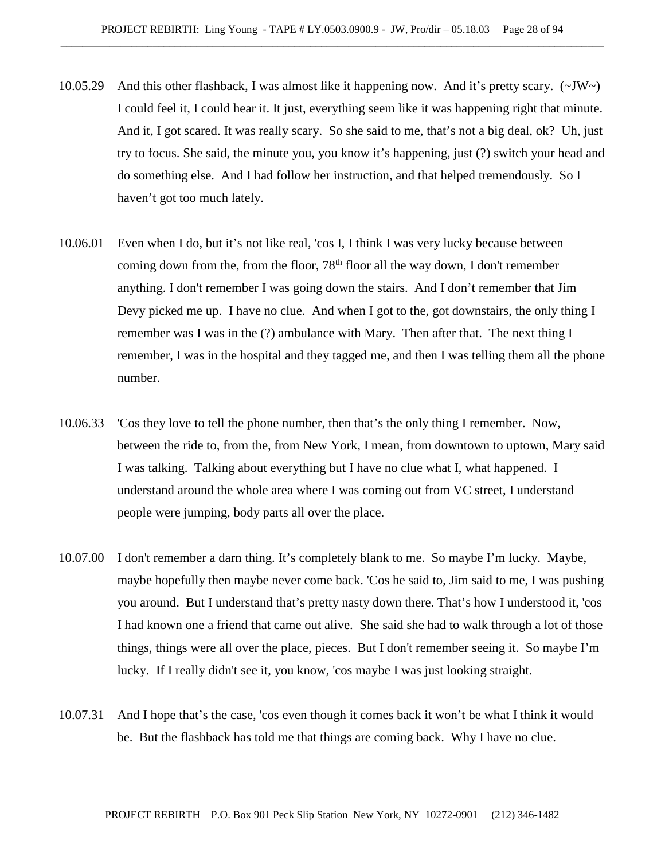- 10.05.29 And this other flashback, I was almost like it happening now. And it's pretty scary.  $(\sim JW)$ I could feel it, I could hear it. It just, everything seem like it was happening right that minute. And it, I got scared. It was really scary. So she said to me, that's not a big deal, ok? Uh, just try to focus. She said, the minute you, you know it's happening, just (?) switch your head and do something else. And I had follow her instruction, and that helped tremendously. So I haven't got too much lately.
- 10.06.01 Even when I do, but it's not like real, 'cos I, I think I was very lucky because between coming down from the, from the floor,  $78<sup>th</sup>$  floor all the way down, I don't remember anything. I don't remember I was going down the stairs. And I don't remember that Jim Devy picked me up. I have no clue. And when I got to the, got downstairs, the only thing I remember was I was in the (?) ambulance with Mary. Then after that. The next thing I remember, I was in the hospital and they tagged me, and then I was telling them all the phone number.
- 10.06.33 'Cos they love to tell the phone number, then that's the only thing I remember. Now, between the ride to, from the, from New York, I mean, from downtown to uptown, Mary said I was talking. Talking about everything but I have no clue what I, what happened. I understand around the whole area where I was coming out from VC street, I understand people were jumping, body parts all over the place.
- 10.07.00 I don't remember a darn thing. It's completely blank to me. So maybe I'm lucky. Maybe, maybe hopefully then maybe never come back. 'Cos he said to, Jim said to me, I was pushing you around. But I understand that's pretty nasty down there. That's how I understood it, 'cos I had known one a friend that came out alive. She said she had to walk through a lot of those things, things were all over the place, pieces. But I don't remember seeing it. So maybe I'm lucky. If I really didn't see it, you know, 'cos maybe I was just looking straight.
- 10.07.31 And I hope that's the case, 'cos even though it comes back it won't be what I think it would be. But the flashback has told me that things are coming back. Why I have no clue.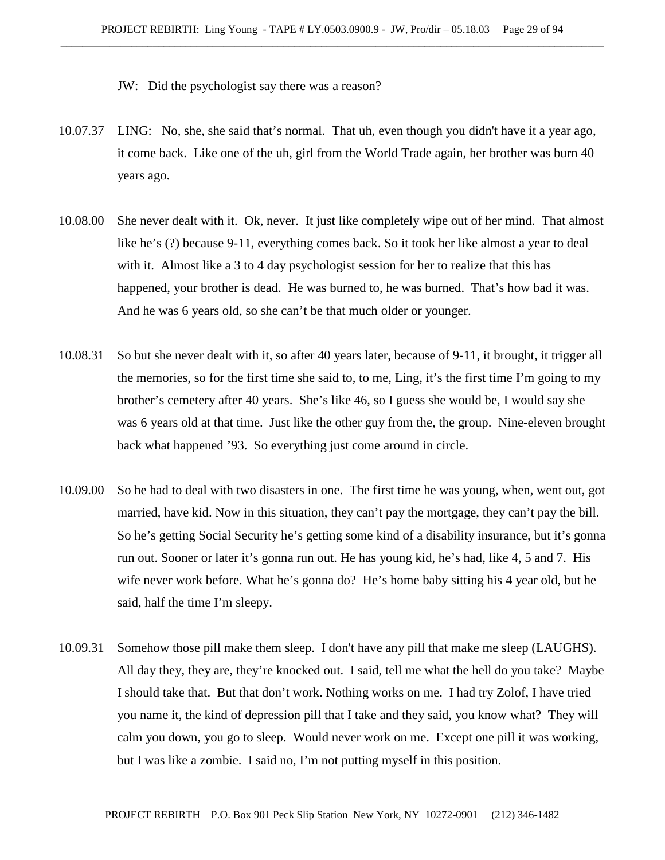JW: Did the psychologist say there was a reason?

- 10.07.37 LING: No, she, she said that's normal. That uh, even though you didn't have it a year ago, it come back. Like one of the uh, girl from the World Trade again, her brother was burn 40 years ago.
- 10.08.00 She never dealt with it. Ok, never. It just like completely wipe out of her mind. That almost like he's (?) because 9-11, everything comes back. So it took her like almost a year to deal with it. Almost like a 3 to 4 day psychologist session for her to realize that this has happened, your brother is dead. He was burned to, he was burned. That's how bad it was. And he was 6 years old, so she can't be that much older or younger.
- 10.08.31 So but she never dealt with it, so after 40 years later, because of 9-11, it brought, it trigger all the memories, so for the first time she said to, to me, Ling, it's the first time I'm going to my brother's cemetery after 40 years. She's like 46, so I guess she would be, I would say she was 6 years old at that time. Just like the other guy from the, the group. Nine-eleven brought back what happened '93. So everything just come around in circle.
- 10.09.00 So he had to deal with two disasters in one. The first time he was young, when, went out, got married, have kid. Now in this situation, they can't pay the mortgage, they can't pay the bill. So he's getting Social Security he's getting some kind of a disability insurance, but it's gonna run out. Sooner or later it's gonna run out. He has young kid, he's had, like 4, 5 and 7. His wife never work before. What he's gonna do? He's home baby sitting his 4 year old, but he said, half the time I'm sleepy.
- 10.09.31 Somehow those pill make them sleep. I don't have any pill that make me sleep (LAUGHS). All day they, they are, they're knocked out. I said, tell me what the hell do you take? Maybe I should take that. But that don't work. Nothing works on me. I had try Zolof, I have tried you name it, the kind of depression pill that I take and they said, you know what? They will calm you down, you go to sleep. Would never work on me. Except one pill it was working, but I was like a zombie. I said no, I'm not putting myself in this position.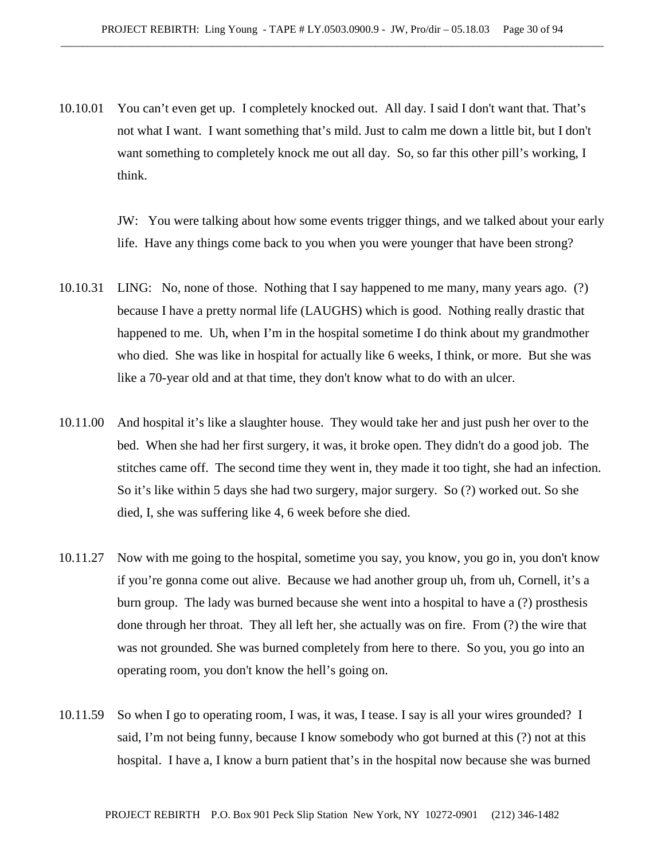10.10.01 You can't even get up. I completely knocked out. All day. I said I don't want that. That's not what I want. I want something that's mild. Just to calm me down a little bit, but I don't want something to completely knock me out all day. So, so far this other pill's working, I think.

> JW: You were talking about how some events trigger things, and we talked about your early life. Have any things come back to you when you were younger that have been strong?

- 10.10.31 LING: No, none of those. Nothing that I say happened to me many, many years ago. (?) because I have a pretty normal life (LAUGHS) which is good. Nothing really drastic that happened to me. Uh, when I'm in the hospital sometime I do think about my grandmother who died. She was like in hospital for actually like 6 weeks, I think, or more. But she was like a 70-year old and at that time, they don't know what to do with an ulcer.
- 10.11.00 And hospital it's like a slaughter house. They would take her and just push her over to the bed. When she had her first surgery, it was, it broke open. They didn't do a good job. The stitches came off. The second time they went in, they made it too tight, she had an infection. So it's like within 5 days she had two surgery, major surgery. So (?) worked out. So she died, I, she was suffering like 4, 6 week before she died.
- 10.11.27 Now with me going to the hospital, sometime you say, you know, you go in, you don't know if you're gonna come out alive. Because we had another group uh, from uh, Cornell, it's a burn group. The lady was burned because she went into a hospital to have a (?) prosthesis done through her throat. They all left her, she actually was on fire. From (?) the wire that was not grounded. She was burned completely from here to there. So you, you go into an operating room, you don't know the hell's going on.
- 10.11.59 So when I go to operating room, I was, it was, I tease. I say is all your wires grounded? I said, I'm not being funny, because I know somebody who got burned at this (?) not at this hospital. I have a, I know a burn patient that's in the hospital now because she was burned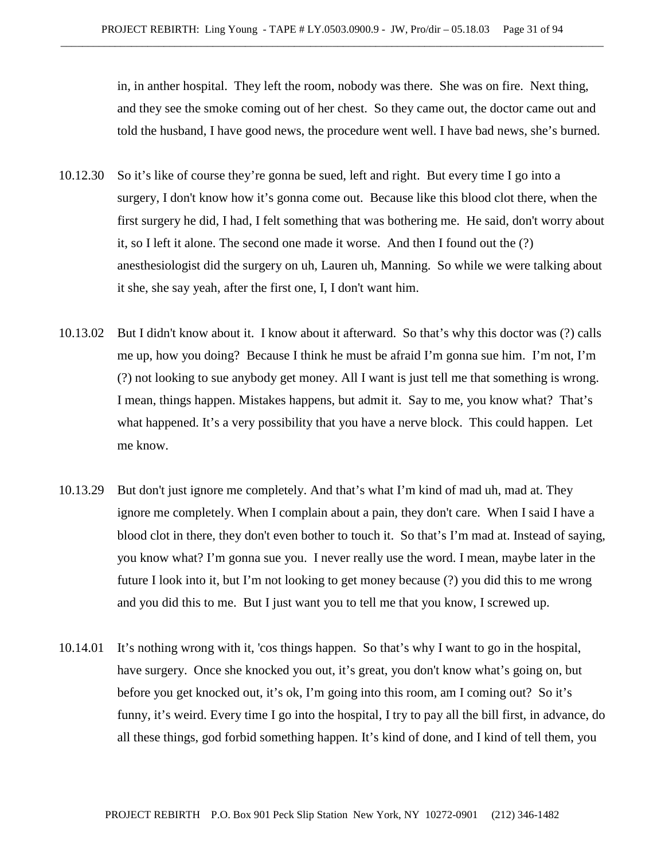in, in anther hospital. They left the room, nobody was there. She was on fire. Next thing, and they see the smoke coming out of her chest. So they came out, the doctor came out and told the husband, I have good news, the procedure went well. I have bad news, she's burned.

- 10.12.30 So it's like of course they're gonna be sued, left and right. But every time I go into a surgery, I don't know how it's gonna come out. Because like this blood clot there, when the first surgery he did, I had, I felt something that was bothering me. He said, don't worry about it, so I left it alone. The second one made it worse. And then I found out the (?) anesthesiologist did the surgery on uh, Lauren uh, Manning. So while we were talking about it she, she say yeah, after the first one, I, I don't want him.
- 10.13.02 But I didn't know about it. I know about it afterward. So that's why this doctor was (?) calls me up, how you doing? Because I think he must be afraid I'm gonna sue him. I'm not, I'm (?) not looking to sue anybody get money. All I want is just tell me that something is wrong. I mean, things happen. Mistakes happens, but admit it. Say to me, you know what? That's what happened. It's a very possibility that you have a nerve block. This could happen. Let me know.
- 10.13.29 But don't just ignore me completely. And that's what I'm kind of mad uh, mad at. They ignore me completely. When I complain about a pain, they don't care. When I said I have a blood clot in there, they don't even bother to touch it. So that's I'm mad at. Instead of saying, you know what? I'm gonna sue you. I never really use the word. I mean, maybe later in the future I look into it, but I'm not looking to get money because (?) you did this to me wrong and you did this to me. But I just want you to tell me that you know, I screwed up.
- 10.14.01 It's nothing wrong with it, 'cos things happen. So that's why I want to go in the hospital, have surgery. Once she knocked you out, it's great, you don't know what's going on, but before you get knocked out, it's ok, I'm going into this room, am I coming out? So it's funny, it's weird. Every time I go into the hospital, I try to pay all the bill first, in advance, do all these things, god forbid something happen. It's kind of done, and I kind of tell them, you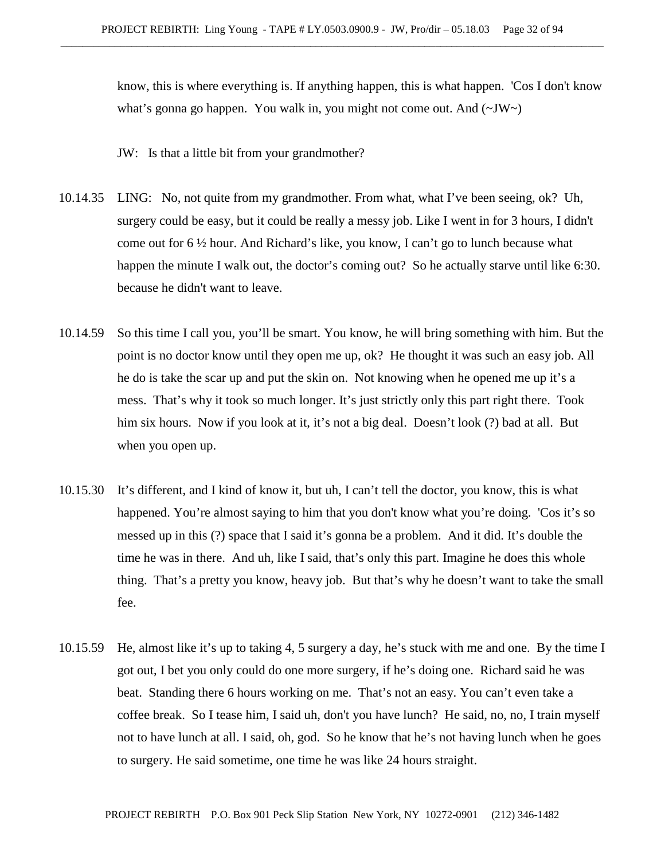know, this is where everything is. If anything happen, this is what happen. 'Cos I don't know what's gonna go happen. You walk in, you might not come out. And  $(\sim JW)$ 

JW: Is that a little bit from your grandmother?

- 10.14.35 LING: No, not quite from my grandmother. From what, what I've been seeing, ok? Uh, surgery could be easy, but it could be really a messy job. Like I went in for 3 hours, I didn't come out for  $6\frac{1}{2}$  hour. And Richard's like, you know, I can't go to lunch because what happen the minute I walk out, the doctor's coming out? So he actually starve until like 6:30. because he didn't want to leave.
- 10.14.59 So this time I call you, you'll be smart. You know, he will bring something with him. But the point is no doctor know until they open me up, ok? He thought it was such an easy job. All he do is take the scar up and put the skin on. Not knowing when he opened me up it's a mess. That's why it took so much longer. It's just strictly only this part right there. Took him six hours. Now if you look at it, it's not a big deal. Doesn't look (?) bad at all. But when you open up.
- 10.15.30 It's different, and I kind of know it, but uh, I can't tell the doctor, you know, this is what happened. You're almost saying to him that you don't know what you're doing. 'Cos it's so messed up in this (?) space that I said it's gonna be a problem. And it did. It's double the time he was in there. And uh, like I said, that's only this part. Imagine he does this whole thing. That's a pretty you know, heavy job. But that's why he doesn't want to take the small fee.
- 10.15.59 He, almost like it's up to taking 4, 5 surgery a day, he's stuck with me and one. By the time I got out, I bet you only could do one more surgery, if he's doing one. Richard said he was beat. Standing there 6 hours working on me. That's not an easy. You can't even take a coffee break. So I tease him, I said uh, don't you have lunch? He said, no, no, I train myself not to have lunch at all. I said, oh, god. So he know that he's not having lunch when he goes to surgery. He said sometime, one time he was like 24 hours straight.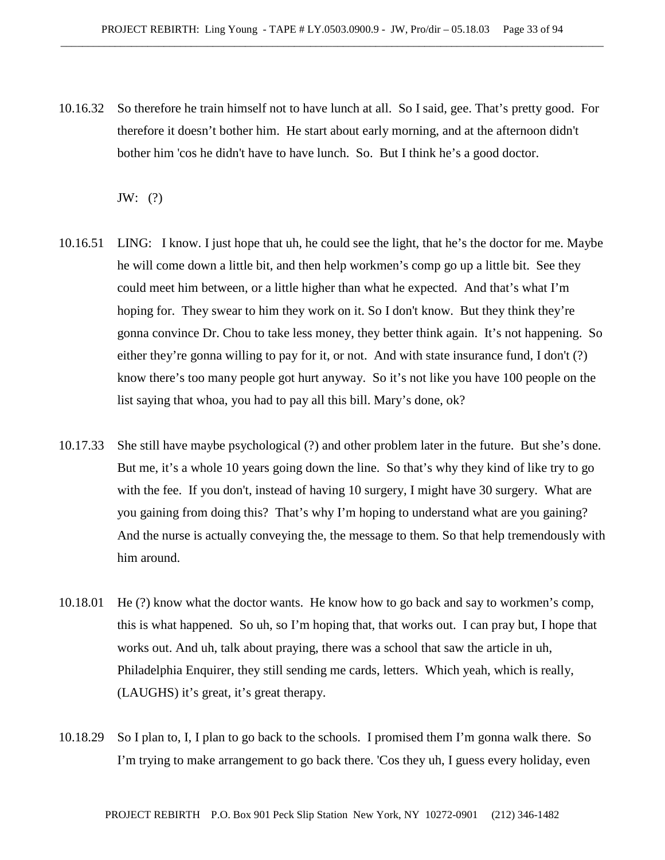10.16.32 So therefore he train himself not to have lunch at all. So I said, gee. That's pretty good. For therefore it doesn't bother him. He start about early morning, and at the afternoon didn't bother him 'cos he didn't have to have lunch. So. But I think he's a good doctor.

JW: (?)

- 10.16.51 LING: I know. I just hope that uh, he could see the light, that he's the doctor for me. Maybe he will come down a little bit, and then help workmen's comp go up a little bit. See they could meet him between, or a little higher than what he expected. And that's what I'm hoping for. They swear to him they work on it. So I don't know. But they think they're gonna convince Dr. Chou to take less money, they better think again. It's not happening. So either they're gonna willing to pay for it, or not. And with state insurance fund, I don't (?) know there's too many people got hurt anyway. So it's not like you have 100 people on the list saying that whoa, you had to pay all this bill. Mary's done, ok?
- 10.17.33 She still have maybe psychological (?) and other problem later in the future. But she's done. But me, it's a whole 10 years going down the line. So that's why they kind of like try to go with the fee. If you don't, instead of having 10 surgery, I might have 30 surgery. What are you gaining from doing this? That's why I'm hoping to understand what are you gaining? And the nurse is actually conveying the, the message to them. So that help tremendously with him around.
- 10.18.01 He (?) know what the doctor wants. He know how to go back and say to workmen's comp, this is what happened. So uh, so I'm hoping that, that works out. I can pray but, I hope that works out. And uh, talk about praying, there was a school that saw the article in uh, Philadelphia Enquirer, they still sending me cards, letters. Which yeah, which is really, (LAUGHS) it's great, it's great therapy.
- 10.18.29 So I plan to, I, I plan to go back to the schools. I promised them I'm gonna walk there. So I'm trying to make arrangement to go back there. 'Cos they uh, I guess every holiday, even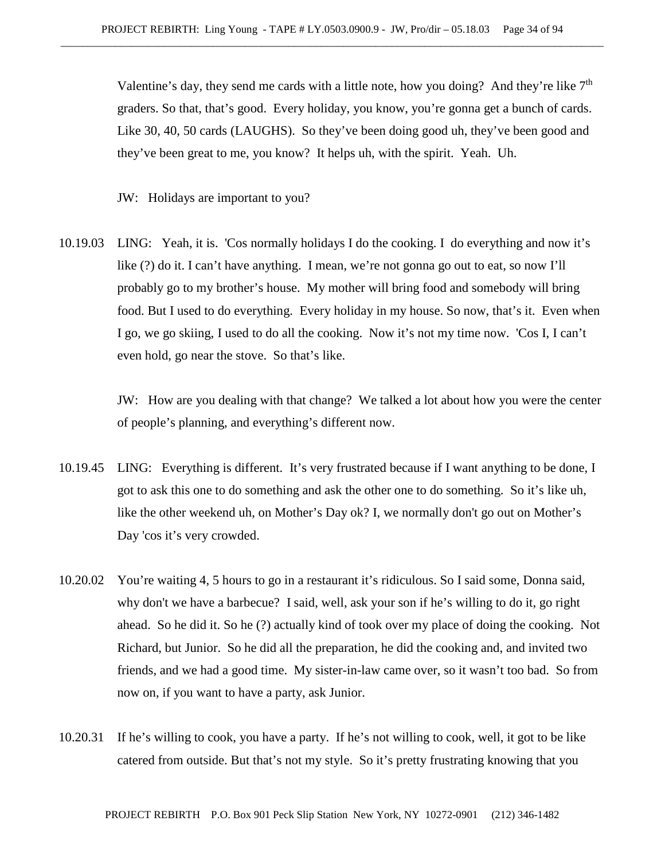Valentine's day, they send me cards with a little note, how you doing? And they're like  $7<sup>th</sup>$ graders. So that, that's good. Every holiday, you know, you're gonna get a bunch of cards. Like 30, 40, 50 cards (LAUGHS). So they've been doing good uh, they've been good and they've been great to me, you know? It helps uh, with the spirit. Yeah. Uh.

JW: Holidays are important to you?

10.19.03 LING: Yeah, it is. 'Cos normally holidays I do the cooking. I do everything and now it's like (?) do it. I can't have anything. I mean, we're not gonna go out to eat, so now I'll probably go to my brother's house. My mother will bring food and somebody will bring food. But I used to do everything. Every holiday in my house. So now, that's it. Even when I go, we go skiing, I used to do all the cooking. Now it's not my time now. 'Cos I, I can't even hold, go near the stove. So that's like.

> JW: How are you dealing with that change? We talked a lot about how you were the center of people's planning, and everything's different now.

- 10.19.45 LING: Everything is different. It's very frustrated because if I want anything to be done, I got to ask this one to do something and ask the other one to do something. So it's like uh, like the other weekend uh, on Mother's Day ok? I, we normally don't go out on Mother's Day 'cos it's very crowded.
- 10.20.02 You're waiting 4, 5 hours to go in a restaurant it's ridiculous. So I said some, Donna said, why don't we have a barbecue? I said, well, ask your son if he's willing to do it, go right ahead. So he did it. So he (?) actually kind of took over my place of doing the cooking. Not Richard, but Junior. So he did all the preparation, he did the cooking and, and invited two friends, and we had a good time. My sister-in-law came over, so it wasn't too bad. So from now on, if you want to have a party, ask Junior.
- 10.20.31 If he's willing to cook, you have a party. If he's not willing to cook, well, it got to be like catered from outside. But that's not my style. So it's pretty frustrating knowing that you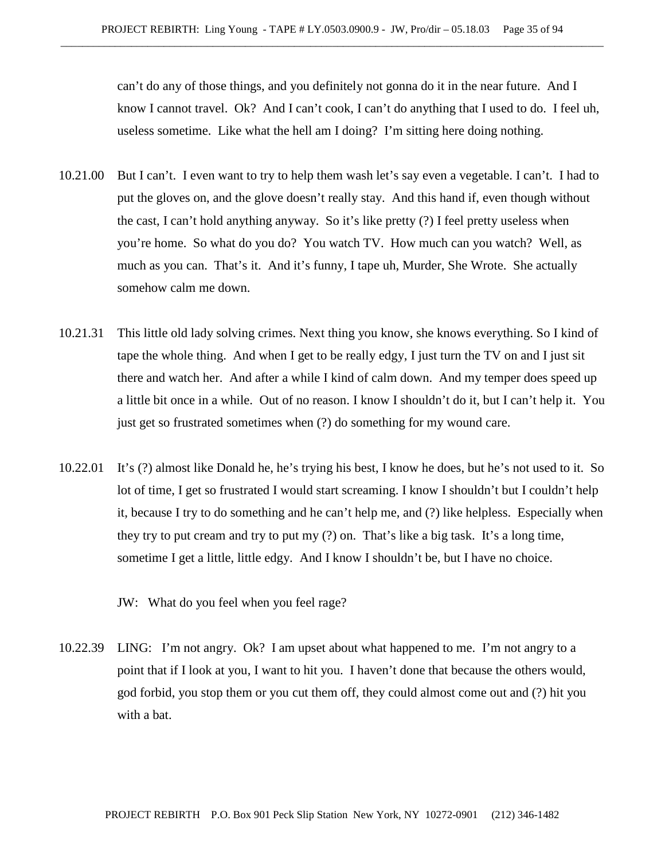can't do any of those things, and you definitely not gonna do it in the near future. And I know I cannot travel. Ok? And I can't cook, I can't do anything that I used to do. I feel uh, useless sometime. Like what the hell am I doing? I'm sitting here doing nothing.

- 10.21.00 But I can't. I even want to try to help them wash let's say even a vegetable. I can't. I had to put the gloves on, and the glove doesn't really stay. And this hand if, even though without the cast, I can't hold anything anyway. So it's like pretty (?) I feel pretty useless when you're home. So what do you do? You watch TV. How much can you watch? Well, as much as you can. That's it. And it's funny, I tape uh, Murder, She Wrote. She actually somehow calm me down.
- 10.21.31 This little old lady solving crimes. Next thing you know, she knows everything. So I kind of tape the whole thing. And when I get to be really edgy, I just turn the TV on and I just sit there and watch her. And after a while I kind of calm down. And my temper does speed up a little bit once in a while. Out of no reason. I know I shouldn't do it, but I can't help it. You just get so frustrated sometimes when (?) do something for my wound care.
- 10.22.01 It's (?) almost like Donald he, he's trying his best, I know he does, but he's not used to it. So lot of time, I get so frustrated I would start screaming. I know I shouldn't but I couldn't help it, because I try to do something and he can't help me, and (?) like helpless. Especially when they try to put cream and try to put my (?) on. That's like a big task. It's a long time, sometime I get a little, little edgy. And I know I shouldn't be, but I have no choice.

JW: What do you feel when you feel rage?

10.22.39 LING: I'm not angry. Ok? I am upset about what happened to me. I'm not angry to a point that if I look at you, I want to hit you. I haven't done that because the others would, god forbid, you stop them or you cut them off, they could almost come out and (?) hit you with a bat.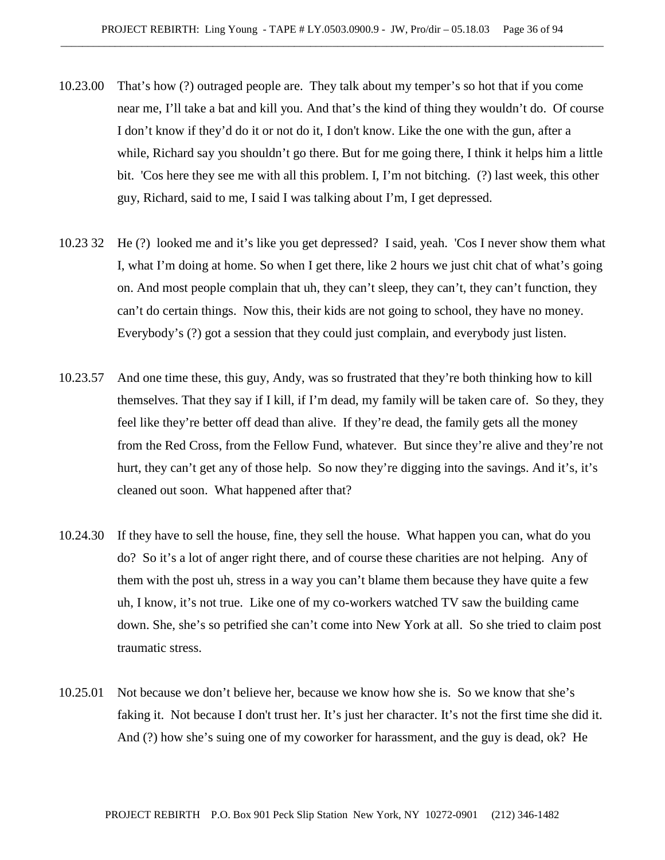- 10.23.00 That's how (?) outraged people are. They talk about my temper's so hot that if you come near me, I'll take a bat and kill you. And that's the kind of thing they wouldn't do. Of course I don't know if they'd do it or not do it, I don't know. Like the one with the gun, after a while, Richard say you shouldn't go there. But for me going there, I think it helps him a little bit. 'Cos here they see me with all this problem. I, I'm not bitching. (?) last week, this other guy, Richard, said to me, I said I was talking about I'm, I get depressed.
- 10.23 32 He (?) looked me and it's like you get depressed? I said, yeah. 'Cos I never show them what I, what I'm doing at home. So when I get there, like 2 hours we just chit chat of what's going on. And most people complain that uh, they can't sleep, they can't, they can't function, they can't do certain things. Now this, their kids are not going to school, they have no money. Everybody's (?) got a session that they could just complain, and everybody just listen.
- 10.23.57 And one time these, this guy, Andy, was so frustrated that they're both thinking how to kill themselves. That they say if I kill, if I'm dead, my family will be taken care of. So they, they feel like they're better off dead than alive. If they're dead, the family gets all the money from the Red Cross, from the Fellow Fund, whatever. But since they're alive and they're not hurt, they can't get any of those help. So now they're digging into the savings. And it's, it's cleaned out soon. What happened after that?
- 10.24.30 If they have to sell the house, fine, they sell the house. What happen you can, what do you do? So it's a lot of anger right there, and of course these charities are not helping. Any of them with the post uh, stress in a way you can't blame them because they have quite a few uh, I know, it's not true. Like one of my co-workers watched TV saw the building came down. She, she's so petrified she can't come into New York at all. So she tried to claim post traumatic stress.
- 10.25.01 Not because we don't believe her, because we know how she is. So we know that she's faking it. Not because I don't trust her. It's just her character. It's not the first time she did it. And (?) how she's suing one of my coworker for harassment, and the guy is dead, ok? He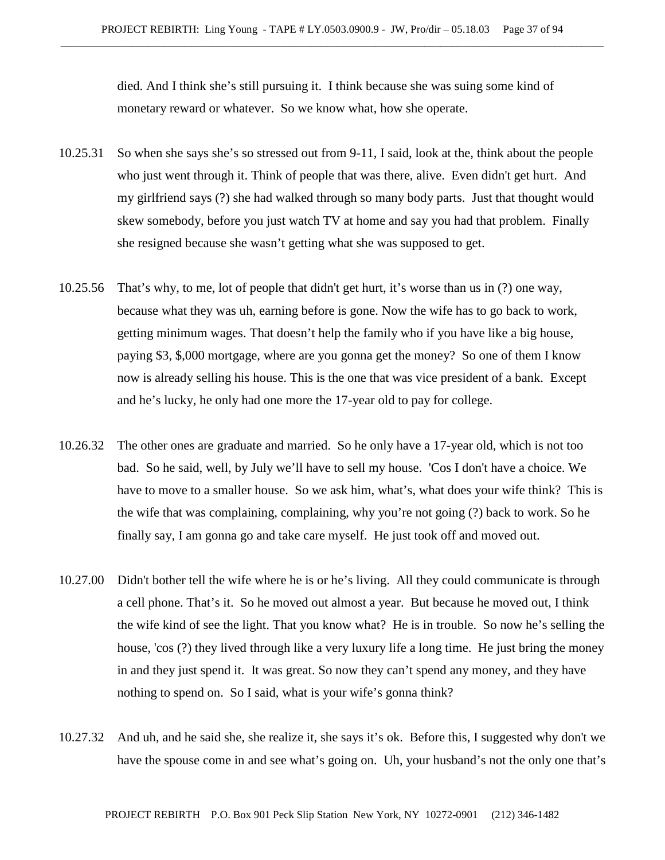died. And I think she's still pursuing it. I think because she was suing some kind of monetary reward or whatever. So we know what, how she operate.

- 10.25.31 So when she says she's so stressed out from 9-11, I said, look at the, think about the people who just went through it. Think of people that was there, alive. Even didn't get hurt. And my girlfriend says (?) she had walked through so many body parts. Just that thought would skew somebody, before you just watch TV at home and say you had that problem. Finally she resigned because she wasn't getting what she was supposed to get.
- 10.25.56 That's why, to me, lot of people that didn't get hurt, it's worse than us in (?) one way, because what they was uh, earning before is gone. Now the wife has to go back to work, getting minimum wages. That doesn't help the family who if you have like a big house, paying \$3, \$,000 mortgage, where are you gonna get the money? So one of them I know now is already selling his house. This is the one that was vice president of a bank. Except and he's lucky, he only had one more the 17-year old to pay for college.
- 10.26.32 The other ones are graduate and married. So he only have a 17-year old, which is not too bad. So he said, well, by July we'll have to sell my house. 'Cos I don't have a choice. We have to move to a smaller house. So we ask him, what's, what does your wife think? This is the wife that was complaining, complaining, why you're not going (?) back to work. So he finally say, I am gonna go and take care myself. He just took off and moved out.
- 10.27.00 Didn't bother tell the wife where he is or he's living. All they could communicate is through a cell phone. That's it. So he moved out almost a year. But because he moved out, I think the wife kind of see the light. That you know what? He is in trouble. So now he's selling the house, 'cos (?) they lived through like a very luxury life a long time. He just bring the money in and they just spend it. It was great. So now they can't spend any money, and they have nothing to spend on. So I said, what is your wife's gonna think?
- 10.27.32 And uh, and he said she, she realize it, she says it's ok. Before this, I suggested why don't we have the spouse come in and see what's going on. Uh, your husband's not the only one that's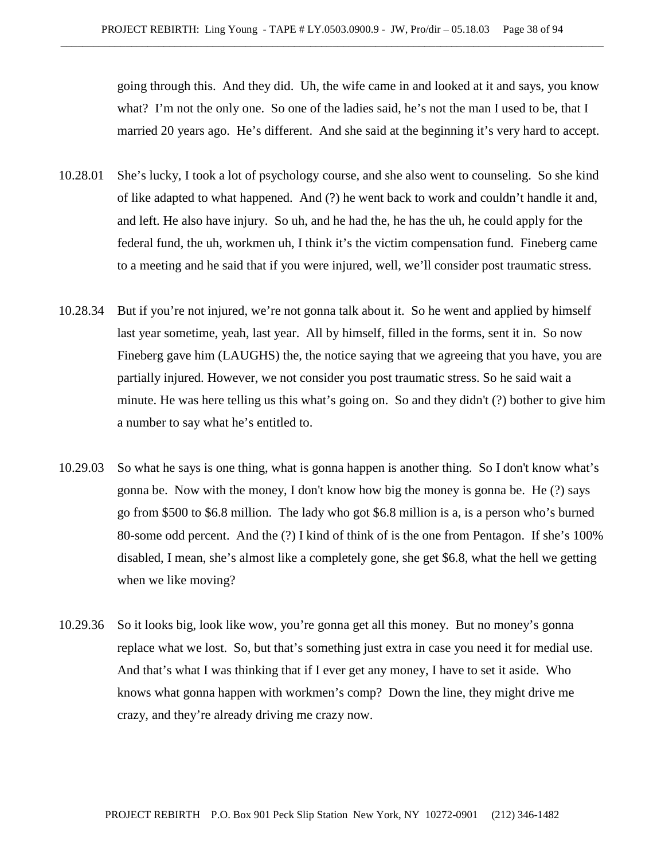going through this. And they did. Uh, the wife came in and looked at it and says, you know what? I'm not the only one. So one of the ladies said, he's not the man I used to be, that I married 20 years ago. He's different. And she said at the beginning it's very hard to accept.

- 10.28.01 She's lucky, I took a lot of psychology course, and she also went to counseling. So she kind of like adapted to what happened. And (?) he went back to work and couldn't handle it and, and left. He also have injury. So uh, and he had the, he has the uh, he could apply for the federal fund, the uh, workmen uh, I think it's the victim compensation fund. Fineberg came to a meeting and he said that if you were injured, well, we'll consider post traumatic stress.
- 10.28.34 But if you're not injured, we're not gonna talk about it. So he went and applied by himself last year sometime, yeah, last year. All by himself, filled in the forms, sent it in. So now Fineberg gave him (LAUGHS) the, the notice saying that we agreeing that you have, you are partially injured. However, we not consider you post traumatic stress. So he said wait a minute. He was here telling us this what's going on. So and they didn't (?) bother to give him a number to say what he's entitled to.
- 10.29.03 So what he says is one thing, what is gonna happen is another thing. So I don't know what's gonna be. Now with the money, I don't know how big the money is gonna be. He (?) says go from \$500 to \$6.8 million. The lady who got \$6.8 million is a, is a person who's burned 80-some odd percent. And the (?) I kind of think of is the one from Pentagon. If she's 100% disabled, I mean, she's almost like a completely gone, she get \$6.8, what the hell we getting when we like moving?
- 10.29.36 So it looks big, look like wow, you're gonna get all this money. But no money's gonna replace what we lost. So, but that's something just extra in case you need it for medial use. And that's what I was thinking that if I ever get any money, I have to set it aside. Who knows what gonna happen with workmen's comp? Down the line, they might drive me crazy, and they're already driving me crazy now.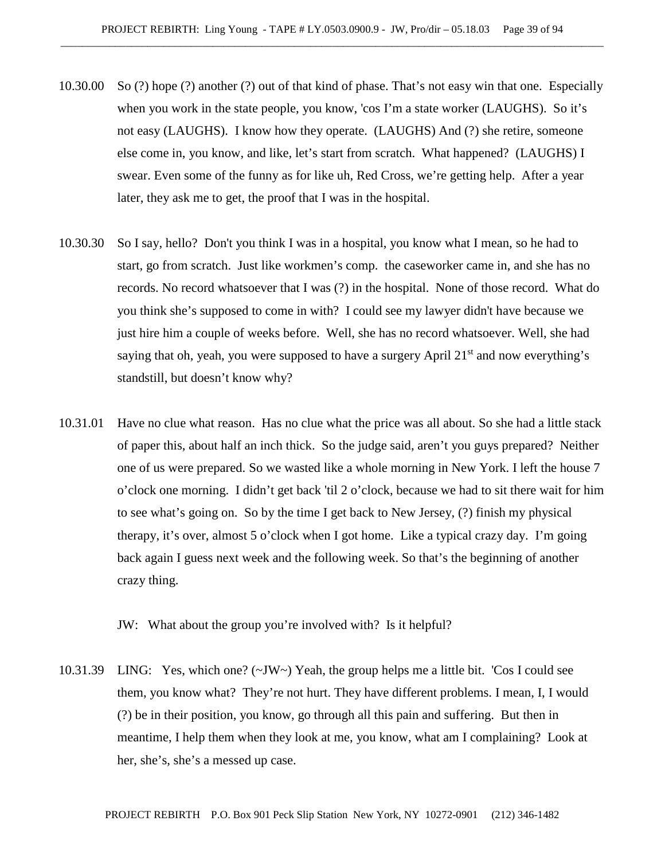- 10.30.00 So (?) hope (?) another (?) out of that kind of phase. That's not easy win that one. Especially when you work in the state people, you know, 'cos I'm a state worker (LAUGHS). So it's not easy (LAUGHS). I know how they operate. (LAUGHS) And (?) she retire, someone else come in, you know, and like, let's start from scratch. What happened? (LAUGHS) I swear. Even some of the funny as for like uh, Red Cross, we're getting help. After a year later, they ask me to get, the proof that I was in the hospital.
- 10.30.30 So I say, hello? Don't you think I was in a hospital, you know what I mean, so he had to start, go from scratch. Just like workmen's comp. the caseworker came in, and she has no records. No record whatsoever that I was (?) in the hospital. None of those record. What do you think she's supposed to come in with? I could see my lawyer didn't have because we just hire him a couple of weeks before. Well, she has no record whatsoever. Well, she had saying that oh, yeah, you were supposed to have a surgery April  $21<sup>st</sup>$  and now everything's standstill, but doesn't know why?
- 10.31.01 Have no clue what reason. Has no clue what the price was all about. So she had a little stack of paper this, about half an inch thick. So the judge said, aren't you guys prepared? Neither one of us were prepared. So we wasted like a whole morning in New York. I left the house 7 o'clock one morning. I didn't get back 'til 2 o'clock, because we had to sit there wait for him to see what's going on. So by the time I get back to New Jersey, (?) finish my physical therapy, it's over, almost 5 o'clock when I got home. Like a typical crazy day. I'm going back again I guess next week and the following week. So that's the beginning of another crazy thing.

JW: What about the group you're involved with? Is it helpful?

10.31.39 LING: Yes, which one? (~JW~) Yeah, the group helps me a little bit. 'Cos I could see them, you know what? They're not hurt. They have different problems. I mean, I, I would (?) be in their position, you know, go through all this pain and suffering. But then in meantime, I help them when they look at me, you know, what am I complaining? Look at her, she's, she's a messed up case.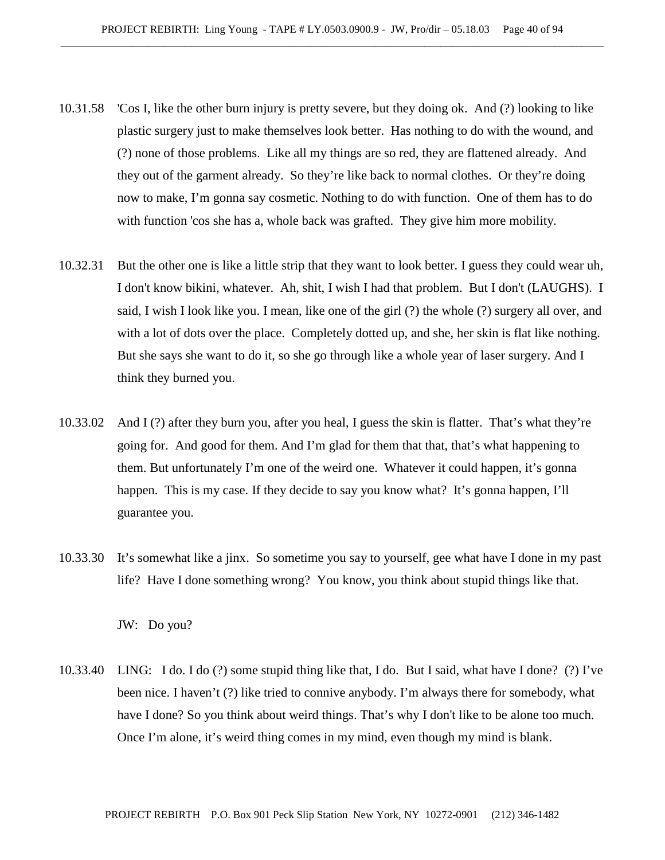- 10.31.58 'Cos I, like the other burn injury is pretty severe, but they doing ok. And (?) looking to like plastic surgery just to make themselves look better. Has nothing to do with the wound, and (?) none of those problems. Like all my things are so red, they are flattened already. And they out of the garment already. So they're like back to normal clothes. Or they're doing now to make, I'm gonna say cosmetic. Nothing to do with function. One of them has to do with function 'cos she has a, whole back was grafted. They give him more mobility.
- 10.32.31 But the other one is like a little strip that they want to look better. I guess they could wear uh, I don't know bikini, whatever. Ah, shit, I wish I had that problem. But I don't (LAUGHS). I said, I wish I look like you. I mean, like one of the girl (?) the whole (?) surgery all over, and with a lot of dots over the place. Completely dotted up, and she, her skin is flat like nothing. But she says she want to do it, so she go through like a whole year of laser surgery. And I think they burned you.
- 10.33.02 And I (?) after they burn you, after you heal, I guess the skin is flatter. That's what they're going for. And good for them. And I'm glad for them that that, that's what happening to them. But unfortunately I'm one of the weird one. Whatever it could happen, it's gonna happen. This is my case. If they decide to say you know what? It's gonna happen, I'll guarantee you.
- 10.33.30 It's somewhat like a jinx. So sometime you say to yourself, gee what have I done in my past life? Have I done something wrong? You know, you think about stupid things like that.

JW: Do you?

10.33.40 LING: I do. I do (?) some stupid thing like that, I do. But I said, what have I done? (?) I've been nice. I haven't (?) like tried to connive anybody. I'm always there for somebody, what have I done? So you think about weird things. That's why I don't like to be alone too much. Once I'm alone, it's weird thing comes in my mind, even though my mind is blank.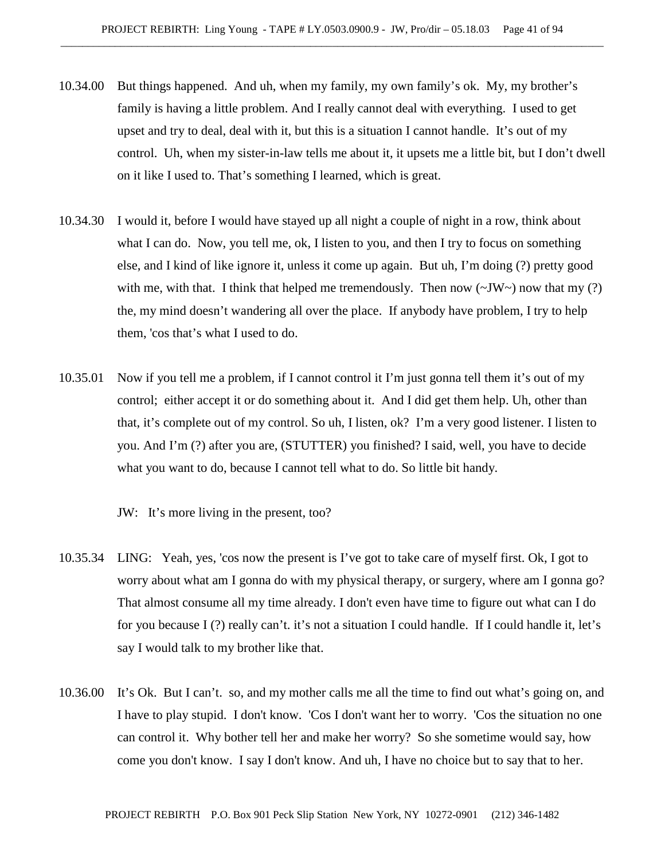- 10.34.00 But things happened. And uh, when my family, my own family's ok. My, my brother's family is having a little problem. And I really cannot deal with everything. I used to get upset and try to deal, deal with it, but this is a situation I cannot handle. It's out of my control. Uh, when my sister-in-law tells me about it, it upsets me a little bit, but I don't dwell on it like I used to. That's something I learned, which is great.
- 10.34.30 I would it, before I would have stayed up all night a couple of night in a row, think about what I can do. Now, you tell me, ok, I listen to you, and then I try to focus on something else, and I kind of like ignore it, unless it come up again. But uh, I'm doing (?) pretty good with me, with that. I think that helped me tremendously. Then now  $(\sim JW \sim)$  now that my (?) the, my mind doesn't wandering all over the place. If anybody have problem, I try to help them, 'cos that's what I used to do.
- 10.35.01 Now if you tell me a problem, if I cannot control it I'm just gonna tell them it's out of my control; either accept it or do something about it. And I did get them help. Uh, other than that, it's complete out of my control. So uh, I listen, ok? I'm a very good listener. I listen to you. And I'm (?) after you are, (STUTTER) you finished? I said, well, you have to decide what you want to do, because I cannot tell what to do. So little bit handy.

JW: It's more living in the present, too?

- 10.35.34 LING: Yeah, yes, 'cos now the present is I've got to take care of myself first. Ok, I got to worry about what am I gonna do with my physical therapy, or surgery, where am I gonna go? That almost consume all my time already. I don't even have time to figure out what can I do for you because I (?) really can't. it's not a situation I could handle. If I could handle it, let's say I would talk to my brother like that.
- 10.36.00 It's Ok. But I can't. so, and my mother calls me all the time to find out what's going on, and I have to play stupid. I don't know. 'Cos I don't want her to worry. 'Cos the situation no one can control it. Why bother tell her and make her worry? So she sometime would say, how come you don't know. I say I don't know. And uh, I have no choice but to say that to her.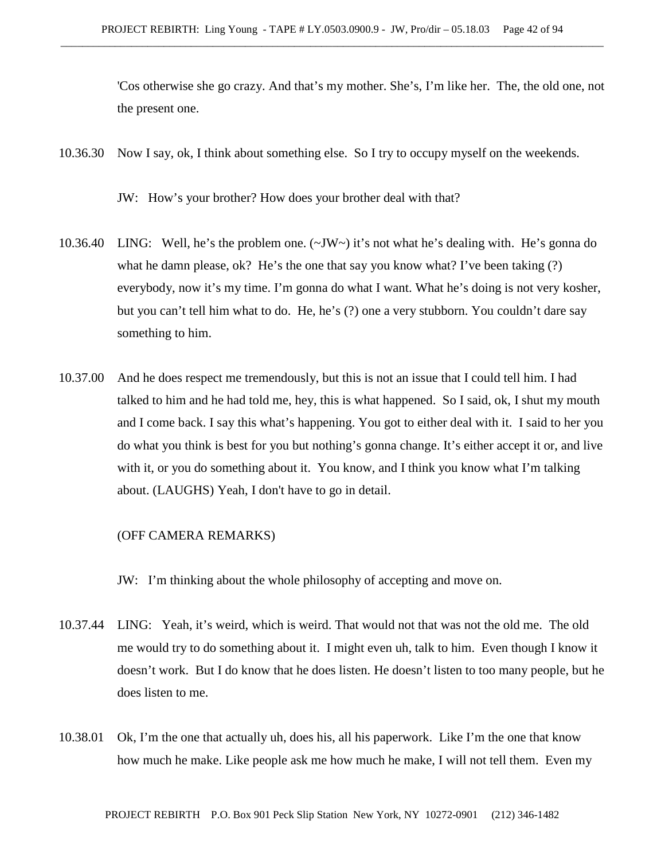'Cos otherwise she go crazy. And that's my mother. She's, I'm like her. The, the old one, not the present one.

10.36.30 Now I say, ok, I think about something else. So I try to occupy myself on the weekends.

JW: How's your brother? How does your brother deal with that?

- 10.36.40 LING: Well, he's the problem one.  $(\sim JW \sim)$  it's not what he's dealing with. He's gonna do what he damn please, ok? He's the one that say you know what? I've been taking  $(?)$ everybody, now it's my time. I'm gonna do what I want. What he's doing is not very kosher, but you can't tell him what to do. He, he's (?) one a very stubborn. You couldn't dare say something to him.
- 10.37.00 And he does respect me tremendously, but this is not an issue that I could tell him. I had talked to him and he had told me, hey, this is what happened. So I said, ok, I shut my mouth and I come back. I say this what's happening. You got to either deal with it. I said to her you do what you think is best for you but nothing's gonna change. It's either accept it or, and live with it, or you do something about it. You know, and I think you know what I'm talking about. (LAUGHS) Yeah, I don't have to go in detail.

### (OFF CAMERA REMARKS)

JW: I'm thinking about the whole philosophy of accepting and move on.

- 10.37.44 LING: Yeah, it's weird, which is weird. That would not that was not the old me. The old me would try to do something about it. I might even uh, talk to him. Even though I know it doesn't work. But I do know that he does listen. He doesn't listen to too many people, but he does listen to me.
- 10.38.01 Ok, I'm the one that actually uh, does his, all his paperwork. Like I'm the one that know how much he make. Like people ask me how much he make, I will not tell them. Even my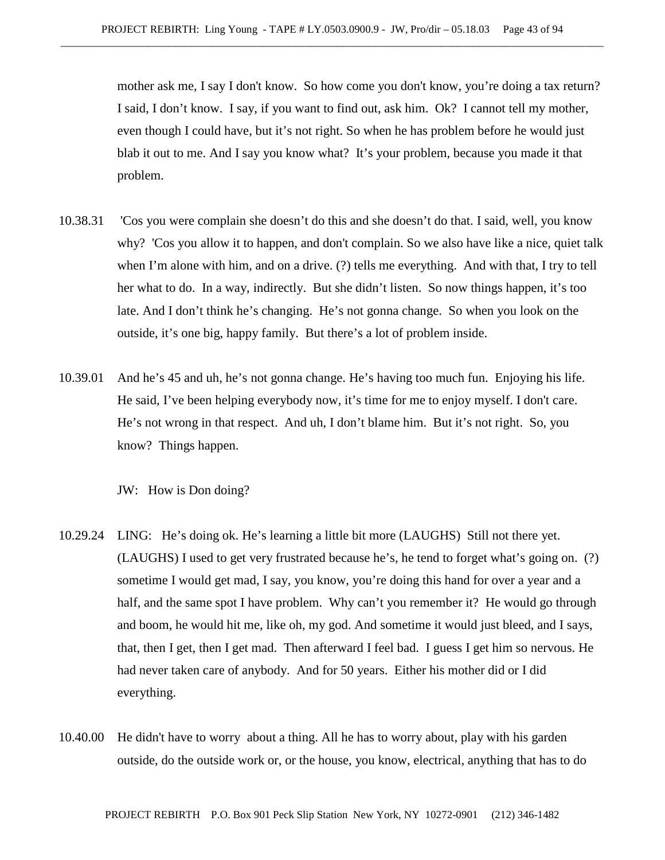mother ask me, I say I don't know. So how come you don't know, you're doing a tax return? I said, I don't know. I say, if you want to find out, ask him. Ok? I cannot tell my mother, even though I could have, but it's not right. So when he has problem before he would just blab it out to me. And I say you know what? It's your problem, because you made it that problem.

- 10.38.31 'Cos you were complain she doesn't do this and she doesn't do that. I said, well, you know why? 'Cos you allow it to happen, and don't complain. So we also have like a nice, quiet talk when I'm alone with him, and on a drive. (?) tells me everything. And with that, I try to tell her what to do. In a way, indirectly. But she didn't listen. So now things happen, it's too late. And I don't think he's changing. He's not gonna change. So when you look on the outside, it's one big, happy family. But there's a lot of problem inside.
- 10.39.01 And he's 45 and uh, he's not gonna change. He's having too much fun. Enjoying his life. He said, I've been helping everybody now, it's time for me to enjoy myself. I don't care. He's not wrong in that respect. And uh, I don't blame him. But it's not right. So, you know? Things happen.

JW: How is Don doing?

- 10.29.24 LING: He's doing ok. He's learning a little bit more (LAUGHS) Still not there yet. (LAUGHS) I used to get very frustrated because he's, he tend to forget what's going on. (?) sometime I would get mad, I say, you know, you're doing this hand for over a year and a half, and the same spot I have problem. Why can't you remember it? He would go through and boom, he would hit me, like oh, my god. And sometime it would just bleed, and I says, that, then I get, then I get mad. Then afterward I feel bad. I guess I get him so nervous. He had never taken care of anybody. And for 50 years. Either his mother did or I did everything.
- 10.40.00 He didn't have to worry about a thing. All he has to worry about, play with his garden outside, do the outside work or, or the house, you know, electrical, anything that has to do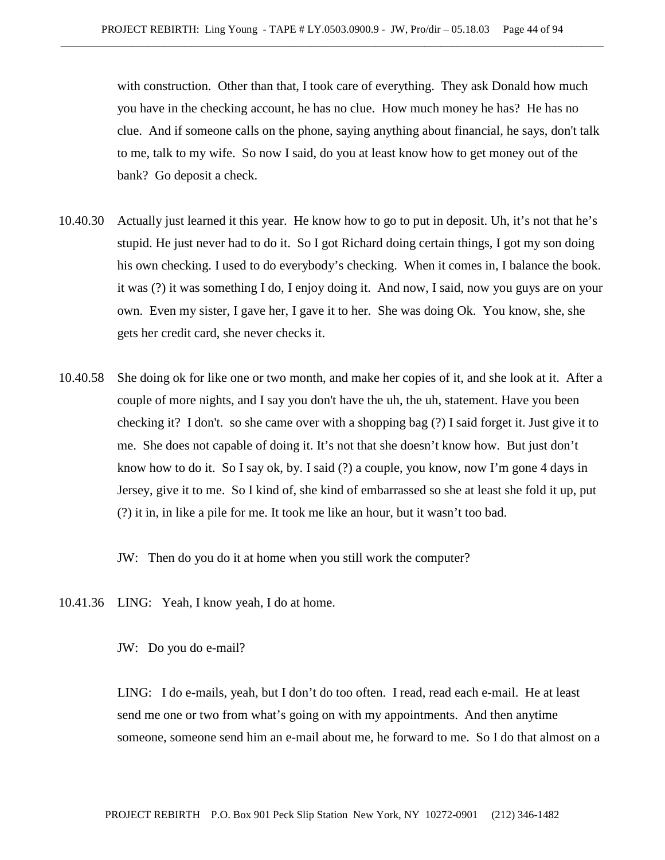with construction. Other than that, I took care of everything. They ask Donald how much you have in the checking account, he has no clue. How much money he has? He has no clue. And if someone calls on the phone, saying anything about financial, he says, don't talk to me, talk to my wife. So now I said, do you at least know how to get money out of the bank? Go deposit a check.

- 10.40.30 Actually just learned it this year. He know how to go to put in deposit. Uh, it's not that he's stupid. He just never had to do it. So I got Richard doing certain things, I got my son doing his own checking. I used to do everybody's checking. When it comes in, I balance the book. it was (?) it was something I do, I enjoy doing it. And now, I said, now you guys are on your own. Even my sister, I gave her, I gave it to her. She was doing Ok. You know, she, she gets her credit card, she never checks it.
- 10.40.58 She doing ok for like one or two month, and make her copies of it, and she look at it. After a couple of more nights, and I say you don't have the uh, the uh, statement. Have you been checking it? I don't. so she came over with a shopping bag (?) I said forget it. Just give it to me. She does not capable of doing it. It's not that she doesn't know how. But just don't know how to do it. So I say ok, by. I said (?) a couple, you know, now I'm gone 4 days in Jersey, give it to me. So I kind of, she kind of embarrassed so she at least she fold it up, put (?) it in, in like a pile for me. It took me like an hour, but it wasn't too bad.

JW: Then do you do it at home when you still work the computer?

10.41.36 LING: Yeah, I know yeah, I do at home.

JW: Do you do e-mail?

LING: I do e-mails, yeah, but I don't do too often. I read, read each e-mail. He at least send me one or two from what's going on with my appointments. And then anytime someone, someone send him an e-mail about me, he forward to me. So I do that almost on a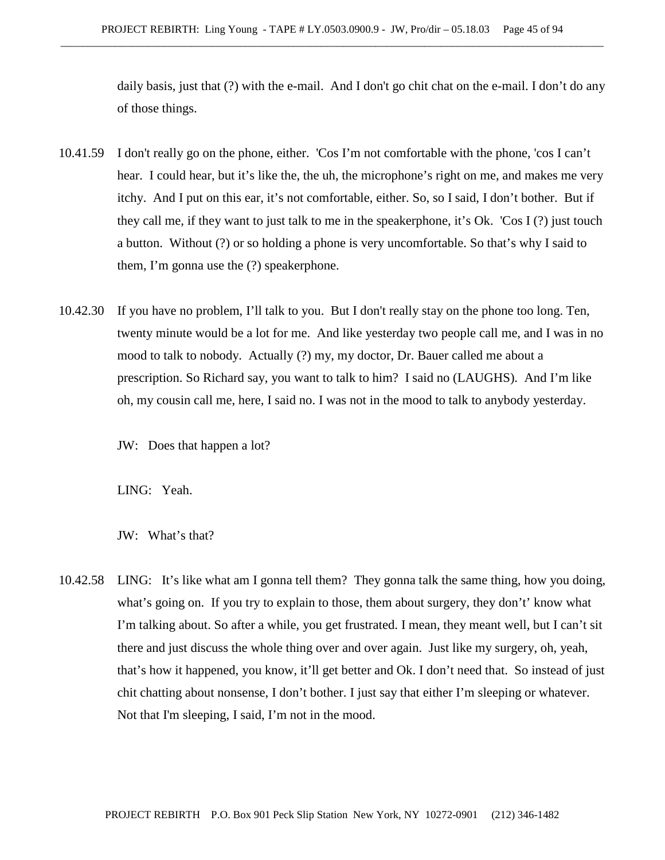daily basis, just that (?) with the e-mail. And I don't go chit chat on the e-mail. I don't do any of those things.

- 10.41.59 I don't really go on the phone, either. 'Cos I'm not comfortable with the phone, 'cos I can't hear. I could hear, but it's like the, the uh, the microphone's right on me, and makes me very itchy. And I put on this ear, it's not comfortable, either. So, so I said, I don't bother. But if they call me, if they want to just talk to me in the speakerphone, it's Ok. 'Cos I (?) just touch a button. Without (?) or so holding a phone is very uncomfortable. So that's why I said to them, I'm gonna use the (?) speakerphone.
- 10.42.30 If you have no problem, I'll talk to you. But I don't really stay on the phone too long. Ten, twenty minute would be a lot for me. And like yesterday two people call me, and I was in no mood to talk to nobody. Actually (?) my, my doctor, Dr. Bauer called me about a prescription. So Richard say, you want to talk to him? I said no (LAUGHS). And I'm like oh, my cousin call me, here, I said no. I was not in the mood to talk to anybody yesterday.
	- JW: Does that happen a lot?

LING: Yeah.

JW: What's that?

10.42.58 LING: It's like what am I gonna tell them? They gonna talk the same thing, how you doing, what's going on. If you try to explain to those, them about surgery, they don't' know what I'm talking about. So after a while, you get frustrated. I mean, they meant well, but I can't sit there and just discuss the whole thing over and over again. Just like my surgery, oh, yeah, that's how it happened, you know, it'll get better and Ok. I don't need that. So instead of just chit chatting about nonsense, I don't bother. I just say that either I'm sleeping or whatever. Not that I'm sleeping, I said, I'm not in the mood.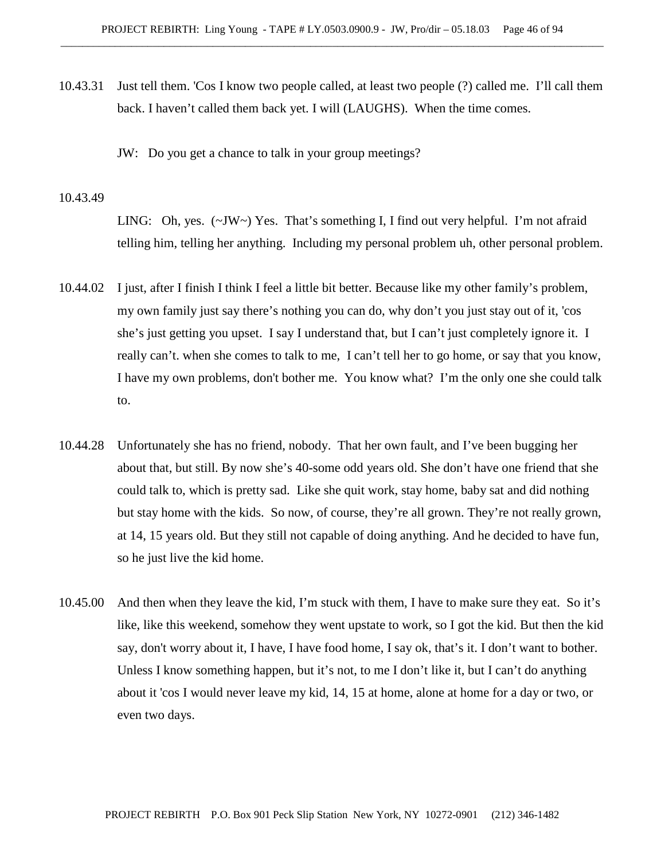- 10.43.31 Just tell them. 'Cos I know two people called, at least two people (?) called me. I'll call them back. I haven't called them back yet. I will (LAUGHS). When the time comes.
	- JW: Do you get a chance to talk in your group meetings?

### 10.43.49

LING: Oh, yes.  $(\sim JW \sim)$  Yes. That's something I, I find out very helpful. I'm not afraid telling him, telling her anything. Including my personal problem uh, other personal problem.

- 10.44.02 I just, after I finish I think I feel a little bit better. Because like my other family's problem, my own family just say there's nothing you can do, why don't you just stay out of it, 'cos she's just getting you upset. I say I understand that, but I can't just completely ignore it. I really can't. when she comes to talk to me, I can't tell her to go home, or say that you know, I have my own problems, don't bother me. You know what? I'm the only one she could talk to.
- 10.44.28 Unfortunately she has no friend, nobody. That her own fault, and I've been bugging her about that, but still. By now she's 40-some odd years old. She don't have one friend that she could talk to, which is pretty sad. Like she quit work, stay home, baby sat and did nothing but stay home with the kids. So now, of course, they're all grown. They're not really grown, at 14, 15 years old. But they still not capable of doing anything. And he decided to have fun, so he just live the kid home.
- 10.45.00 And then when they leave the kid, I'm stuck with them, I have to make sure they eat. So it's like, like this weekend, somehow they went upstate to work, so I got the kid. But then the kid say, don't worry about it, I have, I have food home, I say ok, that's it. I don't want to bother. Unless I know something happen, but it's not, to me I don't like it, but I can't do anything about it 'cos I would never leave my kid, 14, 15 at home, alone at home for a day or two, or even two days.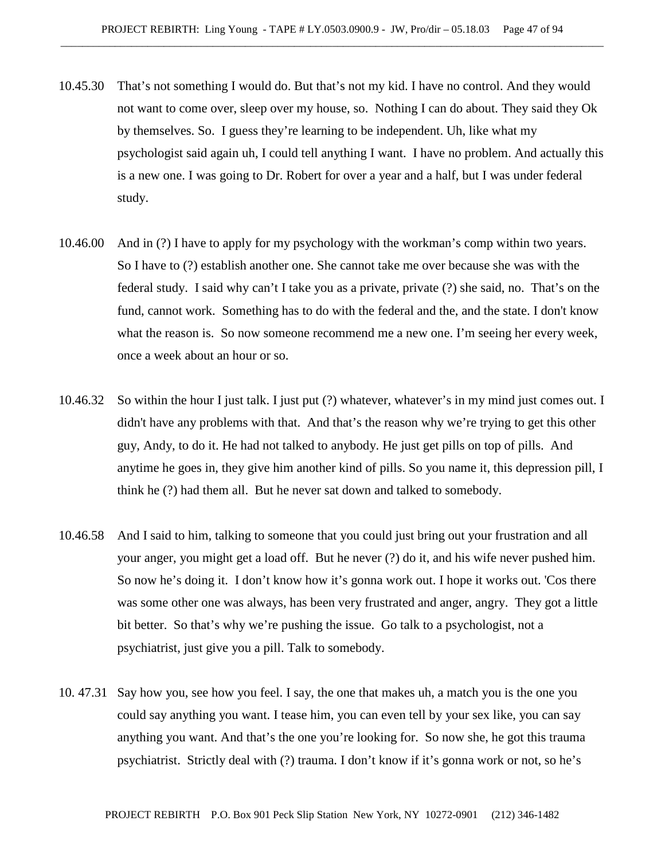- 10.45.30 That's not something I would do. But that's not my kid. I have no control. And they would not want to come over, sleep over my house, so. Nothing I can do about. They said they Ok by themselves. So. I guess they're learning to be independent. Uh, like what my psychologist said again uh, I could tell anything I want. I have no problem. And actually this is a new one. I was going to Dr. Robert for over a year and a half, but I was under federal study.
- 10.46.00 And in (?) I have to apply for my psychology with the workman's comp within two years. So I have to (?) establish another one. She cannot take me over because she was with the federal study. I said why can't I take you as a private, private (?) she said, no. That's on the fund, cannot work. Something has to do with the federal and the, and the state. I don't know what the reason is. So now someone recommend me a new one. I'm seeing her every week, once a week about an hour or so.
- 10.46.32 So within the hour I just talk. I just put (?) whatever, whatever's in my mind just comes out. I didn't have any problems with that. And that's the reason why we're trying to get this other guy, Andy, to do it. He had not talked to anybody. He just get pills on top of pills. And anytime he goes in, they give him another kind of pills. So you name it, this depression pill, I think he (?) had them all. But he never sat down and talked to somebody.
- 10.46.58 And I said to him, talking to someone that you could just bring out your frustration and all your anger, you might get a load off. But he never (?) do it, and his wife never pushed him. So now he's doing it. I don't know how it's gonna work out. I hope it works out. 'Cos there was some other one was always, has been very frustrated and anger, angry. They got a little bit better. So that's why we're pushing the issue. Go talk to a psychologist, not a psychiatrist, just give you a pill. Talk to somebody.
- 10. 47.31 Say how you, see how you feel. I say, the one that makes uh, a match you is the one you could say anything you want. I tease him, you can even tell by your sex like, you can say anything you want. And that's the one you're looking for. So now she, he got this trauma psychiatrist. Strictly deal with (?) trauma. I don't know if it's gonna work or not, so he's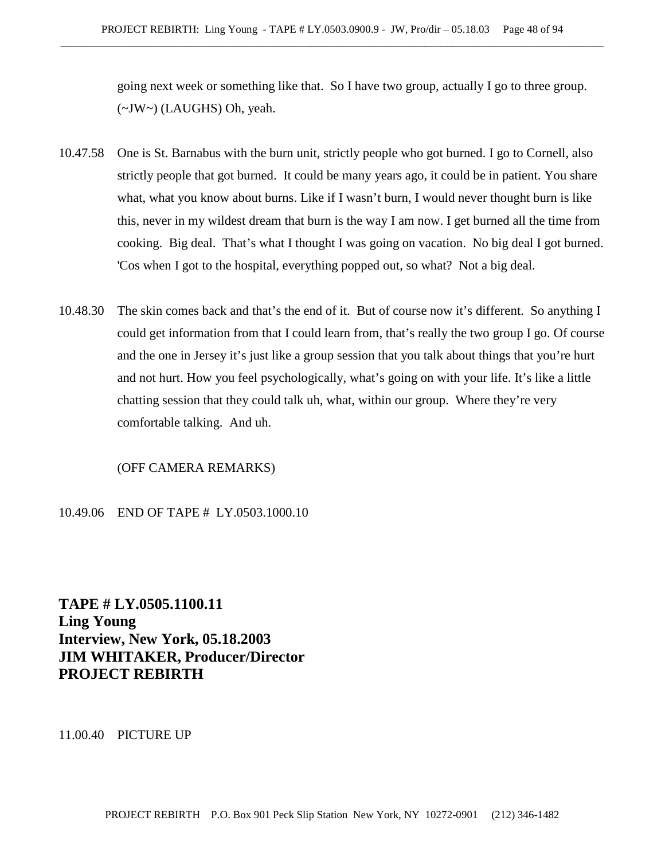going next week or something like that. So I have two group, actually I go to three group. (~JW~) (LAUGHS) Oh, yeah.

- 10.47.58 One is St. Barnabus with the burn unit, strictly people who got burned. I go to Cornell, also strictly people that got burned. It could be many years ago, it could be in patient. You share what, what you know about burns. Like if I wasn't burn, I would never thought burn is like this, never in my wildest dream that burn is the way I am now. I get burned all the time from cooking. Big deal. That's what I thought I was going on vacation. No big deal I got burned. 'Cos when I got to the hospital, everything popped out, so what? Not a big deal.
- 10.48.30 The skin comes back and that's the end of it. But of course now it's different. So anything I could get information from that I could learn from, that's really the two group I go. Of course and the one in Jersey it's just like a group session that you talk about things that you're hurt and not hurt. How you feel psychologically, what's going on with your life. It's like a little chatting session that they could talk uh, what, within our group. Where they're very comfortable talking. And uh.

# (OFF CAMERA REMARKS)

## 10.49.06 END OF TAPE # LY.0503.1000.10

**TAPE # LY.0505.1100.11 Ling Young Interview, New York, 05.18.2003 JIM WHITAKER, Producer/Director PROJECT REBIRTH**

11.00.40 PICTURE UP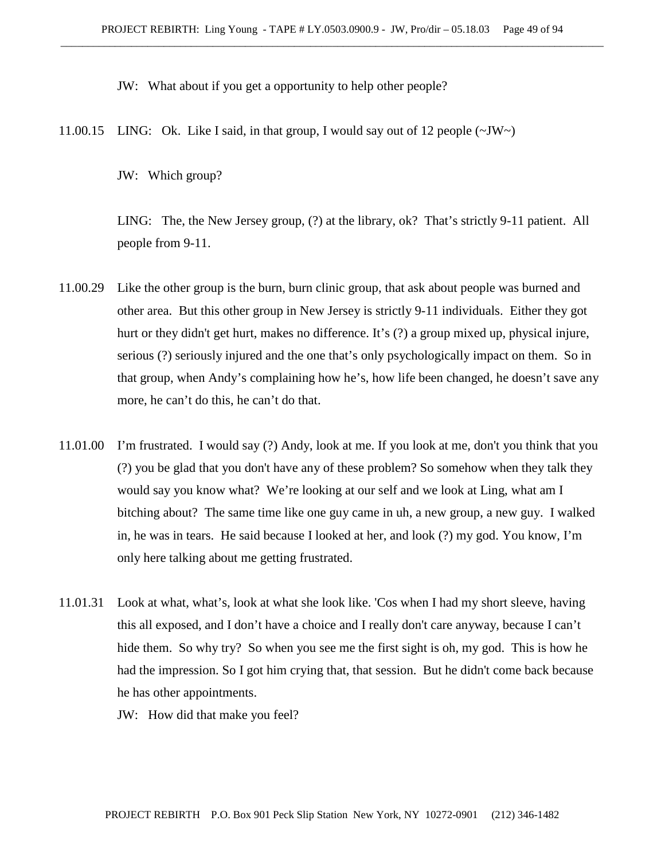JW: What about if you get a opportunity to help other people?

11.00.15 LING: Ok. Like I said, in that group, I would say out of 12 people  $(\sim JW)$ 

JW: Which group?

LING: The, the New Jersey group, (?) at the library, ok? That's strictly 9-11 patient. All people from 9-11.

- 11.00.29 Like the other group is the burn, burn clinic group, that ask about people was burned and other area. But this other group in New Jersey is strictly 9-11 individuals. Either they got hurt or they didn't get hurt, makes no difference. It's (?) a group mixed up, physical injure, serious (?) seriously injured and the one that's only psychologically impact on them. So in that group, when Andy's complaining how he's, how life been changed, he doesn't save any more, he can't do this, he can't do that.
- 11.01.00 I'm frustrated. I would say (?) Andy, look at me. If you look at me, don't you think that you (?) you be glad that you don't have any of these problem? So somehow when they talk they would say you know what? We're looking at our self and we look at Ling, what am I bitching about? The same time like one guy came in uh, a new group, a new guy. I walked in, he was in tears. He said because I looked at her, and look (?) my god. You know, I'm only here talking about me getting frustrated.
- 11.01.31 Look at what, what's, look at what she look like. 'Cos when I had my short sleeve, having this all exposed, and I don't have a choice and I really don't care anyway, because I can't hide them. So why try? So when you see me the first sight is oh, my god. This is how he had the impression. So I got him crying that, that session. But he didn't come back because he has other appointments.

JW: How did that make you feel?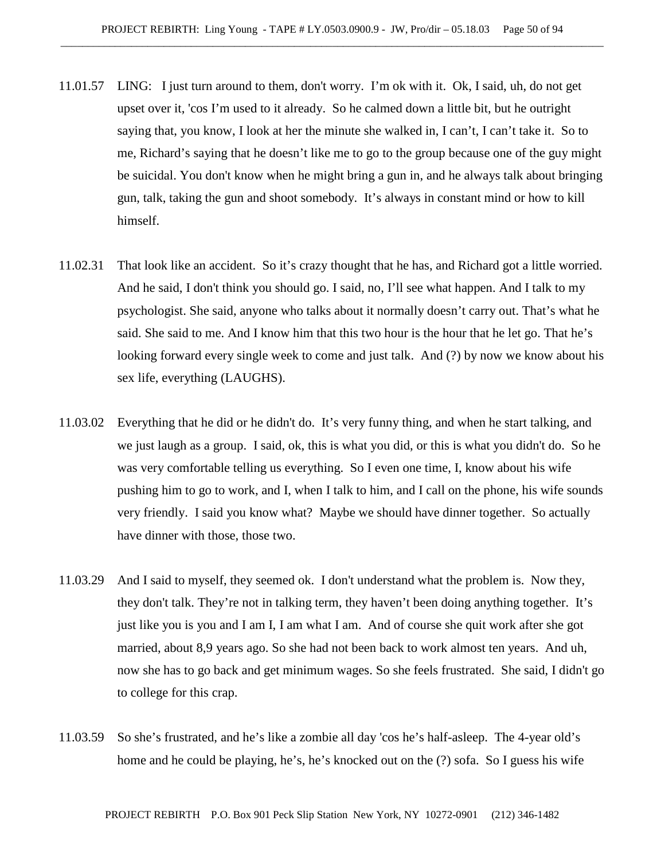- 11.01.57 LING: I just turn around to them, don't worry. I'm ok with it. Ok, I said, uh, do not get upset over it, 'cos I'm used to it already. So he calmed down a little bit, but he outright saying that, you know, I look at her the minute she walked in, I can't, I can't take it. So to me, Richard's saying that he doesn't like me to go to the group because one of the guy might be suicidal. You don't know when he might bring a gun in, and he always talk about bringing gun, talk, taking the gun and shoot somebody. It's always in constant mind or how to kill himself.
- 11.02.31 That look like an accident. So it's crazy thought that he has, and Richard got a little worried. And he said, I don't think you should go. I said, no, I'll see what happen. And I talk to my psychologist. She said, anyone who talks about it normally doesn't carry out. That's what he said. She said to me. And I know him that this two hour is the hour that he let go. That he's looking forward every single week to come and just talk. And (?) by now we know about his sex life, everything (LAUGHS).
- 11.03.02 Everything that he did or he didn't do. It's very funny thing, and when he start talking, and we just laugh as a group. I said, ok, this is what you did, or this is what you didn't do. So he was very comfortable telling us everything. So I even one time, I, know about his wife pushing him to go to work, and I, when I talk to him, and I call on the phone, his wife sounds very friendly. I said you know what? Maybe we should have dinner together. So actually have dinner with those, those two.
- 11.03.29 And I said to myself, they seemed ok. I don't understand what the problem is. Now they, they don't talk. They're not in talking term, they haven't been doing anything together. It's just like you is you and I am I, I am what I am. And of course she quit work after she got married, about 8,9 years ago. So she had not been back to work almost ten years. And uh, now she has to go back and get minimum wages. So she feels frustrated. She said, I didn't go to college for this crap.
- 11.03.59 So she's frustrated, and he's like a zombie all day 'cos he's half-asleep. The 4-year old's home and he could be playing, he's, he's knocked out on the (?) sofa. So I guess his wife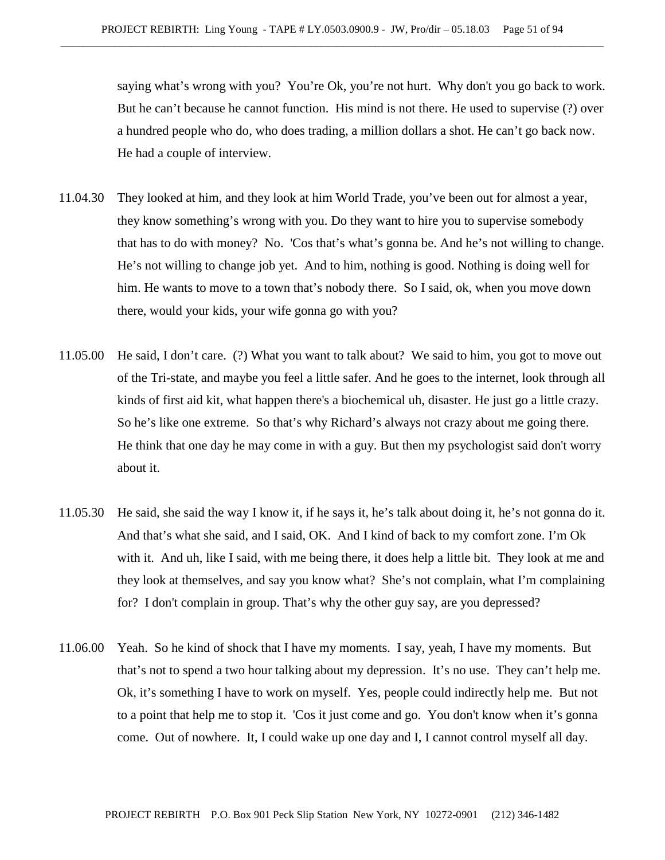saying what's wrong with you? You're Ok, you're not hurt. Why don't you go back to work. But he can't because he cannot function. His mind is not there. He used to supervise (?) over a hundred people who do, who does trading, a million dollars a shot. He can't go back now. He had a couple of interview.

- 11.04.30 They looked at him, and they look at him World Trade, you've been out for almost a year, they know something's wrong with you. Do they want to hire you to supervise somebody that has to do with money? No. 'Cos that's what's gonna be. And he's not willing to change. He's not willing to change job yet. And to him, nothing is good. Nothing is doing well for him. He wants to move to a town that's nobody there. So I said, ok, when you move down there, would your kids, your wife gonna go with you?
- 11.05.00 He said, I don't care. (?) What you want to talk about? We said to him, you got to move out of the Tri-state, and maybe you feel a little safer. And he goes to the internet, look through all kinds of first aid kit, what happen there's a biochemical uh, disaster. He just go a little crazy. So he's like one extreme. So that's why Richard's always not crazy about me going there. He think that one day he may come in with a guy. But then my psychologist said don't worry about it.
- 11.05.30 He said, she said the way I know it, if he says it, he's talk about doing it, he's not gonna do it. And that's what she said, and I said, OK. And I kind of back to my comfort zone. I'm Ok with it. And uh, like I said, with me being there, it does help a little bit. They look at me and they look at themselves, and say you know what? She's not complain, what I'm complaining for? I don't complain in group. That's why the other guy say, are you depressed?
- 11.06.00 Yeah. So he kind of shock that I have my moments. I say, yeah, I have my moments. But that's not to spend a two hour talking about my depression. It's no use. They can't help me. Ok, it's something I have to work on myself. Yes, people could indirectly help me. But not to a point that help me to stop it. 'Cos it just come and go. You don't know when it's gonna come. Out of nowhere. It, I could wake up one day and I, I cannot control myself all day.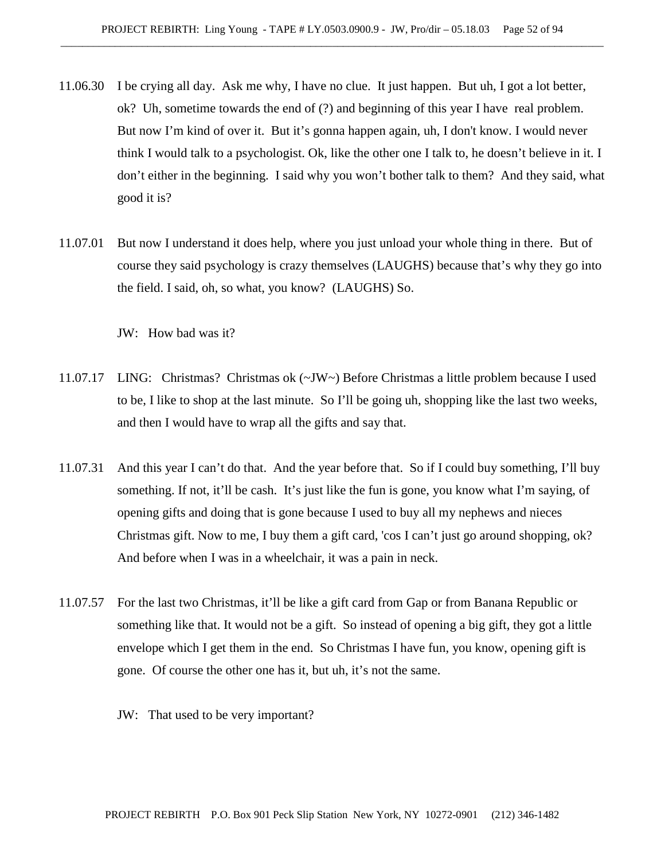- 11.06.30 I be crying all day. Ask me why, I have no clue. It just happen. But uh, I got a lot better, ok? Uh, sometime towards the end of (?) and beginning of this year I have real problem. But now I'm kind of over it. But it's gonna happen again, uh, I don't know. I would never think I would talk to a psychologist. Ok, like the other one I talk to, he doesn't believe in it. I don't either in the beginning. I said why you won't bother talk to them? And they said, what good it is?
- 11.07.01 But now I understand it does help, where you just unload your whole thing in there. But of course they said psychology is crazy themselves (LAUGHS) because that's why they go into the field. I said, oh, so what, you know? (LAUGHS) So.

JW: How bad was it?

- 11.07.17 LING: Christmas? Christmas ok (~JW~) Before Christmas a little problem because I used to be, I like to shop at the last minute. So I'll be going uh, shopping like the last two weeks, and then I would have to wrap all the gifts and say that.
- 11.07.31 And this year I can't do that. And the year before that. So if I could buy something, I'll buy something. If not, it'll be cash. It's just like the fun is gone, you know what I'm saying, of opening gifts and doing that is gone because I used to buy all my nephews and nieces Christmas gift. Now to me, I buy them a gift card, 'cos I can't just go around shopping, ok? And before when I was in a wheelchair, it was a pain in neck.
- 11.07.57 For the last two Christmas, it'll be like a gift card from Gap or from Banana Republic or something like that. It would not be a gift. So instead of opening a big gift, they got a little envelope which I get them in the end. So Christmas I have fun, you know, opening gift is gone. Of course the other one has it, but uh, it's not the same.
	- JW: That used to be very important?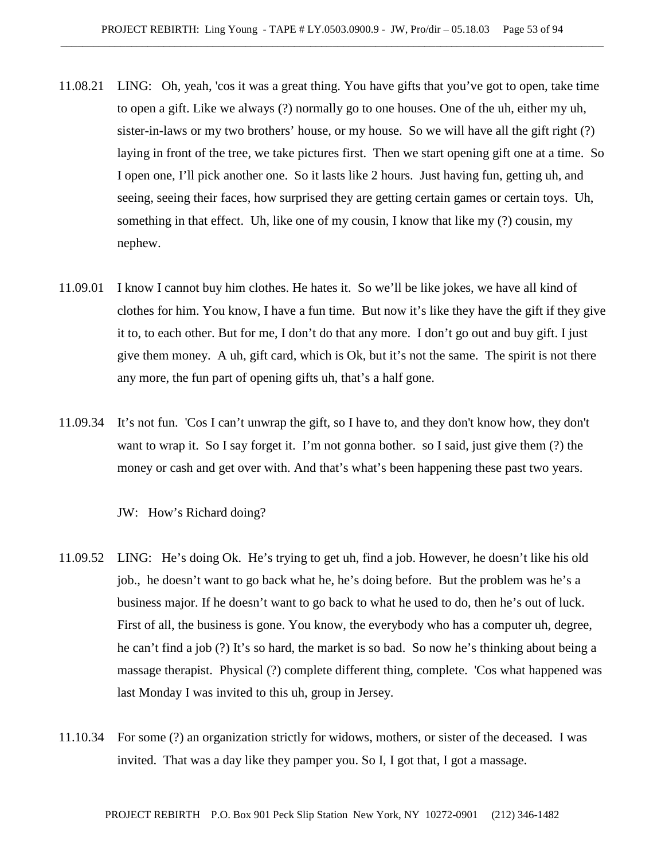- 11.08.21 LING: Oh, yeah, 'cos it was a great thing. You have gifts that you've got to open, take time to open a gift. Like we always (?) normally go to one houses. One of the uh, either my uh, sister-in-laws or my two brothers' house, or my house. So we will have all the gift right (?) laying in front of the tree, we take pictures first. Then we start opening gift one at a time. So I open one, I'll pick another one. So it lasts like 2 hours. Just having fun, getting uh, and seeing, seeing their faces, how surprised they are getting certain games or certain toys. Uh, something in that effect. Uh, like one of my cousin, I know that like my (?) cousin, my nephew.
- 11.09.01 I know I cannot buy him clothes. He hates it. So we'll be like jokes, we have all kind of clothes for him. You know, I have a fun time. But now it's like they have the gift if they give it to, to each other. But for me, I don't do that any more. I don't go out and buy gift. I just give them money. A uh, gift card, which is Ok, but it's not the same. The spirit is not there any more, the fun part of opening gifts uh, that's a half gone.
- 11.09.34 It's not fun. 'Cos I can't unwrap the gift, so I have to, and they don't know how, they don't want to wrap it. So I say forget it. I'm not gonna bother. so I said, just give them (?) the money or cash and get over with. And that's what's been happening these past two years.

JW: How's Richard doing?

- 11.09.52 LING: He's doing Ok. He's trying to get uh, find a job. However, he doesn't like his old job., he doesn't want to go back what he, he's doing before. But the problem was he's a business major. If he doesn't want to go back to what he used to do, then he's out of luck. First of all, the business is gone. You know, the everybody who has a computer uh, degree, he can't find a job (?) It's so hard, the market is so bad. So now he's thinking about being a massage therapist. Physical (?) complete different thing, complete. 'Cos what happened was last Monday I was invited to this uh, group in Jersey.
- 11.10.34 For some (?) an organization strictly for widows, mothers, or sister of the deceased. I was invited. That was a day like they pamper you. So I, I got that, I got a massage.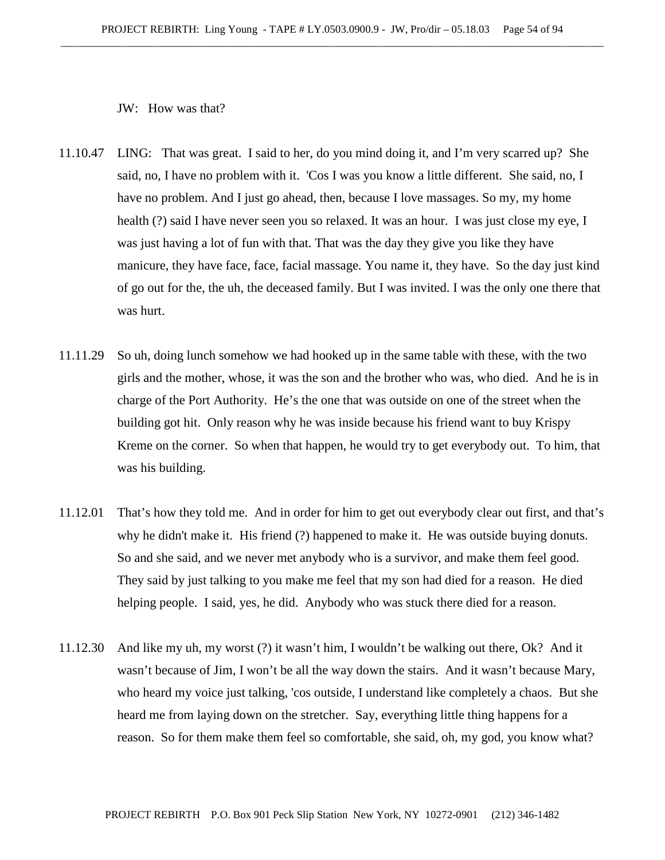JW: How was that?

- 11.10.47 LING: That was great. I said to her, do you mind doing it, and I'm very scarred up? She said, no, I have no problem with it. 'Cos I was you know a little different. She said, no, I have no problem. And I just go ahead, then, because I love massages. So my, my home health (?) said I have never seen you so relaxed. It was an hour. I was just close my eye, I was just having a lot of fun with that. That was the day they give you like they have manicure, they have face, face, facial massage. You name it, they have. So the day just kind of go out for the, the uh, the deceased family. But I was invited. I was the only one there that was hurt.
- 11.11.29 So uh, doing lunch somehow we had hooked up in the same table with these, with the two girls and the mother, whose, it was the son and the brother who was, who died. And he is in charge of the Port Authority. He's the one that was outside on one of the street when the building got hit. Only reason why he was inside because his friend want to buy Krispy Kreme on the corner. So when that happen, he would try to get everybody out. To him, that was his building.
- 11.12.01 That's how they told me. And in order for him to get out everybody clear out first, and that's why he didn't make it. His friend (?) happened to make it. He was outside buying donuts. So and she said, and we never met anybody who is a survivor, and make them feel good. They said by just talking to you make me feel that my son had died for a reason. He died helping people. I said, yes, he did. Anybody who was stuck there died for a reason.
- 11.12.30 And like my uh, my worst (?) it wasn't him, I wouldn't be walking out there, Ok? And it wasn't because of Jim, I won't be all the way down the stairs. And it wasn't because Mary, who heard my voice just talking, 'cos outside, I understand like completely a chaos. But she heard me from laying down on the stretcher. Say, everything little thing happens for a reason. So for them make them feel so comfortable, she said, oh, my god, you know what?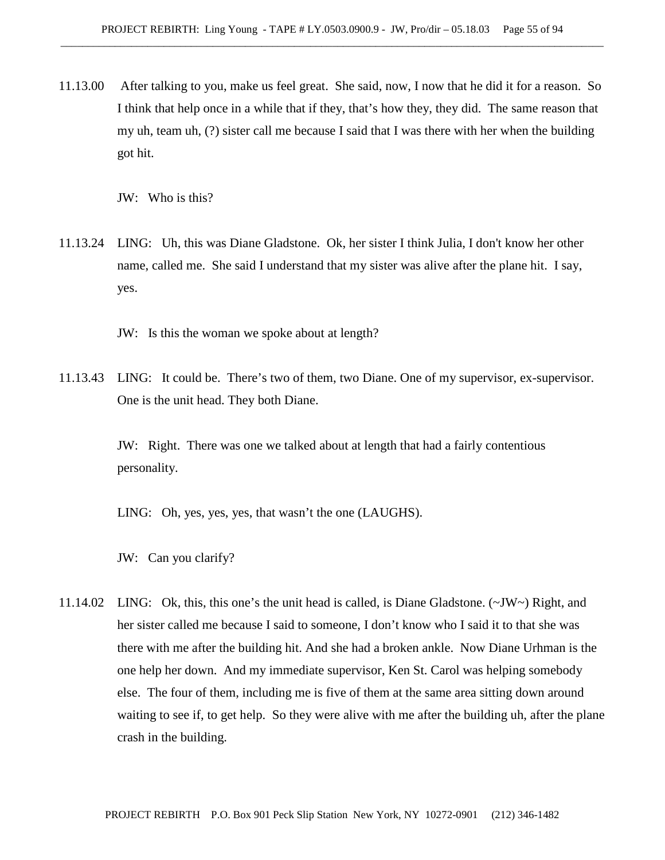11.13.00 After talking to you, make us feel great. She said, now, I now that he did it for a reason. So I think that help once in a while that if they, that's how they, they did. The same reason that my uh, team uh, (?) sister call me because I said that I was there with her when the building got hit.

JW: Who is this?

11.13.24 LING: Uh, this was Diane Gladstone. Ok, her sister I think Julia, I don't know her other name, called me. She said I understand that my sister was alive after the plane hit. I say, yes.

JW: Is this the woman we spoke about at length?

11.13.43 LING: It could be. There's two of them, two Diane. One of my supervisor, ex-supervisor. One is the unit head. They both Diane.

> JW: Right. There was one we talked about at length that had a fairly contentious personality.

LING: Oh, yes, yes, yes, that wasn't the one (LAUGHS).

JW: Can you clarify?

11.14.02 LING: Ok, this, this one's the unit head is called, is Diane Gladstone. (~JW~) Right, and her sister called me because I said to someone, I don't know who I said it to that she was there with me after the building hit. And she had a broken ankle. Now Diane Urhman is the one help her down. And my immediate supervisor, Ken St. Carol was helping somebody else. The four of them, including me is five of them at the same area sitting down around waiting to see if, to get help. So they were alive with me after the building uh, after the plane crash in the building.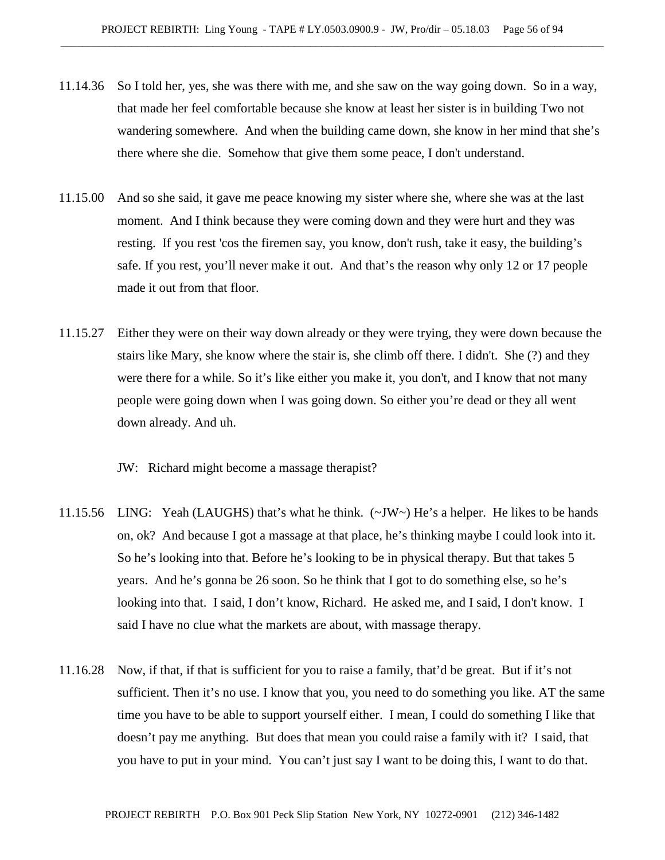- 11.14.36 So I told her, yes, she was there with me, and she saw on the way going down. So in a way, that made her feel comfortable because she know at least her sister is in building Two not wandering somewhere. And when the building came down, she know in her mind that she's there where she die. Somehow that give them some peace, I don't understand.
- 11.15.00 And so she said, it gave me peace knowing my sister where she, where she was at the last moment. And I think because they were coming down and they were hurt and they was resting. If you rest 'cos the firemen say, you know, don't rush, take it easy, the building's safe. If you rest, you'll never make it out. And that's the reason why only 12 or 17 people made it out from that floor.
- 11.15.27 Either they were on their way down already or they were trying, they were down because the stairs like Mary, she know where the stair is, she climb off there. I didn't. She (?) and they were there for a while. So it's like either you make it, you don't, and I know that not many people were going down when I was going down. So either you're dead or they all went down already. And uh.

JW: Richard might become a massage therapist?

- 11.15.56 LING: Yeah (LAUGHS) that's what he think. (~JW~) He's a helper. He likes to be hands on, ok? And because I got a massage at that place, he's thinking maybe I could look into it. So he's looking into that. Before he's looking to be in physical therapy. But that takes 5 years. And he's gonna be 26 soon. So he think that I got to do something else, so he's looking into that. I said, I don't know, Richard. He asked me, and I said, I don't know. I said I have no clue what the markets are about, with massage therapy.
- 11.16.28 Now, if that, if that is sufficient for you to raise a family, that'd be great. But if it's not sufficient. Then it's no use. I know that you, you need to do something you like. AT the same time you have to be able to support yourself either. I mean, I could do something I like that doesn't pay me anything. But does that mean you could raise a family with it? I said, that you have to put in your mind. You can't just say I want to be doing this, I want to do that.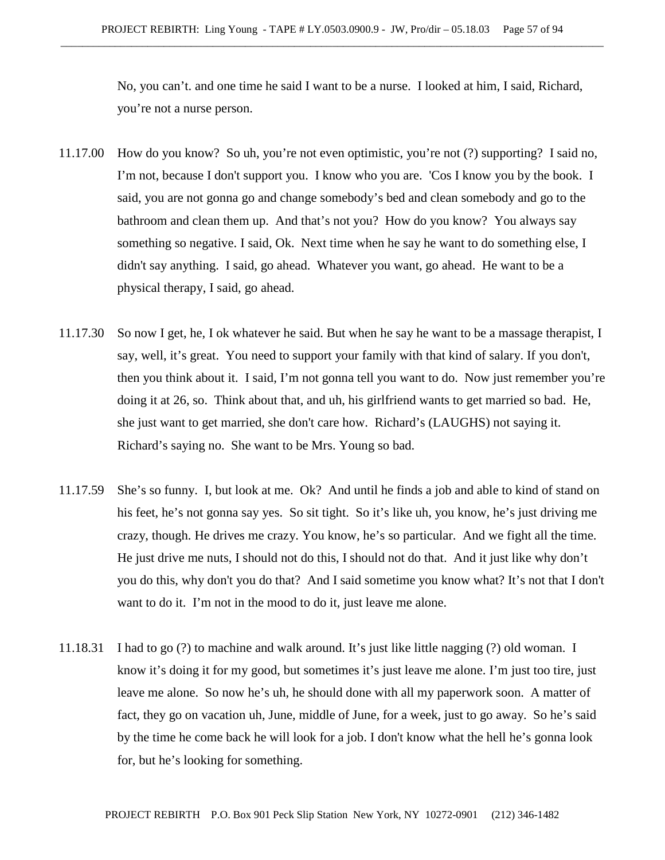No, you can't. and one time he said I want to be a nurse. I looked at him, I said, Richard, you're not a nurse person.

- 11.17.00 How do you know? So uh, you're not even optimistic, you're not (?) supporting? I said no, I'm not, because I don't support you. I know who you are. 'Cos I know you by the book. I said, you are not gonna go and change somebody's bed and clean somebody and go to the bathroom and clean them up. And that's not you? How do you know? You always say something so negative. I said, Ok. Next time when he say he want to do something else, I didn't say anything. I said, go ahead. Whatever you want, go ahead. He want to be a physical therapy, I said, go ahead.
- 11.17.30 So now I get, he, I ok whatever he said. But when he say he want to be a massage therapist, I say, well, it's great. You need to support your family with that kind of salary. If you don't, then you think about it. I said, I'm not gonna tell you want to do. Now just remember you're doing it at 26, so. Think about that, and uh, his girlfriend wants to get married so bad. He, she just want to get married, she don't care how. Richard's (LAUGHS) not saying it. Richard's saying no. She want to be Mrs. Young so bad.
- 11.17.59 She's so funny. I, but look at me. Ok? And until he finds a job and able to kind of stand on his feet, he's not gonna say yes. So sit tight. So it's like uh, you know, he's just driving me crazy, though. He drives me crazy. You know, he's so particular. And we fight all the time. He just drive me nuts, I should not do this, I should not do that. And it just like why don't you do this, why don't you do that? And I said sometime you know what? It's not that I don't want to do it. I'm not in the mood to do it, just leave me alone.
- 11.18.31 I had to go (?) to machine and walk around. It's just like little nagging (?) old woman. I know it's doing it for my good, but sometimes it's just leave me alone. I'm just too tire, just leave me alone. So now he's uh, he should done with all my paperwork soon. A matter of fact, they go on vacation uh, June, middle of June, for a week, just to go away. So he's said by the time he come back he will look for a job. I don't know what the hell he's gonna look for, but he's looking for something.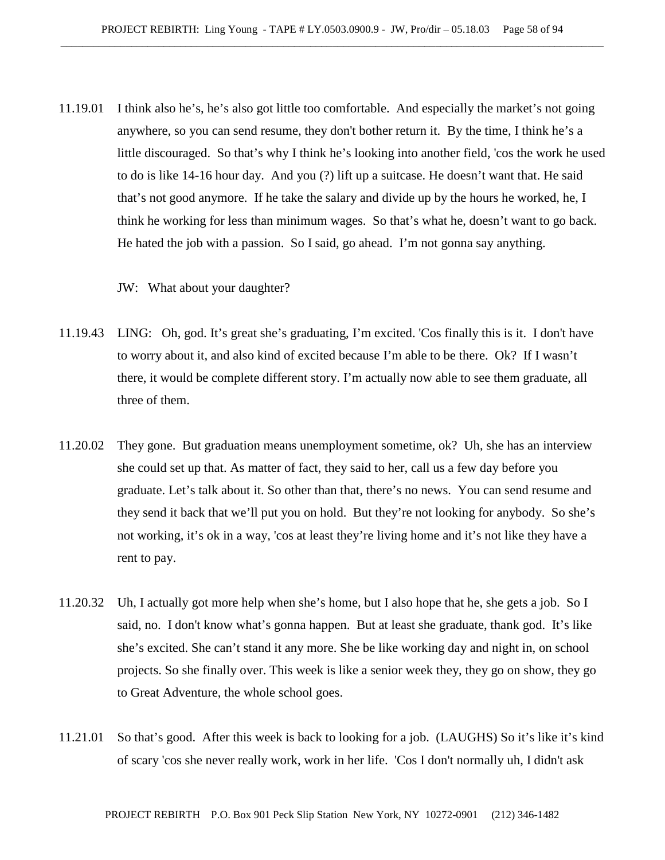11.19.01 I think also he's, he's also got little too comfortable. And especially the market's not going anywhere, so you can send resume, they don't bother return it. By the time, I think he's a little discouraged. So that's why I think he's looking into another field, 'cos the work he used to do is like 14-16 hour day. And you (?) lift up a suitcase. He doesn't want that. He said that's not good anymore. If he take the salary and divide up by the hours he worked, he, I think he working for less than minimum wages. So that's what he, doesn't want to go back. He hated the job with a passion. So I said, go ahead. I'm not gonna say anything.

JW: What about your daughter?

- 11.19.43 LING: Oh, god. It's great she's graduating, I'm excited. 'Cos finally this is it. I don't have to worry about it, and also kind of excited because I'm able to be there. Ok? If I wasn't there, it would be complete different story. I'm actually now able to see them graduate, all three of them.
- 11.20.02 They gone. But graduation means unemployment sometime, ok? Uh, she has an interview she could set up that. As matter of fact, they said to her, call us a few day before you graduate. Let's talk about it. So other than that, there's no news. You can send resume and they send it back that we'll put you on hold. But they're not looking for anybody. So she's not working, it's ok in a way, 'cos at least they're living home and it's not like they have a rent to pay.
- 11.20.32 Uh, I actually got more help when she's home, but I also hope that he, she gets a job. So I said, no. I don't know what's gonna happen. But at least she graduate, thank god. It's like she's excited. She can't stand it any more. She be like working day and night in, on school projects. So she finally over. This week is like a senior week they, they go on show, they go to Great Adventure, the whole school goes.
- 11.21.01 So that's good. After this week is back to looking for a job. (LAUGHS) So it's like it's kind of scary 'cos she never really work, work in her life. 'Cos I don't normally uh, I didn't ask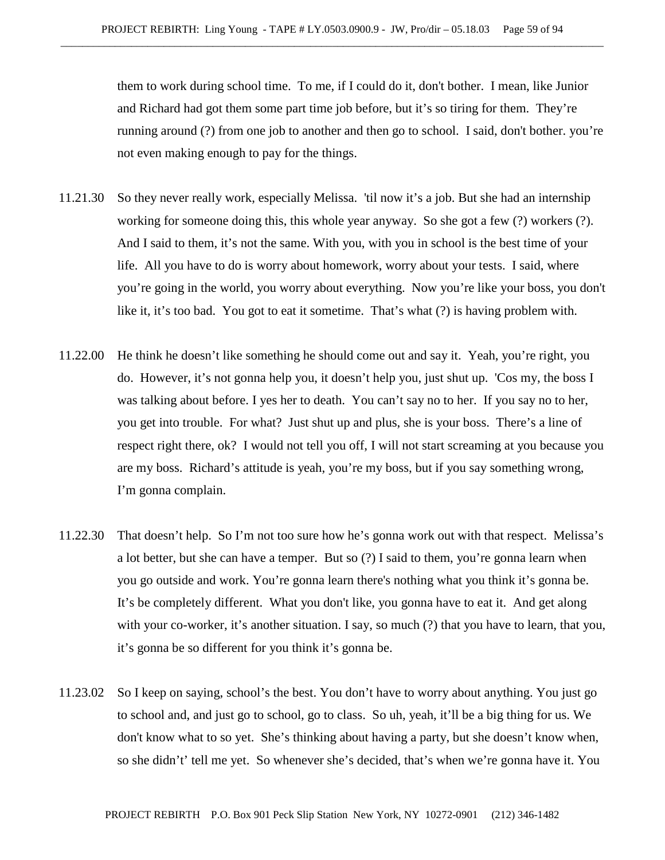them to work during school time. To me, if I could do it, don't bother. I mean, like Junior and Richard had got them some part time job before, but it's so tiring for them. They're running around (?) from one job to another and then go to school. I said, don't bother. you're not even making enough to pay for the things.

- 11.21.30 So they never really work, especially Melissa. 'til now it's a job. But she had an internship working for someone doing this, this whole year anyway. So she got a few (?) workers (?). And I said to them, it's not the same. With you, with you in school is the best time of your life. All you have to do is worry about homework, worry about your tests. I said, where you're going in the world, you worry about everything. Now you're like your boss, you don't like it, it's too bad. You got to eat it sometime. That's what (?) is having problem with.
- 11.22.00 He think he doesn't like something he should come out and say it. Yeah, you're right, you do. However, it's not gonna help you, it doesn't help you, just shut up. 'Cos my, the boss I was talking about before. I yes her to death. You can't say no to her. If you say no to her, you get into trouble. For what? Just shut up and plus, she is your boss. There's a line of respect right there, ok? I would not tell you off, I will not start screaming at you because you are my boss. Richard's attitude is yeah, you're my boss, but if you say something wrong, I'm gonna complain.
- 11.22.30 That doesn't help. So I'm not too sure how he's gonna work out with that respect. Melissa's a lot better, but she can have a temper. But so (?) I said to them, you're gonna learn when you go outside and work. You're gonna learn there's nothing what you think it's gonna be. It's be completely different. What you don't like, you gonna have to eat it. And get along with your co-worker, it's another situation. I say, so much (?) that you have to learn, that you, it's gonna be so different for you think it's gonna be.
- 11.23.02 So I keep on saying, school's the best. You don't have to worry about anything. You just go to school and, and just go to school, go to class. So uh, yeah, it'll be a big thing for us. We don't know what to so yet. She's thinking about having a party, but she doesn't know when, so she didn't' tell me yet. So whenever she's decided, that's when we're gonna have it. You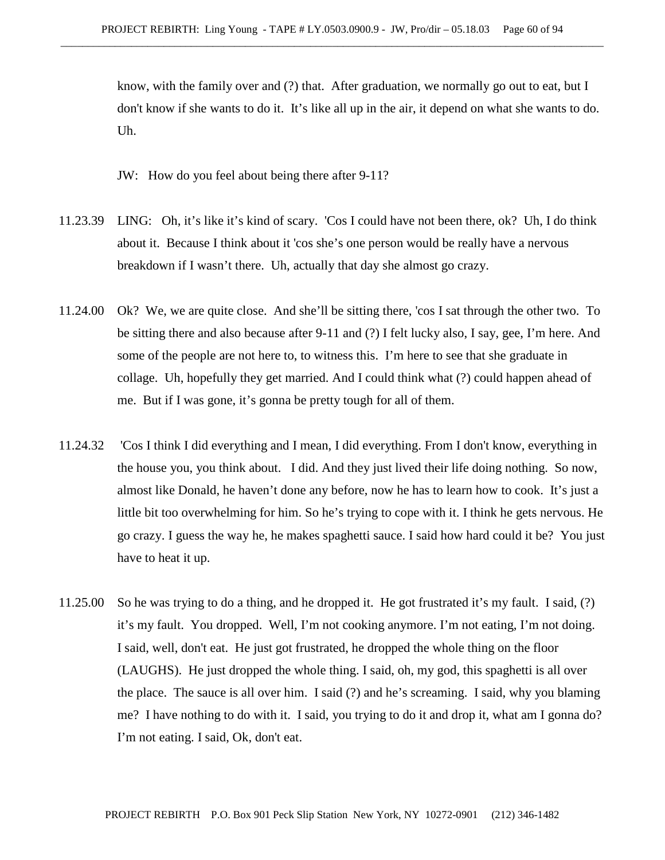know, with the family over and (?) that. After graduation, we normally go out to eat, but I don't know if she wants to do it. It's like all up in the air, it depend on what she wants to do. Uh.

JW: How do you feel about being there after 9-11?

- 11.23.39 LING: Oh, it's like it's kind of scary. 'Cos I could have not been there, ok? Uh, I do think about it. Because I think about it 'cos she's one person would be really have a nervous breakdown if I wasn't there. Uh, actually that day she almost go crazy.
- 11.24.00 Ok? We, we are quite close. And she'll be sitting there, 'cos I sat through the other two. To be sitting there and also because after 9-11 and (?) I felt lucky also, I say, gee, I'm here. And some of the people are not here to, to witness this. I'm here to see that she graduate in collage. Uh, hopefully they get married. And I could think what (?) could happen ahead of me. But if I was gone, it's gonna be pretty tough for all of them.
- 11.24.32 'Cos I think I did everything and I mean, I did everything. From I don't know, everything in the house you, you think about. I did. And they just lived their life doing nothing. So now, almost like Donald, he haven't done any before, now he has to learn how to cook. It's just a little bit too overwhelming for him. So he's trying to cope with it. I think he gets nervous. He go crazy. I guess the way he, he makes spaghetti sauce. I said how hard could it be? You just have to heat it up.
- 11.25.00 So he was trying to do a thing, and he dropped it. He got frustrated it's my fault. I said, (?) it's my fault. You dropped. Well, I'm not cooking anymore. I'm not eating, I'm not doing. I said, well, don't eat. He just got frustrated, he dropped the whole thing on the floor (LAUGHS). He just dropped the whole thing. I said, oh, my god, this spaghetti is all over the place. The sauce is all over him. I said (?) and he's screaming. I said, why you blaming me? I have nothing to do with it. I said, you trying to do it and drop it, what am I gonna do? I'm not eating. I said, Ok, don't eat.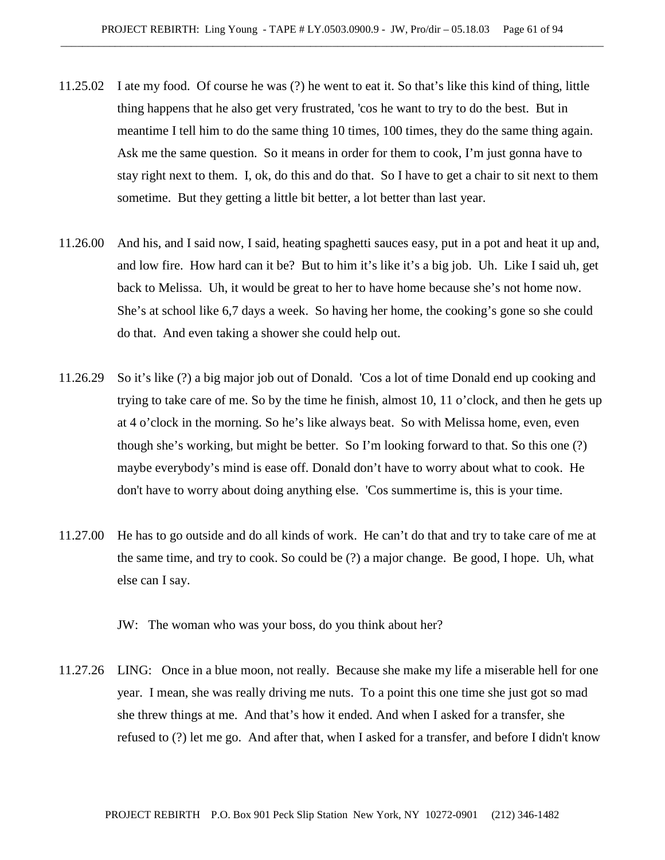- 11.25.02 I ate my food. Of course he was (?) he went to eat it. So that's like this kind of thing, little thing happens that he also get very frustrated, 'cos he want to try to do the best. But in meantime I tell him to do the same thing 10 times, 100 times, they do the same thing again. Ask me the same question. So it means in order for them to cook, I'm just gonna have to stay right next to them. I, ok, do this and do that. So I have to get a chair to sit next to them sometime. But they getting a little bit better, a lot better than last year.
- 11.26.00 And his, and I said now, I said, heating spaghetti sauces easy, put in a pot and heat it up and, and low fire. How hard can it be? But to him it's like it's a big job. Uh. Like I said uh, get back to Melissa. Uh, it would be great to her to have home because she's not home now. She's at school like 6,7 days a week. So having her home, the cooking's gone so she could do that. And even taking a shower she could help out.
- 11.26.29 So it's like (?) a big major job out of Donald. 'Cos a lot of time Donald end up cooking and trying to take care of me. So by the time he finish, almost 10, 11 o'clock, and then he gets up at 4 o'clock in the morning. So he's like always beat. So with Melissa home, even, even though she's working, but might be better. So I'm looking forward to that. So this one (?) maybe everybody's mind is ease off. Donald don't have to worry about what to cook. He don't have to worry about doing anything else. 'Cos summertime is, this is your time.
- 11.27.00 He has to go outside and do all kinds of work. He can't do that and try to take care of me at the same time, and try to cook. So could be (?) a major change. Be good, I hope. Uh, what else can I say.

JW: The woman who was your boss, do you think about her?

11.27.26 LING: Once in a blue moon, not really. Because she make my life a miserable hell for one year. I mean, she was really driving me nuts. To a point this one time she just got so mad she threw things at me. And that's how it ended. And when I asked for a transfer, she refused to (?) let me go. And after that, when I asked for a transfer, and before I didn't know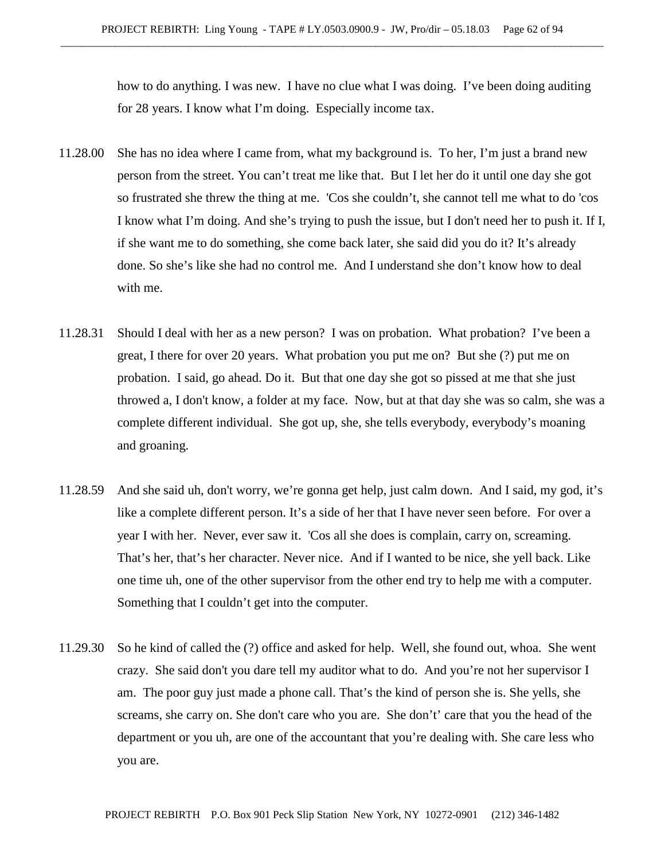how to do anything. I was new. I have no clue what I was doing. I've been doing auditing for 28 years. I know what I'm doing. Especially income tax.

- 11.28.00 She has no idea where I came from, what my background is. To her, I'm just a brand new person from the street. You can't treat me like that. But I let her do it until one day she got so frustrated she threw the thing at me. 'Cos she couldn't, she cannot tell me what to do 'cos I know what I'm doing. And she's trying to push the issue, but I don't need her to push it. If I, if she want me to do something, she come back later, she said did you do it? It's already done. So she's like she had no control me. And I understand she don't know how to deal with me.
- 11.28.31 Should I deal with her as a new person? I was on probation. What probation? I've been a great, I there for over 20 years. What probation you put me on? But she (?) put me on probation. I said, go ahead. Do it. But that one day she got so pissed at me that she just throwed a, I don't know, a folder at my face. Now, but at that day she was so calm, she was a complete different individual. She got up, she, she tells everybody, everybody's moaning and groaning.
- 11.28.59 And she said uh, don't worry, we're gonna get help, just calm down. And I said, my god, it's like a complete different person. It's a side of her that I have never seen before. For over a year I with her. Never, ever saw it. 'Cos all she does is complain, carry on, screaming. That's her, that's her character. Never nice. And if I wanted to be nice, she yell back. Like one time uh, one of the other supervisor from the other end try to help me with a computer. Something that I couldn't get into the computer.
- 11.29.30 So he kind of called the (?) office and asked for help. Well, she found out, whoa. She went crazy. She said don't you dare tell my auditor what to do. And you're not her supervisor I am. The poor guy just made a phone call. That's the kind of person she is. She yells, she screams, she carry on. She don't care who you are. She don't' care that you the head of the department or you uh, are one of the accountant that you're dealing with. She care less who you are.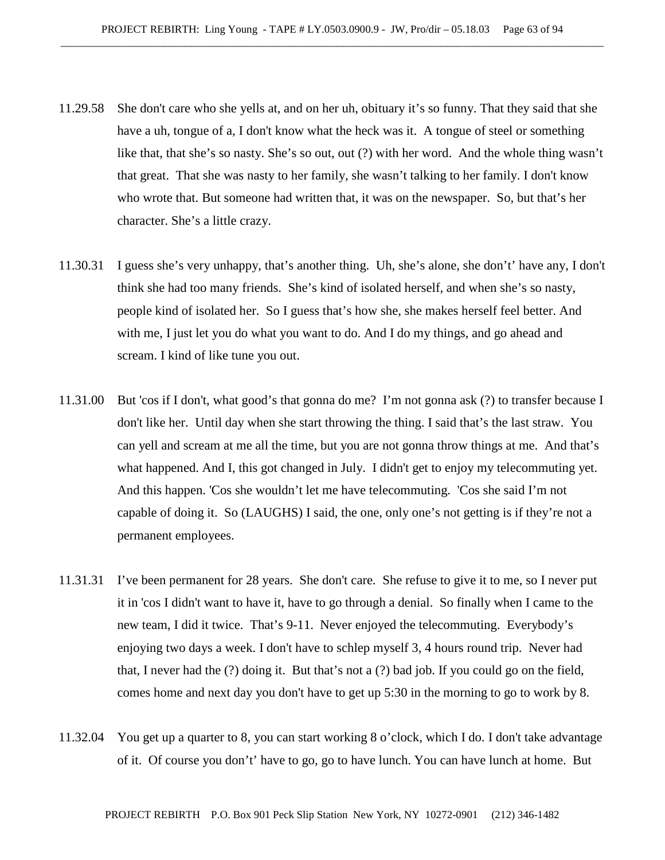- 11.29.58 She don't care who she yells at, and on her uh, obituary it's so funny. That they said that she have a uh, tongue of a, I don't know what the heck was it. A tongue of steel or something like that, that she's so nasty. She's so out, out (?) with her word. And the whole thing wasn't that great. That she was nasty to her family, she wasn't talking to her family. I don't know who wrote that. But someone had written that, it was on the newspaper. So, but that's her character. She's a little crazy.
- 11.30.31 I guess she's very unhappy, that's another thing. Uh, she's alone, she don't' have any, I don't think she had too many friends. She's kind of isolated herself, and when she's so nasty, people kind of isolated her. So I guess that's how she, she makes herself feel better. And with me, I just let you do what you want to do. And I do my things, and go ahead and scream. I kind of like tune you out.
- 11.31.00 But 'cos if I don't, what good's that gonna do me? I'm not gonna ask (?) to transfer because I don't like her. Until day when she start throwing the thing. I said that's the last straw. You can yell and scream at me all the time, but you are not gonna throw things at me. And that's what happened. And I, this got changed in July. I didn't get to enjoy my telecommuting yet. And this happen. 'Cos she wouldn't let me have telecommuting. 'Cos she said I'm not capable of doing it. So (LAUGHS) I said, the one, only one's not getting is if they're not a permanent employees.
- 11.31.31 I've been permanent for 28 years. She don't care. She refuse to give it to me, so I never put it in 'cos I didn't want to have it, have to go through a denial. So finally when I came to the new team, I did it twice. That's 9-11. Never enjoyed the telecommuting. Everybody's enjoying two days a week. I don't have to schlep myself 3, 4 hours round trip. Never had that, I never had the (?) doing it. But that's not a (?) bad job. If you could go on the field, comes home and next day you don't have to get up 5:30 in the morning to go to work by 8.
- 11.32.04 You get up a quarter to 8, you can start working 8 o'clock, which I do. I don't take advantage of it. Of course you don't' have to go, go to have lunch. You can have lunch at home. But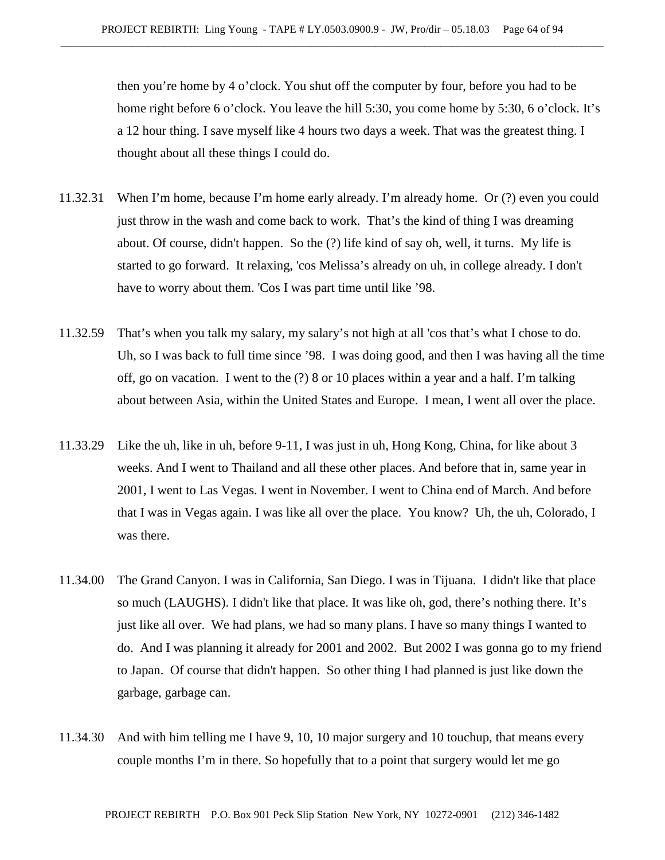then you're home by 4 o'clock. You shut off the computer by four, before you had to be home right before 6 o'clock. You leave the hill 5:30, you come home by 5:30, 6 o'clock. It's a 12 hour thing. I save myself like 4 hours two days a week. That was the greatest thing. I thought about all these things I could do.

- 11.32.31 When I'm home, because I'm home early already. I'm already home. Or (?) even you could just throw in the wash and come back to work. That's the kind of thing I was dreaming about. Of course, didn't happen. So the (?) life kind of say oh, well, it turns. My life is started to go forward. It relaxing, 'cos Melissa's already on uh, in college already. I don't have to worry about them. 'Cos I was part time until like '98.
- 11.32.59 That's when you talk my salary, my salary's not high at all 'cos that's what I chose to do. Uh, so I was back to full time since '98. I was doing good, and then I was having all the time off, go on vacation. I went to the (?) 8 or 10 places within a year and a half. I'm talking about between Asia, within the United States and Europe. I mean, I went all over the place.
- 11.33.29 Like the uh, like in uh, before 9-11, I was just in uh, Hong Kong, China, for like about 3 weeks. And I went to Thailand and all these other places. And before that in, same year in 2001, I went to Las Vegas. I went in November. I went to China end of March. And before that I was in Vegas again. I was like all over the place. You know? Uh, the uh, Colorado, I was there.
- 11.34.00 The Grand Canyon. I was in California, San Diego. I was in Tijuana. I didn't like that place so much (LAUGHS). I didn't like that place. It was like oh, god, there's nothing there. It's just like all over. We had plans, we had so many plans. I have so many things I wanted to do. And I was planning it already for 2001 and 2002. But 2002 I was gonna go to my friend to Japan. Of course that didn't happen. So other thing I had planned is just like down the garbage, garbage can.
- 11.34.30 And with him telling me I have 9, 10, 10 major surgery and 10 touchup, that means every couple months I'm in there. So hopefully that to a point that surgery would let me go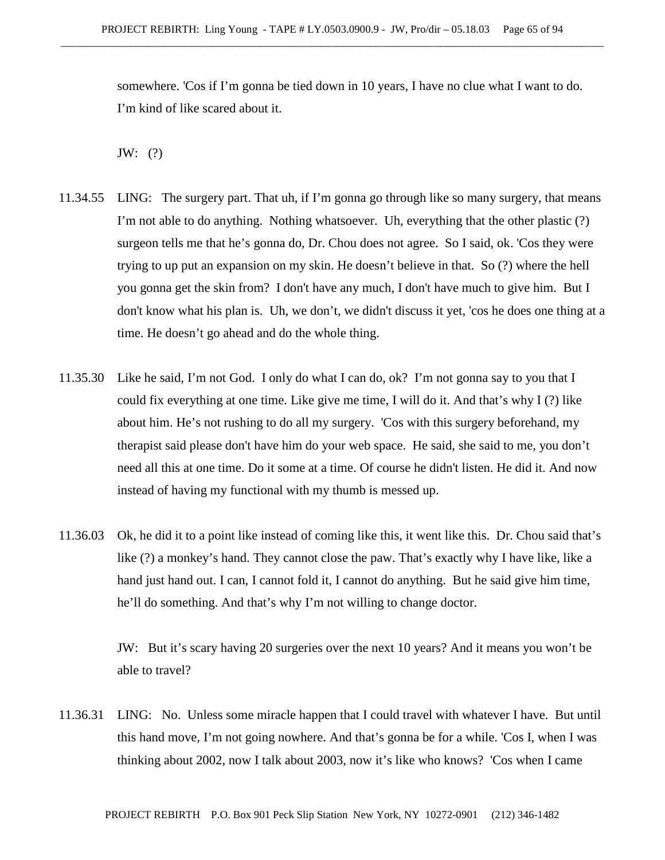somewhere. 'Cos if I'm gonna be tied down in 10 years, I have no clue what I want to do. I'm kind of like scared about it.

JW: (?)

- 11.34.55 LING: The surgery part. That uh, if I'm gonna go through like so many surgery, that means I'm not able to do anything. Nothing whatsoever. Uh, everything that the other plastic (?) surgeon tells me that he's gonna do, Dr. Chou does not agree. So I said, ok. 'Cos they were trying to up put an expansion on my skin. He doesn't believe in that. So (?) where the hell you gonna get the skin from? I don't have any much, I don't have much to give him. But I don't know what his plan is. Uh, we don't, we didn't discuss it yet, 'cos he does one thing at a time. He doesn't go ahead and do the whole thing.
- 11.35.30 Like he said, I'm not God. I only do what I can do, ok? I'm not gonna say to you that I could fix everything at one time. Like give me time, I will do it. And that's why I (?) like about him. He's not rushing to do all my surgery. 'Cos with this surgery beforehand, my therapist said please don't have him do your web space. He said, she said to me, you don't need all this at one time. Do it some at a time. Of course he didn't listen. He did it. And now instead of having my functional with my thumb is messed up.
- 11.36.03 Ok, he did it to a point like instead of coming like this, it went like this. Dr. Chou said that's like (?) a monkey's hand. They cannot close the paw. That's exactly why I have like, like a hand just hand out. I can, I cannot fold it, I cannot do anything. But he said give him time, he'll do something. And that's why I'm not willing to change doctor.

JW: But it's scary having 20 surgeries over the next 10 years? And it means you won't be able to travel?

11.36.31 LING: No. Unless some miracle happen that I could travel with whatever I have. But until this hand move, I'm not going nowhere. And that's gonna be for a while. 'Cos I, when I was thinking about 2002, now I talk about 2003, now it's like who knows? 'Cos when I came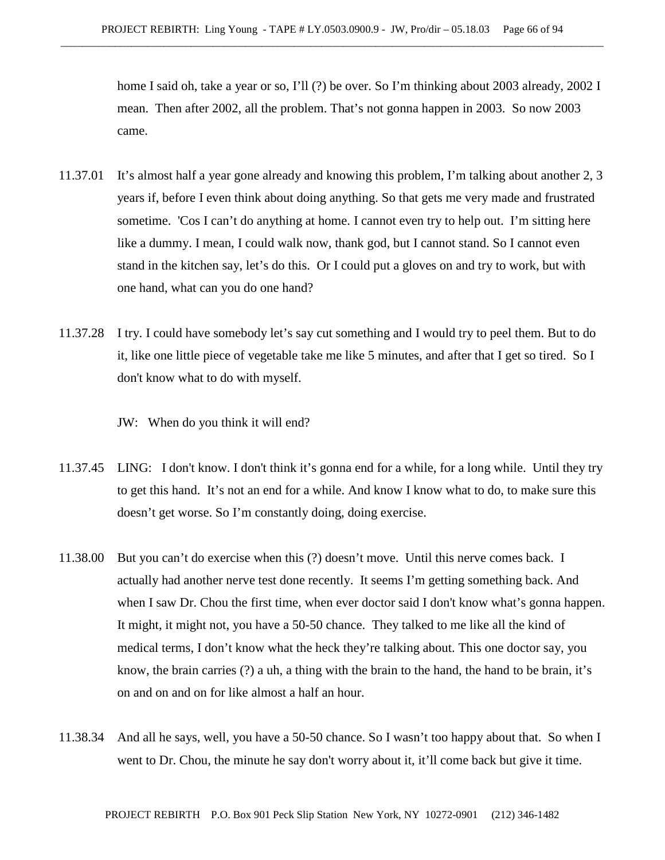home I said oh, take a year or so, I'll (?) be over. So I'm thinking about 2003 already, 2002 I mean. Then after 2002, all the problem. That's not gonna happen in 2003. So now 2003 came.

- 11.37.01 It's almost half a year gone already and knowing this problem, I'm talking about another 2, 3 years if, before I even think about doing anything. So that gets me very made and frustrated sometime. 'Cos I can't do anything at home. I cannot even try to help out. I'm sitting here like a dummy. I mean, I could walk now, thank god, but I cannot stand. So I cannot even stand in the kitchen say, let's do this. Or I could put a gloves on and try to work, but with one hand, what can you do one hand?
- 11.37.28 I try. I could have somebody let's say cut something and I would try to peel them. But to do it, like one little piece of vegetable take me like 5 minutes, and after that I get so tired. So I don't know what to do with myself.

JW: When do you think it will end?

- 11.37.45 LING: I don't know. I don't think it's gonna end for a while, for a long while. Until they try to get this hand. It's not an end for a while. And know I know what to do, to make sure this doesn't get worse. So I'm constantly doing, doing exercise.
- 11.38.00 But you can't do exercise when this (?) doesn't move. Until this nerve comes back. I actually had another nerve test done recently. It seems I'm getting something back. And when I saw Dr. Chou the first time, when ever doctor said I don't know what's gonna happen. It might, it might not, you have a 50-50 chance. They talked to me like all the kind of medical terms, I don't know what the heck they're talking about. This one doctor say, you know, the brain carries (?) a uh, a thing with the brain to the hand, the hand to be brain, it's on and on and on for like almost a half an hour.
- 11.38.34 And all he says, well, you have a 50-50 chance. So I wasn't too happy about that. So when I went to Dr. Chou, the minute he say don't worry about it, it'll come back but give it time.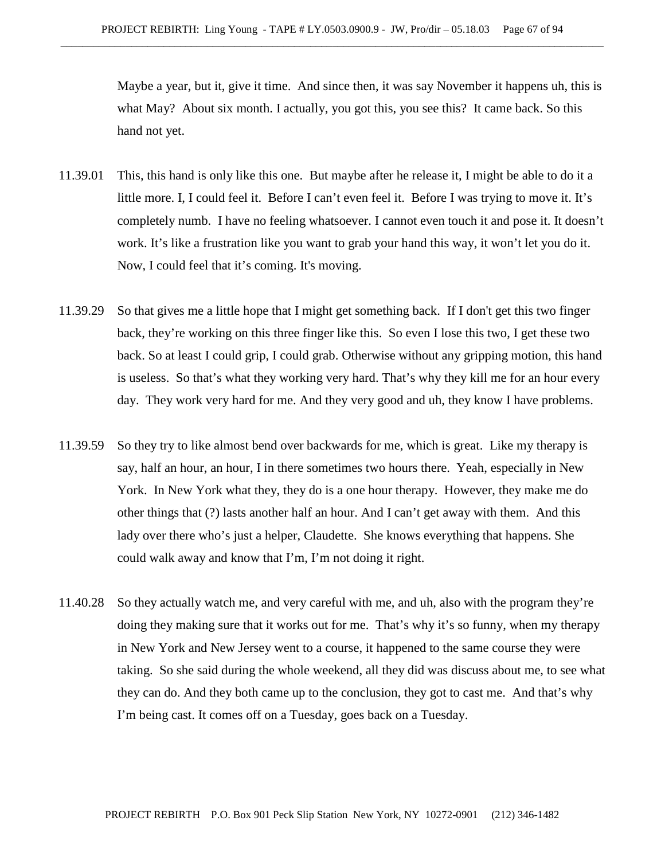Maybe a year, but it, give it time. And since then, it was say November it happens uh, this is what May? About six month. I actually, you got this, you see this? It came back. So this hand not yet.

- 11.39.01 This, this hand is only like this one. But maybe after he release it, I might be able to do it a little more. I, I could feel it. Before I can't even feel it. Before I was trying to move it. It's completely numb. I have no feeling whatsoever. I cannot even touch it and pose it. It doesn't work. It's like a frustration like you want to grab your hand this way, it won't let you do it. Now, I could feel that it's coming. It's moving.
- 11.39.29 So that gives me a little hope that I might get something back. If I don't get this two finger back, they're working on this three finger like this. So even I lose this two, I get these two back. So at least I could grip, I could grab. Otherwise without any gripping motion, this hand is useless. So that's what they working very hard. That's why they kill me for an hour every day. They work very hard for me. And they very good and uh, they know I have problems.
- 11.39.59 So they try to like almost bend over backwards for me, which is great. Like my therapy is say, half an hour, an hour, I in there sometimes two hours there. Yeah, especially in New York. In New York what they, they do is a one hour therapy. However, they make me do other things that (?) lasts another half an hour. And I can't get away with them. And this lady over there who's just a helper, Claudette. She knows everything that happens. She could walk away and know that I'm, I'm not doing it right.
- 11.40.28 So they actually watch me, and very careful with me, and uh, also with the program they're doing they making sure that it works out for me. That's why it's so funny, when my therapy in New York and New Jersey went to a course, it happened to the same course they were taking. So she said during the whole weekend, all they did was discuss about me, to see what they can do. And they both came up to the conclusion, they got to cast me. And that's why I'm being cast. It comes off on a Tuesday, goes back on a Tuesday.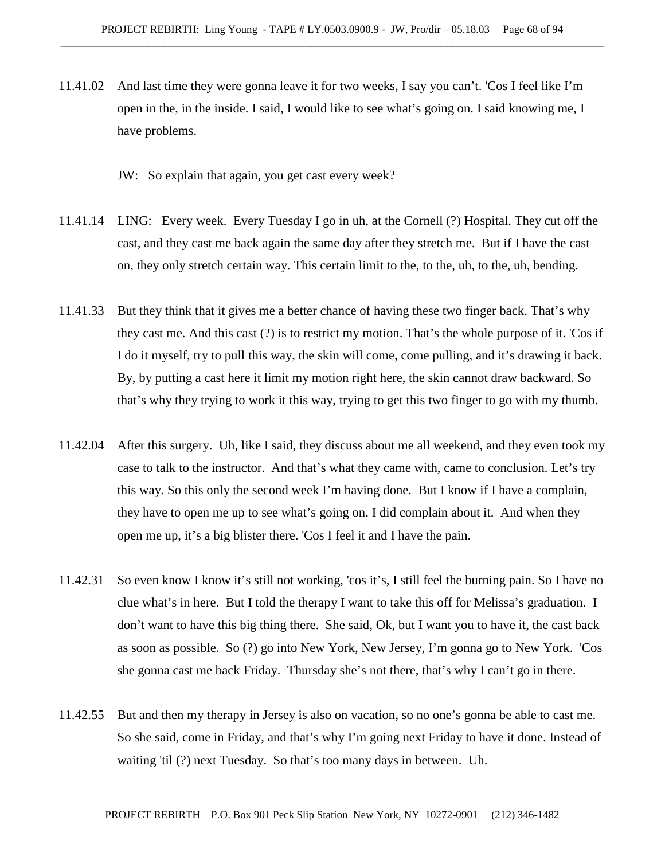11.41.02 And last time they were gonna leave it for two weeks, I say you can't. 'Cos I feel like I'm open in the, in the inside. I said, I would like to see what's going on. I said knowing me, I have problems.

JW: So explain that again, you get cast every week?

- 11.41.14 LING: Every week. Every Tuesday I go in uh, at the Cornell (?) Hospital. They cut off the cast, and they cast me back again the same day after they stretch me. But if I have the cast on, they only stretch certain way. This certain limit to the, to the, uh, to the, uh, bending.
- 11.41.33 But they think that it gives me a better chance of having these two finger back. That's why they cast me. And this cast (?) is to restrict my motion. That's the whole purpose of it. 'Cos if I do it myself, try to pull this way, the skin will come, come pulling, and it's drawing it back. By, by putting a cast here it limit my motion right here, the skin cannot draw backward. So that's why they trying to work it this way, trying to get this two finger to go with my thumb.
- 11.42.04 After this surgery. Uh, like I said, they discuss about me all weekend, and they even took my case to talk to the instructor. And that's what they came with, came to conclusion. Let's try this way. So this only the second week I'm having done. But I know if I have a complain, they have to open me up to see what's going on. I did complain about it. And when they open me up, it's a big blister there. 'Cos I feel it and I have the pain.
- 11.42.31 So even know I know it's still not working, 'cos it's, I still feel the burning pain. So I have no clue what's in here. But I told the therapy I want to take this off for Melissa's graduation. I don't want to have this big thing there. She said, Ok, but I want you to have it, the cast back as soon as possible. So (?) go into New York, New Jersey, I'm gonna go to New York. 'Cos she gonna cast me back Friday. Thursday she's not there, that's why I can't go in there.
- 11.42.55 But and then my therapy in Jersey is also on vacation, so no one's gonna be able to cast me. So she said, come in Friday, and that's why I'm going next Friday to have it done. Instead of waiting 'til (?) next Tuesday. So that's too many days in between. Uh.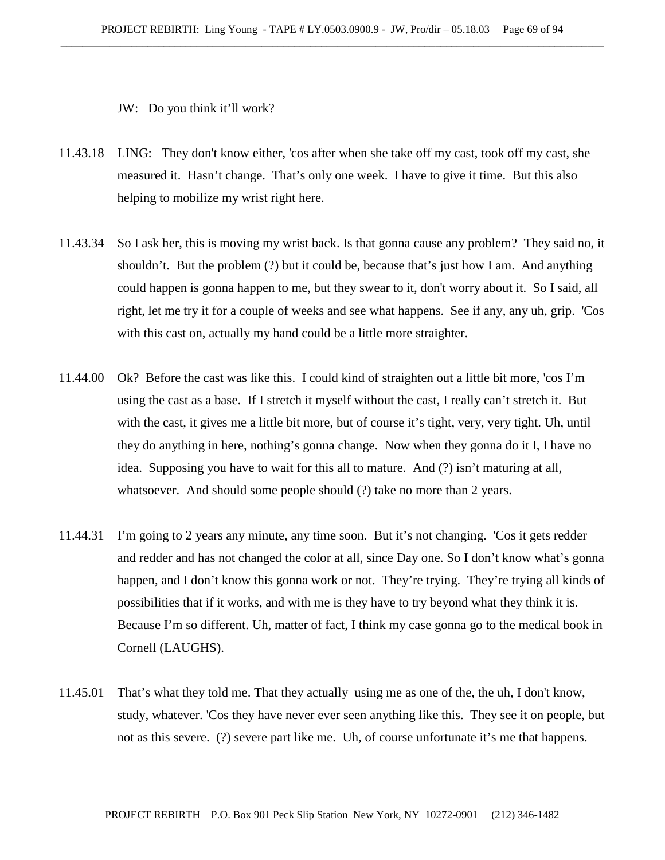JW: Do you think it'll work?

- 11.43.18 LING: They don't know either, 'cos after when she take off my cast, took off my cast, she measured it. Hasn't change. That's only one week. I have to give it time. But this also helping to mobilize my wrist right here.
- 11.43.34 So I ask her, this is moving my wrist back. Is that gonna cause any problem? They said no, it shouldn't. But the problem (?) but it could be, because that's just how I am. And anything could happen is gonna happen to me, but they swear to it, don't worry about it. So I said, all right, let me try it for a couple of weeks and see what happens. See if any, any uh, grip. 'Cos with this cast on, actually my hand could be a little more straighter.
- 11.44.00 Ok? Before the cast was like this. I could kind of straighten out a little bit more, 'cos I'm using the cast as a base. If I stretch it myself without the cast, I really can't stretch it. But with the cast, it gives me a little bit more, but of course it's tight, very, very tight. Uh, until they do anything in here, nothing's gonna change. Now when they gonna do it I, I have no idea. Supposing you have to wait for this all to mature. And (?) isn't maturing at all, whatsoever. And should some people should (?) take no more than 2 years.
- 11.44.31 I'm going to 2 years any minute, any time soon. But it's not changing. 'Cos it gets redder and redder and has not changed the color at all, since Day one. So I don't know what's gonna happen, and I don't know this gonna work or not. They're trying. They're trying all kinds of possibilities that if it works, and with me is they have to try beyond what they think it is. Because I'm so different. Uh, matter of fact, I think my case gonna go to the medical book in Cornell (LAUGHS).
- 11.45.01 That's what they told me. That they actually using me as one of the, the uh, I don't know, study, whatever. 'Cos they have never ever seen anything like this. They see it on people, but not as this severe. (?) severe part like me. Uh, of course unfortunate it's me that happens.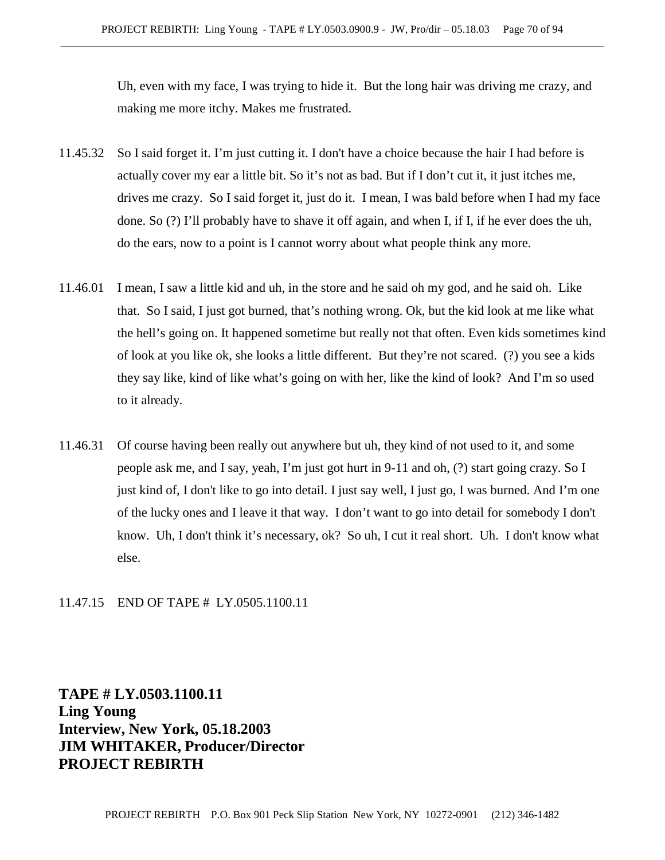Uh, even with my face, I was trying to hide it. But the long hair was driving me crazy, and making me more itchy. Makes me frustrated.

- 11.45.32 So I said forget it. I'm just cutting it. I don't have a choice because the hair I had before is actually cover my ear a little bit. So it's not as bad. But if I don't cut it, it just itches me, drives me crazy. So I said forget it, just do it. I mean, I was bald before when I had my face done. So (?) I'll probably have to shave it off again, and when I, if I, if he ever does the uh, do the ears, now to a point is I cannot worry about what people think any more.
- 11.46.01 I mean, I saw a little kid and uh, in the store and he said oh my god, and he said oh. Like that. So I said, I just got burned, that's nothing wrong. Ok, but the kid look at me like what the hell's going on. It happened sometime but really not that often. Even kids sometimes kind of look at you like ok, she looks a little different. But they're not scared. (?) you see a kids they say like, kind of like what's going on with her, like the kind of look? And I'm so used to it already.
- 11.46.31 Of course having been really out anywhere but uh, they kind of not used to it, and some people ask me, and I say, yeah, I'm just got hurt in 9-11 and oh, (?) start going crazy. So I just kind of, I don't like to go into detail. I just say well, I just go, I was burned. And I'm one of the lucky ones and I leave it that way. I don't want to go into detail for somebody I don't know. Uh, I don't think it's necessary, ok? So uh, I cut it real short. Uh. I don't know what else.

## 11.47.15 END OF TAPE # LY.0505.1100.11

**TAPE # LY.0503.1100.11 Ling Young Interview, New York, 05.18.2003 JIM WHITAKER, Producer/Director PROJECT REBIRTH**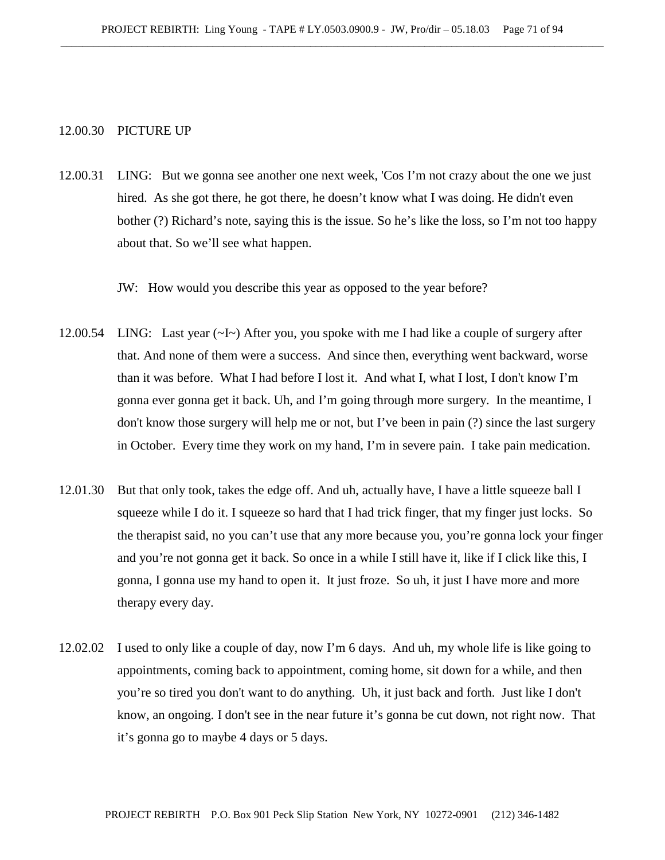# 12.00.30 PICTURE UP

12.00.31 LING: But we gonna see another one next week, 'Cos I'm not crazy about the one we just hired. As she got there, he got there, he doesn't know what I was doing. He didn't even bother (?) Richard's note, saying this is the issue. So he's like the loss, so I'm not too happy about that. So we'll see what happen.

JW: How would you describe this year as opposed to the year before?

- 12.00.54 LING: Last year  $(\sim I \sim)$  After you, you spoke with me I had like a couple of surgery after that. And none of them were a success. And since then, everything went backward, worse than it was before. What I had before I lost it. And what I, what I lost, I don't know I'm gonna ever gonna get it back. Uh, and I'm going through more surgery. In the meantime, I don't know those surgery will help me or not, but I've been in pain (?) since the last surgery in October. Every time they work on my hand, I'm in severe pain. I take pain medication.
- 12.01.30 But that only took, takes the edge off. And uh, actually have, I have a little squeeze ball I squeeze while I do it. I squeeze so hard that I had trick finger, that my finger just locks. So the therapist said, no you can't use that any more because you, you're gonna lock your finger and you're not gonna get it back. So once in a while I still have it, like if I click like this, I gonna, I gonna use my hand to open it. It just froze. So uh, it just I have more and more therapy every day.
- 12.02.02 I used to only like a couple of day, now I'm 6 days. And uh, my whole life is like going to appointments, coming back to appointment, coming home, sit down for a while, and then you're so tired you don't want to do anything. Uh, it just back and forth. Just like I don't know, an ongoing. I don't see in the near future it's gonna be cut down, not right now. That it's gonna go to maybe 4 days or 5 days.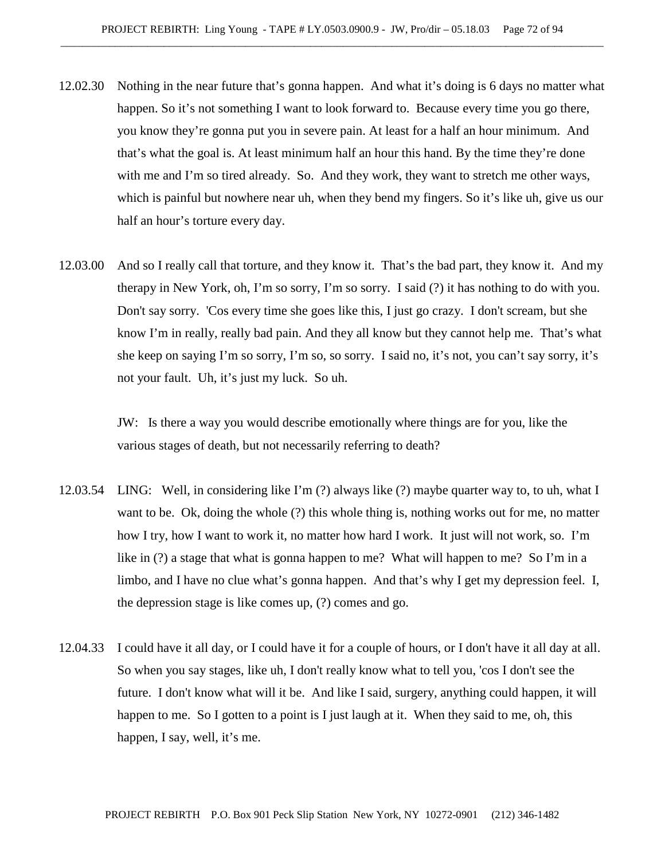- 12.02.30 Nothing in the near future that's gonna happen. And what it's doing is 6 days no matter what happen. So it's not something I want to look forward to. Because every time you go there, you know they're gonna put you in severe pain. At least for a half an hour minimum. And that's what the goal is. At least minimum half an hour this hand. By the time they're done with me and I'm so tired already. So. And they work, they want to stretch me other ways, which is painful but nowhere near uh, when they bend my fingers. So it's like uh, give us our half an hour's torture every day.
- 12.03.00 And so I really call that torture, and they know it. That's the bad part, they know it. And my therapy in New York, oh, I'm so sorry, I'm so sorry. I said (?) it has nothing to do with you. Don't say sorry. 'Cos every time she goes like this, I just go crazy. I don't scream, but she know I'm in really, really bad pain. And they all know but they cannot help me. That's what she keep on saying I'm so sorry, I'm so, so sorry. I said no, it's not, you can't say sorry, it's not your fault. Uh, it's just my luck. So uh.

JW: Is there a way you would describe emotionally where things are for you, like the various stages of death, but not necessarily referring to death?

- 12.03.54 LING: Well, in considering like I'm (?) always like (?) maybe quarter way to, to uh, what I want to be. Ok, doing the whole (?) this whole thing is, nothing works out for me, no matter how I try, how I want to work it, no matter how hard I work. It just will not work, so. I'm like in (?) a stage that what is gonna happen to me? What will happen to me? So I'm in a limbo, and I have no clue what's gonna happen. And that's why I get my depression feel. I, the depression stage is like comes up, (?) comes and go.
- 12.04.33 I could have it all day, or I could have it for a couple of hours, or I don't have it all day at all. So when you say stages, like uh, I don't really know what to tell you, 'cos I don't see the future. I don't know what will it be. And like I said, surgery, anything could happen, it will happen to me. So I gotten to a point is I just laugh at it. When they said to me, oh, this happen, I say, well, it's me.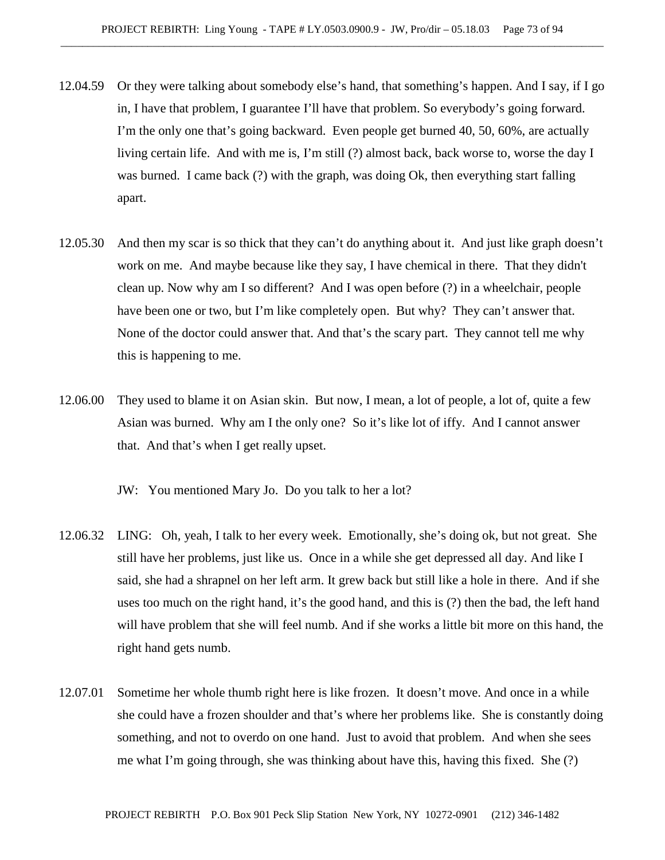- 12.04.59 Or they were talking about somebody else's hand, that something's happen. And I say, if I go in, I have that problem, I guarantee I'll have that problem. So everybody's going forward. I'm the only one that's going backward. Even people get burned 40, 50, 60%, are actually living certain life. And with me is, I'm still (?) almost back, back worse to, worse the day I was burned. I came back (?) with the graph, was doing Ok, then everything start falling apart.
- 12.05.30 And then my scar is so thick that they can't do anything about it. And just like graph doesn't work on me. And maybe because like they say, I have chemical in there. That they didn't clean up. Now why am I so different? And I was open before (?) in a wheelchair, people have been one or two, but I'm like completely open. But why? They can't answer that. None of the doctor could answer that. And that's the scary part. They cannot tell me why this is happening to me.
- 12.06.00 They used to blame it on Asian skin. But now, I mean, a lot of people, a lot of, quite a few Asian was burned. Why am I the only one? So it's like lot of iffy. And I cannot answer that. And that's when I get really upset.

JW: You mentioned Mary Jo. Do you talk to her a lot?

- 12.06.32 LING: Oh, yeah, I talk to her every week. Emotionally, she's doing ok, but not great. She still have her problems, just like us. Once in a while she get depressed all day. And like I said, she had a shrapnel on her left arm. It grew back but still like a hole in there. And if she uses too much on the right hand, it's the good hand, and this is (?) then the bad, the left hand will have problem that she will feel numb. And if she works a little bit more on this hand, the right hand gets numb.
- 12.07.01 Sometime her whole thumb right here is like frozen. It doesn't move. And once in a while she could have a frozen shoulder and that's where her problems like. She is constantly doing something, and not to overdo on one hand. Just to avoid that problem. And when she sees me what I'm going through, she was thinking about have this, having this fixed. She (?)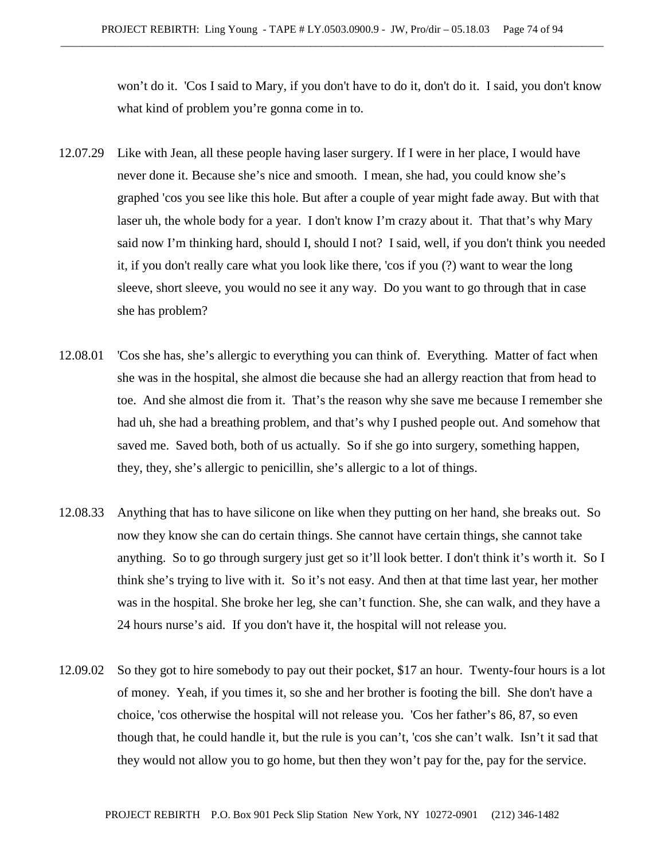won't do it. 'Cos I said to Mary, if you don't have to do it, don't do it. I said, you don't know what kind of problem you're gonna come in to.

- 12.07.29 Like with Jean, all these people having laser surgery. If I were in her place, I would have never done it. Because she's nice and smooth. I mean, she had, you could know she's graphed 'cos you see like this hole. But after a couple of year might fade away. But with that laser uh, the whole body for a year. I don't know I'm crazy about it. That that's why Mary said now I'm thinking hard, should I, should I not? I said, well, if you don't think you needed it, if you don't really care what you look like there, 'cos if you (?) want to wear the long sleeve, short sleeve, you would no see it any way. Do you want to go through that in case she has problem?
- 12.08.01 'Cos she has, she's allergic to everything you can think of. Everything. Matter of fact when she was in the hospital, she almost die because she had an allergy reaction that from head to toe. And she almost die from it. That's the reason why she save me because I remember she had uh, she had a breathing problem, and that's why I pushed people out. And somehow that saved me. Saved both, both of us actually. So if she go into surgery, something happen, they, they, she's allergic to penicillin, she's allergic to a lot of things.
- 12.08.33 Anything that has to have silicone on like when they putting on her hand, she breaks out. So now they know she can do certain things. She cannot have certain things, she cannot take anything. So to go through surgery just get so it'll look better. I don't think it's worth it. So I think she's trying to live with it. So it's not easy. And then at that time last year, her mother was in the hospital. She broke her leg, she can't function. She, she can walk, and they have a 24 hours nurse's aid. If you don't have it, the hospital will not release you.
- 12.09.02 So they got to hire somebody to pay out their pocket, \$17 an hour. Twenty-four hours is a lot of money. Yeah, if you times it, so she and her brother is footing the bill. She don't have a choice, 'cos otherwise the hospital will not release you. 'Cos her father's 86, 87, so even though that, he could handle it, but the rule is you can't, 'cos she can't walk. Isn't it sad that they would not allow you to go home, but then they won't pay for the, pay for the service.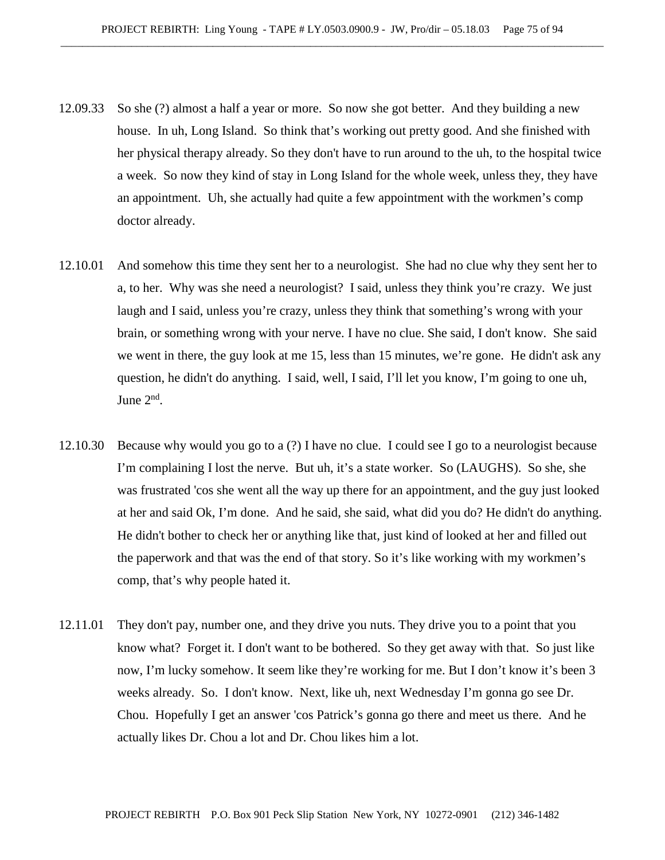- 12.09.33 So she (?) almost a half a year or more. So now she got better. And they building a new house. In uh, Long Island. So think that's working out pretty good. And she finished with her physical therapy already. So they don't have to run around to the uh, to the hospital twice a week. So now they kind of stay in Long Island for the whole week, unless they, they have an appointment. Uh, she actually had quite a few appointment with the workmen's comp doctor already.
- 12.10.01 And somehow this time they sent her to a neurologist. She had no clue why they sent her to a, to her. Why was she need a neurologist? I said, unless they think you're crazy. We just laugh and I said, unless you're crazy, unless they think that something's wrong with your brain, or something wrong with your nerve. I have no clue. She said, I don't know. She said we went in there, the guy look at me 15, less than 15 minutes, we're gone. He didn't ask any question, he didn't do anything. I said, well, I said, I'll let you know, I'm going to one uh, June  $2<sup>nd</sup>$ .
- 12.10.30 Because why would you go to a (?) I have no clue. I could see I go to a neurologist because I'm complaining I lost the nerve. But uh, it's a state worker. So (LAUGHS). So she, she was frustrated 'cos she went all the way up there for an appointment, and the guy just looked at her and said Ok, I'm done. And he said, she said, what did you do? He didn't do anything. He didn't bother to check her or anything like that, just kind of looked at her and filled out the paperwork and that was the end of that story. So it's like working with my workmen's comp, that's why people hated it.
- 12.11.01 They don't pay, number one, and they drive you nuts. They drive you to a point that you know what? Forget it. I don't want to be bothered. So they get away with that. So just like now, I'm lucky somehow. It seem like they're working for me. But I don't know it's been 3 weeks already. So. I don't know. Next, like uh, next Wednesday I'm gonna go see Dr. Chou. Hopefully I get an answer 'cos Patrick's gonna go there and meet us there. And he actually likes Dr. Chou a lot and Dr. Chou likes him a lot.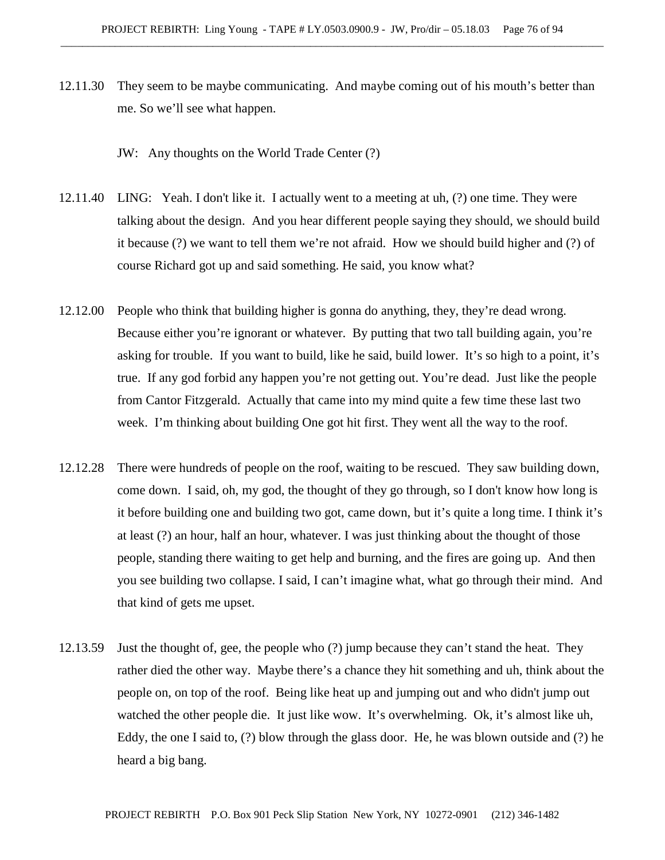- 12.11.30 They seem to be maybe communicating. And maybe coming out of his mouth's better than me. So we'll see what happen.
	- JW: Any thoughts on the World Trade Center (?)
- 12.11.40 LING: Yeah. I don't like it. I actually went to a meeting at uh, (?) one time. They were talking about the design. And you hear different people saying they should, we should build it because (?) we want to tell them we're not afraid. How we should build higher and (?) of course Richard got up and said something. He said, you know what?
- 12.12.00 People who think that building higher is gonna do anything, they, they're dead wrong. Because either you're ignorant or whatever. By putting that two tall building again, you're asking for trouble. If you want to build, like he said, build lower. It's so high to a point, it's true. If any god forbid any happen you're not getting out. You're dead. Just like the people from Cantor Fitzgerald. Actually that came into my mind quite a few time these last two week. I'm thinking about building One got hit first. They went all the way to the roof.
- 12.12.28 There were hundreds of people on the roof, waiting to be rescued. They saw building down, come down. I said, oh, my god, the thought of they go through, so I don't know how long is it before building one and building two got, came down, but it's quite a long time. I think it's at least (?) an hour, half an hour, whatever. I was just thinking about the thought of those people, standing there waiting to get help and burning, and the fires are going up. And then you see building two collapse. I said, I can't imagine what, what go through their mind. And that kind of gets me upset.
- 12.13.59 Just the thought of, gee, the people who (?) jump because they can't stand the heat. They rather died the other way. Maybe there's a chance they hit something and uh, think about the people on, on top of the roof. Being like heat up and jumping out and who didn't jump out watched the other people die. It just like wow. It's overwhelming. Ok, it's almost like uh, Eddy, the one I said to, (?) blow through the glass door. He, he was blown outside and (?) he heard a big bang.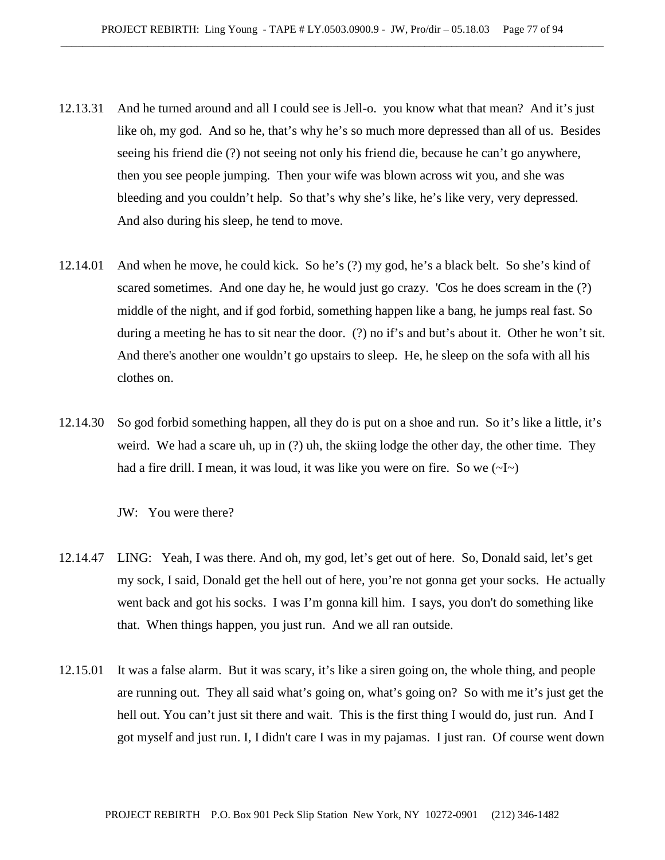- 12.13.31 And he turned around and all I could see is Jell-o. you know what that mean? And it's just like oh, my god. And so he, that's why he's so much more depressed than all of us. Besides seeing his friend die (?) not seeing not only his friend die, because he can't go anywhere, then you see people jumping. Then your wife was blown across wit you, and she was bleeding and you couldn't help. So that's why she's like, he's like very, very depressed. And also during his sleep, he tend to move.
- 12.14.01 And when he move, he could kick. So he's (?) my god, he's a black belt. So she's kind of scared sometimes. And one day he, he would just go crazy. 'Cos he does scream in the (?) middle of the night, and if god forbid, something happen like a bang, he jumps real fast. So during a meeting he has to sit near the door. (?) no if's and but's about it. Other he won't sit. And there's another one wouldn't go upstairs to sleep. He, he sleep on the sofa with all his clothes on.
- 12.14.30 So god forbid something happen, all they do is put on a shoe and run. So it's like a little, it's weird. We had a scare uh, up in (?) uh, the skiing lodge the other day, the other time. They had a fire drill. I mean, it was loud, it was like you were on fire. So we  $(\sim I \sim)$

JW: You were there?

- 12.14.47 LING: Yeah, I was there. And oh, my god, let's get out of here. So, Donald said, let's get my sock, I said, Donald get the hell out of here, you're not gonna get your socks. He actually went back and got his socks. I was I'm gonna kill him. I says, you don't do something like that. When things happen, you just run. And we all ran outside.
- 12.15.01 It was a false alarm. But it was scary, it's like a siren going on, the whole thing, and people are running out. They all said what's going on, what's going on? So with me it's just get the hell out. You can't just sit there and wait. This is the first thing I would do, just run. And I got myself and just run. I, I didn't care I was in my pajamas. I just ran. Of course went down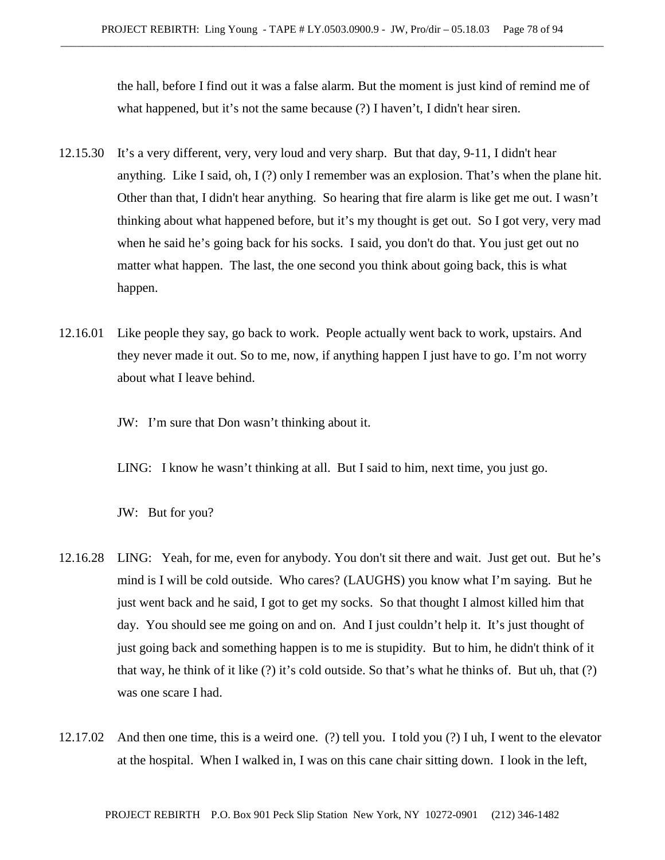the hall, before I find out it was a false alarm. But the moment is just kind of remind me of what happened, but it's not the same because (?) I haven't, I didn't hear siren.

- 12.15.30 It's a very different, very, very loud and very sharp. But that day, 9-11, I didn't hear anything. Like I said, oh, I (?) only I remember was an explosion. That's when the plane hit. Other than that, I didn't hear anything. So hearing that fire alarm is like get me out. I wasn't thinking about what happened before, but it's my thought is get out. So I got very, very mad when he said he's going back for his socks. I said, you don't do that. You just get out no matter what happen. The last, the one second you think about going back, this is what happen.
- 12.16.01 Like people they say, go back to work. People actually went back to work, upstairs. And they never made it out. So to me, now, if anything happen I just have to go. I'm not worry about what I leave behind.
	- JW: I'm sure that Don wasn't thinking about it.
	- LING: I know he wasn't thinking at all. But I said to him, next time, you just go.

JW: But for you?

- 12.16.28 LING: Yeah, for me, even for anybody. You don't sit there and wait. Just get out. But he's mind is I will be cold outside. Who cares? (LAUGHS) you know what I'm saying. But he just went back and he said, I got to get my socks. So that thought I almost killed him that day. You should see me going on and on. And I just couldn't help it. It's just thought of just going back and something happen is to me is stupidity. But to him, he didn't think of it that way, he think of it like (?) it's cold outside. So that's what he thinks of. But uh, that (?) was one scare I had.
- 12.17.02 And then one time, this is a weird one. (?) tell you. I told you (?) I uh, I went to the elevator at the hospital. When I walked in, I was on this cane chair sitting down. I look in the left,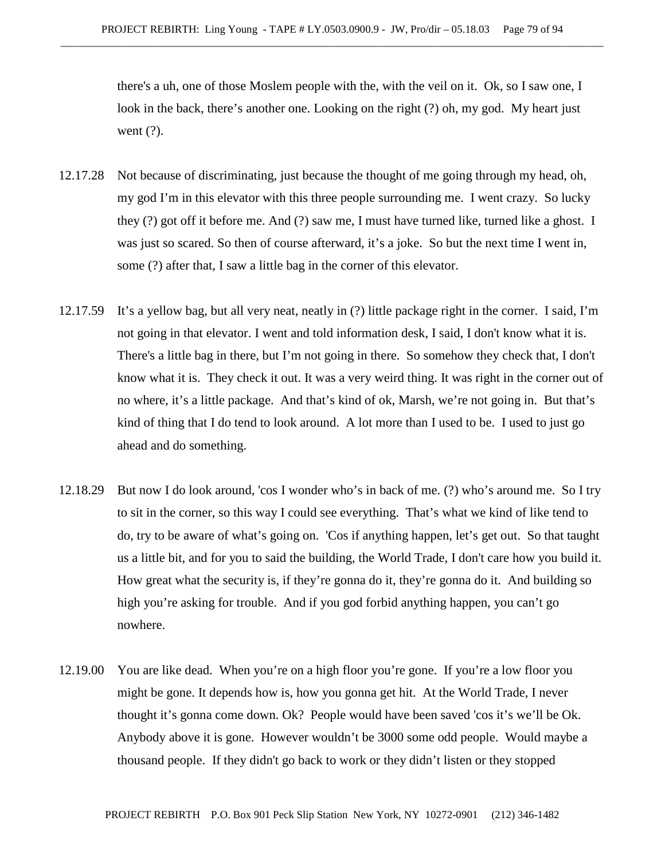there's a uh, one of those Moslem people with the, with the veil on it. Ok, so I saw one, I look in the back, there's another one. Looking on the right (?) oh, my god. My heart just went (?).

- 12.17.28 Not because of discriminating, just because the thought of me going through my head, oh, my god I'm in this elevator with this three people surrounding me. I went crazy. So lucky they (?) got off it before me. And (?) saw me, I must have turned like, turned like a ghost. I was just so scared. So then of course afterward, it's a joke. So but the next time I went in, some (?) after that, I saw a little bag in the corner of this elevator.
- 12.17.59 It's a yellow bag, but all very neat, neatly in (?) little package right in the corner. I said, I'm not going in that elevator. I went and told information desk, I said, I don't know what it is. There's a little bag in there, but I'm not going in there. So somehow they check that, I don't know what it is. They check it out. It was a very weird thing. It was right in the corner out of no where, it's a little package. And that's kind of ok, Marsh, we're not going in. But that's kind of thing that I do tend to look around. A lot more than I used to be. I used to just go ahead and do something.
- 12.18.29 But now I do look around, 'cos I wonder who's in back of me. (?) who's around me. So I try to sit in the corner, so this way I could see everything. That's what we kind of like tend to do, try to be aware of what's going on. 'Cos if anything happen, let's get out. So that taught us a little bit, and for you to said the building, the World Trade, I don't care how you build it. How great what the security is, if they're gonna do it, they're gonna do it. And building so high you're asking for trouble. And if you god forbid anything happen, you can't go nowhere.
- 12.19.00 You are like dead. When you're on a high floor you're gone. If you're a low floor you might be gone. It depends how is, how you gonna get hit. At the World Trade, I never thought it's gonna come down. Ok? People would have been saved 'cos it's we'll be Ok. Anybody above it is gone. However wouldn't be 3000 some odd people. Would maybe a thousand people. If they didn't go back to work or they didn't listen or they stopped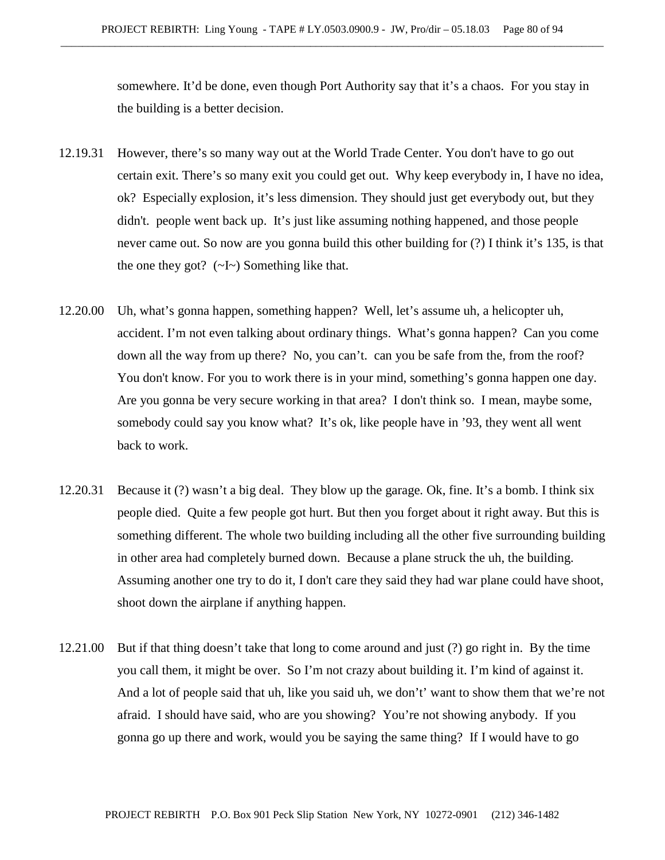somewhere. It'd be done, even though Port Authority say that it's a chaos. For you stay in the building is a better decision.

- 12.19.31 However, there's so many way out at the World Trade Center. You don't have to go out certain exit. There's so many exit you could get out. Why keep everybody in, I have no idea, ok? Especially explosion, it's less dimension. They should just get everybody out, but they didn't. people went back up. It's just like assuming nothing happened, and those people never came out. So now are you gonna build this other building for (?) I think it's 135, is that the one they got?  $(\sim I \sim)$  Something like that.
- 12.20.00 Uh, what's gonna happen, something happen? Well, let's assume uh, a helicopter uh, accident. I'm not even talking about ordinary things. What's gonna happen? Can you come down all the way from up there? No, you can't. can you be safe from the, from the roof? You don't know. For you to work there is in your mind, something's gonna happen one day. Are you gonna be very secure working in that area? I don't think so. I mean, maybe some, somebody could say you know what? It's ok, like people have in '93, they went all went back to work.
- 12.20.31 Because it (?) wasn't a big deal. They blow up the garage. Ok, fine. It's a bomb. I think six people died. Quite a few people got hurt. But then you forget about it right away. But this is something different. The whole two building including all the other five surrounding building in other area had completely burned down. Because a plane struck the uh, the building. Assuming another one try to do it, I don't care they said they had war plane could have shoot, shoot down the airplane if anything happen.
- 12.21.00 But if that thing doesn't take that long to come around and just (?) go right in. By the time you call them, it might be over. So I'm not crazy about building it. I'm kind of against it. And a lot of people said that uh, like you said uh, we don't' want to show them that we're not afraid. I should have said, who are you showing? You're not showing anybody. If you gonna go up there and work, would you be saying the same thing? If I would have to go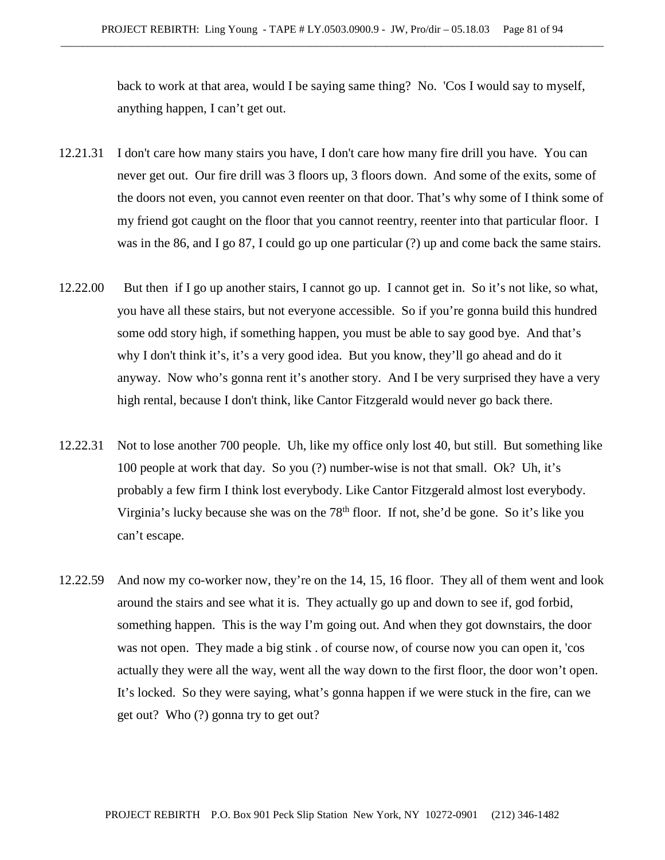back to work at that area, would I be saying same thing? No. 'Cos I would say to myself, anything happen, I can't get out.

- 12.21.31 I don't care how many stairs you have, I don't care how many fire drill you have. You can never get out. Our fire drill was 3 floors up, 3 floors down. And some of the exits, some of the doors not even, you cannot even reenter on that door. That's why some of I think some of my friend got caught on the floor that you cannot reentry, reenter into that particular floor. I was in the 86, and I go 87, I could go up one particular (?) up and come back the same stairs.
- 12.22.00 But then if I go up another stairs, I cannot go up. I cannot get in. So it's not like, so what, you have all these stairs, but not everyone accessible. So if you're gonna build this hundred some odd story high, if something happen, you must be able to say good bye. And that's why I don't think it's, it's a very good idea. But you know, they'll go ahead and do it anyway. Now who's gonna rent it's another story. And I be very surprised they have a very high rental, because I don't think, like Cantor Fitzgerald would never go back there.
- 12.22.31 Not to lose another 700 people. Uh, like my office only lost 40, but still. But something like 100 people at work that day. So you (?) number-wise is not that small. Ok? Uh, it's probably a few firm I think lost everybody. Like Cantor Fitzgerald almost lost everybody. Virginia's lucky because she was on the 78<sup>th</sup> floor. If not, she'd be gone. So it's like you can't escape.
- 12.22.59 And now my co-worker now, they're on the 14, 15, 16 floor. They all of them went and look around the stairs and see what it is. They actually go up and down to see if, god forbid, something happen. This is the way I'm going out. And when they got downstairs, the door was not open. They made a big stink . of course now, of course now you can open it, 'cos actually they were all the way, went all the way down to the first floor, the door won't open. It's locked. So they were saying, what's gonna happen if we were stuck in the fire, can we get out? Who (?) gonna try to get out?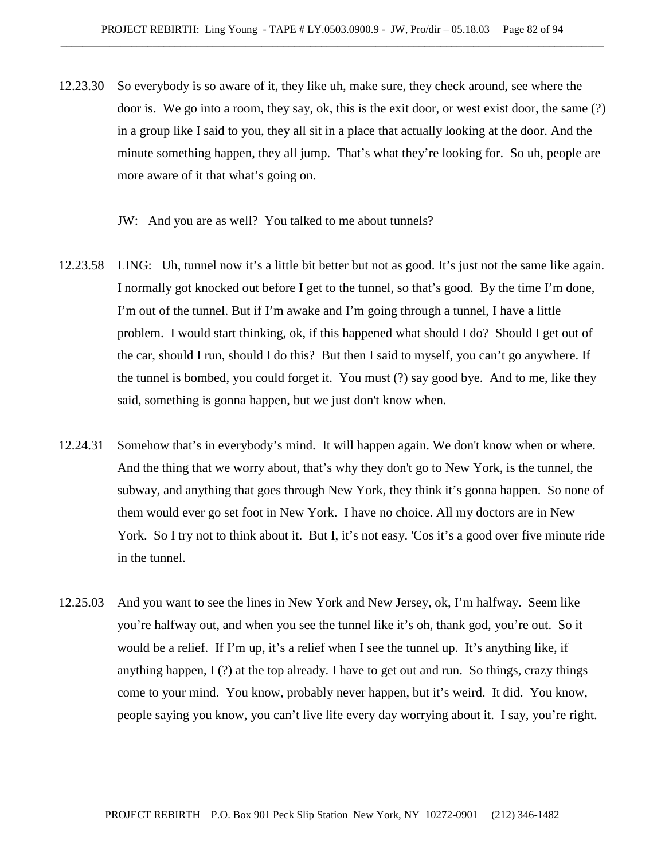12.23.30 So everybody is so aware of it, they like uh, make sure, they check around, see where the door is. We go into a room, they say, ok, this is the exit door, or west exist door, the same (?) in a group like I said to you, they all sit in a place that actually looking at the door. And the minute something happen, they all jump. That's what they're looking for. So uh, people are more aware of it that what's going on.

JW: And you are as well? You talked to me about tunnels?

- 12.23.58 LING: Uh, tunnel now it's a little bit better but not as good. It's just not the same like again. I normally got knocked out before I get to the tunnel, so that's good. By the time I'm done, I'm out of the tunnel. But if I'm awake and I'm going through a tunnel, I have a little problem. I would start thinking, ok, if this happened what should I do? Should I get out of the car, should I run, should I do this? But then I said to myself, you can't go anywhere. If the tunnel is bombed, you could forget it. You must (?) say good bye. And to me, like they said, something is gonna happen, but we just don't know when.
- 12.24.31 Somehow that's in everybody's mind. It will happen again. We don't know when or where. And the thing that we worry about, that's why they don't go to New York, is the tunnel, the subway, and anything that goes through New York, they think it's gonna happen. So none of them would ever go set foot in New York. I have no choice. All my doctors are in New York. So I try not to think about it. But I, it's not easy. 'Cos it's a good over five minute ride in the tunnel.
- 12.25.03 And you want to see the lines in New York and New Jersey, ok, I'm halfway. Seem like you're halfway out, and when you see the tunnel like it's oh, thank god, you're out. So it would be a relief. If I'm up, it's a relief when I see the tunnel up. It's anything like, if anything happen, I (?) at the top already. I have to get out and run. So things, crazy things come to your mind. You know, probably never happen, but it's weird. It did. You know, people saying you know, you can't live life every day worrying about it. I say, you're right.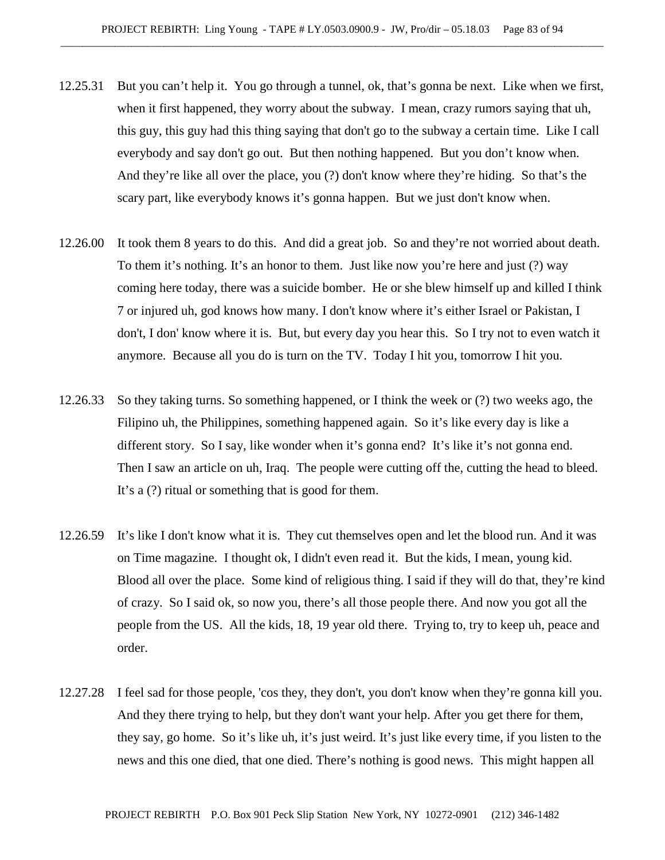- 12.25.31 But you can't help it. You go through a tunnel, ok, that's gonna be next. Like when we first, when it first happened, they worry about the subway. I mean, crazy rumors saying that uh, this guy, this guy had this thing saying that don't go to the subway a certain time. Like I call everybody and say don't go out. But then nothing happened. But you don't know when. And they're like all over the place, you (?) don't know where they're hiding. So that's the scary part, like everybody knows it's gonna happen. But we just don't know when.
- 12.26.00 It took them 8 years to do this. And did a great job. So and they're not worried about death. To them it's nothing. It's an honor to them. Just like now you're here and just (?) way coming here today, there was a suicide bomber. He or she blew himself up and killed I think 7 or injured uh, god knows how many. I don't know where it's either Israel or Pakistan, I don't, I don' know where it is. But, but every day you hear this. So I try not to even watch it anymore. Because all you do is turn on the TV. Today I hit you, tomorrow I hit you.
- 12.26.33 So they taking turns. So something happened, or I think the week or (?) two weeks ago, the Filipino uh, the Philippines, something happened again. So it's like every day is like a different story. So I say, like wonder when it's gonna end? It's like it's not gonna end. Then I saw an article on uh, Iraq. The people were cutting off the, cutting the head to bleed. It's a (?) ritual or something that is good for them.
- 12.26.59 It's like I don't know what it is. They cut themselves open and let the blood run. And it was on Time magazine. I thought ok, I didn't even read it. But the kids, I mean, young kid. Blood all over the place. Some kind of religious thing. I said if they will do that, they're kind of crazy. So I said ok, so now you, there's all those people there. And now you got all the people from the US. All the kids, 18, 19 year old there. Trying to, try to keep uh, peace and order.
- 12.27.28 I feel sad for those people, 'cos they, they don't, you don't know when they're gonna kill you. And they there trying to help, but they don't want your help. After you get there for them, they say, go home. So it's like uh, it's just weird. It's just like every time, if you listen to the news and this one died, that one died. There's nothing is good news. This might happen all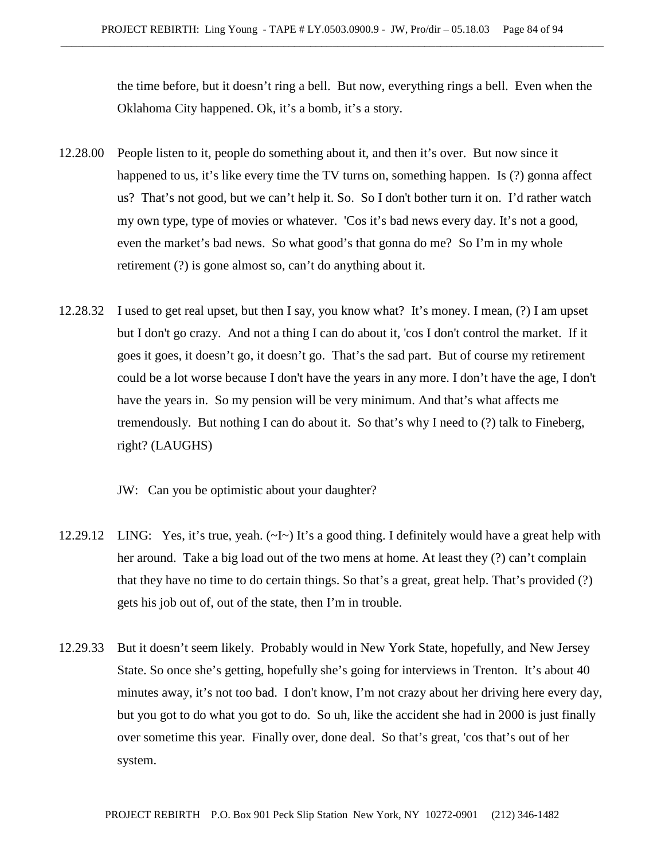the time before, but it doesn't ring a bell. But now, everything rings a bell. Even when the Oklahoma City happened. Ok, it's a bomb, it's a story.

- 12.28.00 People listen to it, people do something about it, and then it's over. But now since it happened to us, it's like every time the TV turns on, something happen. Is (?) gonna affect us? That's not good, but we can't help it. So. So I don't bother turn it on. I'd rather watch my own type, type of movies or whatever. 'Cos it's bad news every day. It's not a good, even the market's bad news. So what good's that gonna do me? So I'm in my whole retirement (?) is gone almost so, can't do anything about it.
- 12.28.32 I used to get real upset, but then I say, you know what? It's money. I mean, (?) I am upset but I don't go crazy. And not a thing I can do about it, 'cos I don't control the market. If it goes it goes, it doesn't go, it doesn't go. That's the sad part. But of course my retirement could be a lot worse because I don't have the years in any more. I don't have the age, I don't have the years in. So my pension will be very minimum. And that's what affects me tremendously. But nothing I can do about it. So that's why I need to (?) talk to Fineberg, right? (LAUGHS)

JW: Can you be optimistic about your daughter?

- 12.29.12 LING: Yes, it's true, yeah.  $(\sim I \sim)$  It's a good thing. I definitely would have a great help with her around. Take a big load out of the two mens at home. At least they (?) can't complain that they have no time to do certain things. So that's a great, great help. That's provided (?) gets his job out of, out of the state, then I'm in trouble.
- 12.29.33 But it doesn't seem likely. Probably would in New York State, hopefully, and New Jersey State. So once she's getting, hopefully she's going for interviews in Trenton. It's about 40 minutes away, it's not too bad. I don't know, I'm not crazy about her driving here every day, but you got to do what you got to do. So uh, like the accident she had in 2000 is just finally over sometime this year. Finally over, done deal. So that's great, 'cos that's out of her system.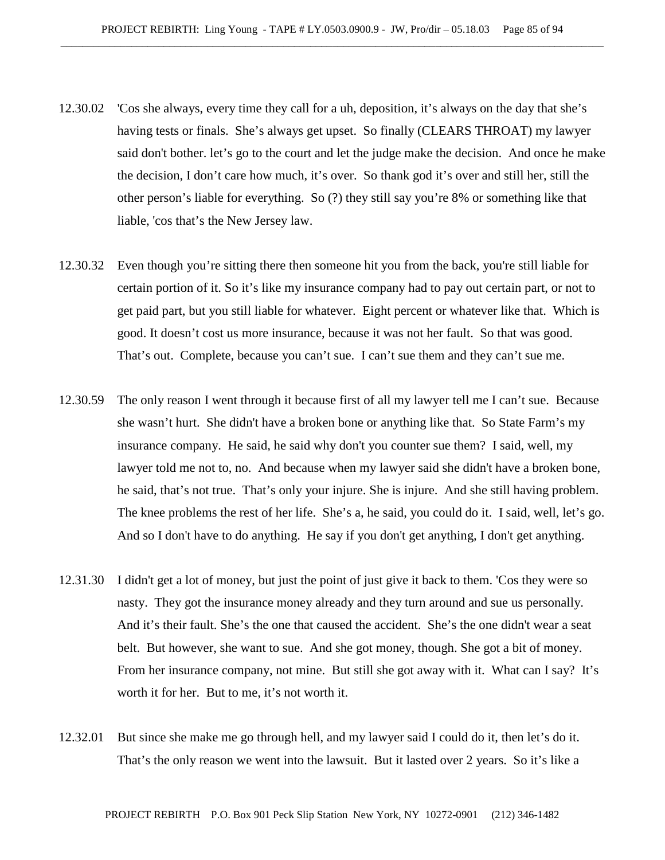- 12.30.02 'Cos she always, every time they call for a uh, deposition, it's always on the day that she's having tests or finals. She's always get upset. So finally (CLEARS THROAT) my lawyer said don't bother. let's go to the court and let the judge make the decision. And once he make the decision, I don't care how much, it's over. So thank god it's over and still her, still the other person's liable for everything. So (?) they still say you're 8% or something like that liable, 'cos that's the New Jersey law.
- 12.30.32 Even though you're sitting there then someone hit you from the back, you're still liable for certain portion of it. So it's like my insurance company had to pay out certain part, or not to get paid part, but you still liable for whatever. Eight percent or whatever like that. Which is good. It doesn't cost us more insurance, because it was not her fault. So that was good. That's out. Complete, because you can't sue. I can't sue them and they can't sue me.
- 12.30.59 The only reason I went through it because first of all my lawyer tell me I can't sue. Because she wasn't hurt. She didn't have a broken bone or anything like that. So State Farm's my insurance company. He said, he said why don't you counter sue them? I said, well, my lawyer told me not to, no. And because when my lawyer said she didn't have a broken bone, he said, that's not true. That's only your injure. She is injure. And she still having problem. The knee problems the rest of her life. She's a, he said, you could do it. I said, well, let's go. And so I don't have to do anything. He say if you don't get anything, I don't get anything.
- 12.31.30 I didn't get a lot of money, but just the point of just give it back to them. 'Cos they were so nasty. They got the insurance money already and they turn around and sue us personally. And it's their fault. She's the one that caused the accident. She's the one didn't wear a seat belt. But however, she want to sue. And she got money, though. She got a bit of money. From her insurance company, not mine. But still she got away with it. What can I say? It's worth it for her. But to me, it's not worth it.
- 12.32.01 But since she make me go through hell, and my lawyer said I could do it, then let's do it. That's the only reason we went into the lawsuit. But it lasted over 2 years. So it's like a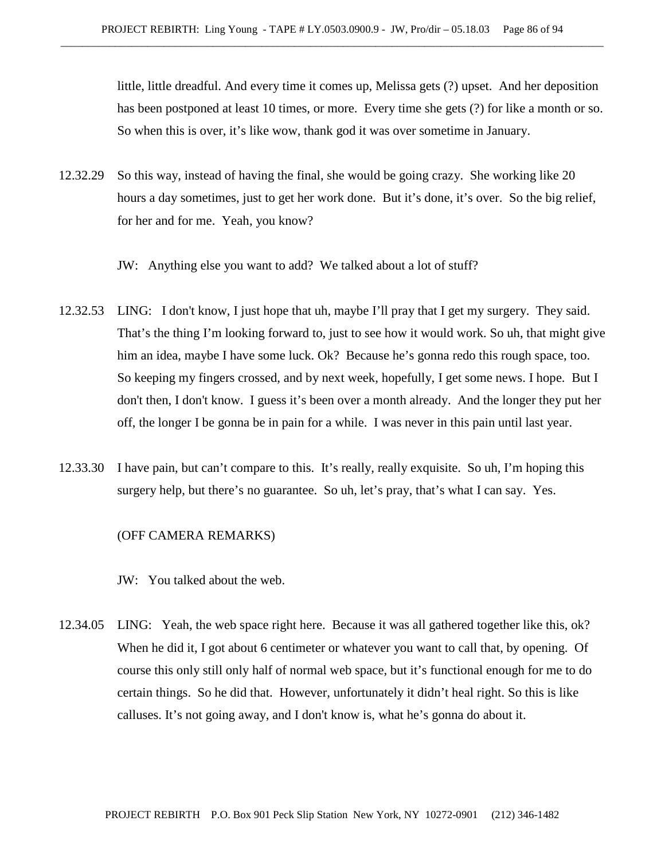little, little dreadful. And every time it comes up, Melissa gets (?) upset. And her deposition has been postponed at least 10 times, or more. Every time she gets (?) for like a month or so. So when this is over, it's like wow, thank god it was over sometime in January.

12.32.29 So this way, instead of having the final, she would be going crazy. She working like 20 hours a day sometimes, just to get her work done. But it's done, it's over. So the big relief, for her and for me. Yeah, you know?

JW: Anything else you want to add? We talked about a lot of stuff?

- 12.32.53 LING: I don't know, I just hope that uh, maybe I'll pray that I get my surgery. They said. That's the thing I'm looking forward to, just to see how it would work. So uh, that might give him an idea, maybe I have some luck. Ok? Because he's gonna redo this rough space, too. So keeping my fingers crossed, and by next week, hopefully, I get some news. I hope. But I don't then, I don't know. I guess it's been over a month already. And the longer they put her off, the longer I be gonna be in pain for a while. I was never in this pain until last year.
- 12.33.30 I have pain, but can't compare to this. It's really, really exquisite. So uh, I'm hoping this surgery help, but there's no guarantee. So uh, let's pray, that's what I can say. Yes.

## (OFF CAMERA REMARKS)

JW: You talked about the web.

12.34.05 LING: Yeah, the web space right here. Because it was all gathered together like this, ok? When he did it, I got about 6 centimeter or whatever you want to call that, by opening. Of course this only still only half of normal web space, but it's functional enough for me to do certain things. So he did that. However, unfortunately it didn't heal right. So this is like calluses. It's not going away, and I don't know is, what he's gonna do about it.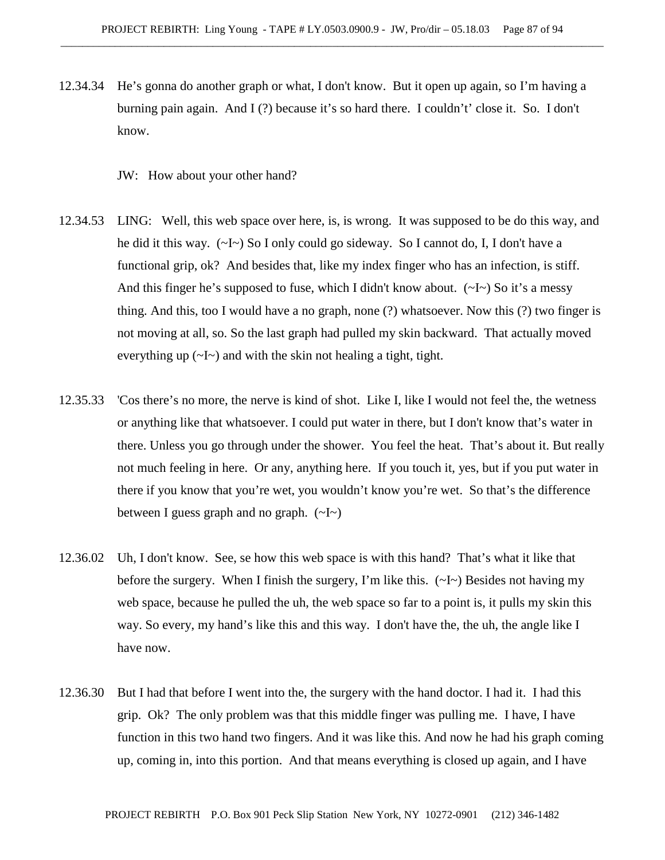12.34.34 He's gonna do another graph or what, I don't know. But it open up again, so I'm having a burning pain again. And I (?) because it's so hard there. I couldn't' close it. So. I don't know.

JW: How about your other hand?

- 12.34.53 LING: Well, this web space over here, is, is wrong. It was supposed to be do this way, and he did it this way. (~I~) So I only could go sideway. So I cannot do, I, I don't have a functional grip, ok? And besides that, like my index finger who has an infection, is stiff. And this finger he's supposed to fuse, which I didn't know about.  $(\sim I \sim)$  So it's a messy thing. And this, too I would have a no graph, none (?) whatsoever. Now this (?) two finger is not moving at all, so. So the last graph had pulled my skin backward. That actually moved everything up  $(\sim I \sim)$  and with the skin not healing a tight, tight.
- 12.35.33 'Cos there's no more, the nerve is kind of shot. Like I, like I would not feel the, the wetness or anything like that whatsoever. I could put water in there, but I don't know that's water in there. Unless you go through under the shower. You feel the heat. That's about it. But really not much feeling in here. Or any, anything here. If you touch it, yes, but if you put water in there if you know that you're wet, you wouldn't know you're wet. So that's the difference between I guess graph and no graph.  $(\sim I \sim)$
- 12.36.02 Uh, I don't know. See, se how this web space is with this hand? That's what it like that before the surgery. When I finish the surgery, I'm like this.  $(\sim I \sim)$  Besides not having my web space, because he pulled the uh, the web space so far to a point is, it pulls my skin this way. So every, my hand's like this and this way. I don't have the, the uh, the angle like I have now.
- 12.36.30 But I had that before I went into the, the surgery with the hand doctor. I had it. I had this grip. Ok? The only problem was that this middle finger was pulling me. I have, I have function in this two hand two fingers. And it was like this. And now he had his graph coming up, coming in, into this portion. And that means everything is closed up again, and I have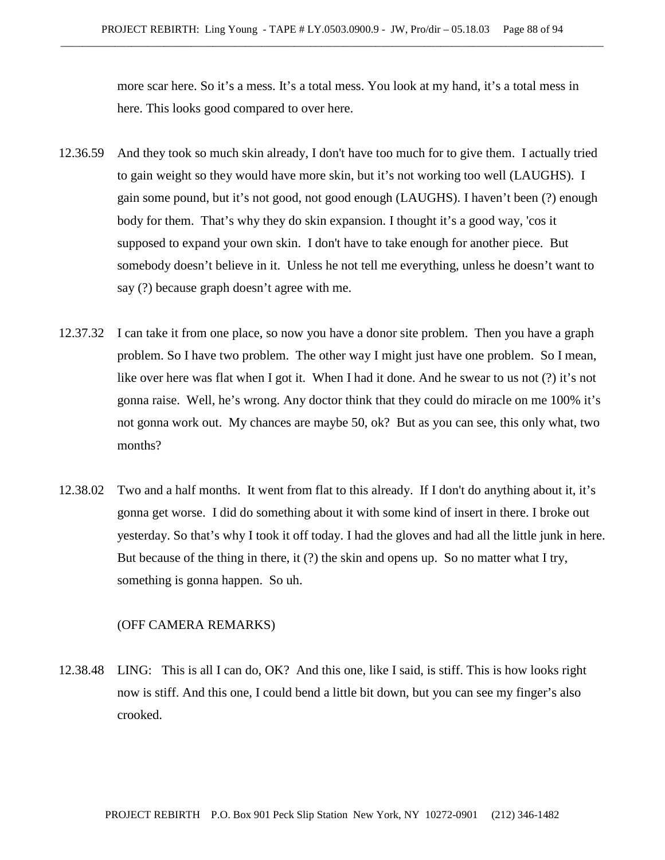more scar here. So it's a mess. It's a total mess. You look at my hand, it's a total mess in here. This looks good compared to over here.

- 12.36.59 And they took so much skin already, I don't have too much for to give them. I actually tried to gain weight so they would have more skin, but it's not working too well (LAUGHS). I gain some pound, but it's not good, not good enough (LAUGHS). I haven't been (?) enough body for them. That's why they do skin expansion. I thought it's a good way, 'cos it supposed to expand your own skin. I don't have to take enough for another piece. But somebody doesn't believe in it. Unless he not tell me everything, unless he doesn't want to say (?) because graph doesn't agree with me.
- 12.37.32 I can take it from one place, so now you have a donor site problem. Then you have a graph problem. So I have two problem. The other way I might just have one problem. So I mean, like over here was flat when I got it. When I had it done. And he swear to us not (?) it's not gonna raise. Well, he's wrong. Any doctor think that they could do miracle on me 100% it's not gonna work out. My chances are maybe 50, ok? But as you can see, this only what, two months?
- 12.38.02 Two and a half months. It went from flat to this already. If I don't do anything about it, it's gonna get worse. I did do something about it with some kind of insert in there. I broke out yesterday. So that's why I took it off today. I had the gloves and had all the little junk in here. But because of the thing in there, it (?) the skin and opens up. So no matter what I try, something is gonna happen. So uh.

#### (OFF CAMERA REMARKS)

12.38.48 LING: This is all I can do, OK? And this one, like I said, is stiff. This is how looks right now is stiff. And this one, I could bend a little bit down, but you can see my finger's also crooked.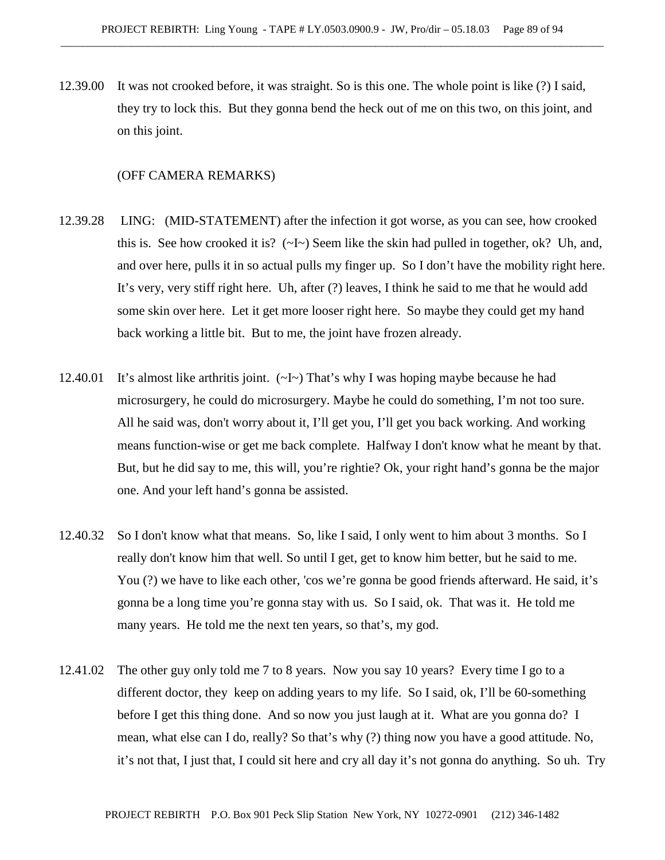12.39.00 It was not crooked before, it was straight. So is this one. The whole point is like (?) I said, they try to lock this. But they gonna bend the heck out of me on this two, on this joint, and on this joint.

## (OFF CAMERA REMARKS)

- 12.39.28 LING: (MID-STATEMENT) after the infection it got worse, as you can see, how crooked this is. See how crooked it is?  $(\sim I \sim)$  Seem like the skin had pulled in together, ok? Uh, and, and over here, pulls it in so actual pulls my finger up. So I don't have the mobility right here. It's very, very stiff right here. Uh, after (?) leaves, I think he said to me that he would add some skin over here. Let it get more looser right here. So maybe they could get my hand back working a little bit. But to me, the joint have frozen already.
- 12.40.01 It's almost like arthritis joint.  $(\sim I \sim)$  That's why I was hoping maybe because he had microsurgery, he could do microsurgery. Maybe he could do something, I'm not too sure. All he said was, don't worry about it, I'll get you, I'll get you back working. And working means function-wise or get me back complete. Halfway I don't know what he meant by that. But, but he did say to me, this will, you're rightie? Ok, your right hand's gonna be the major one. And your left hand's gonna be assisted.
- 12.40.32 So I don't know what that means. So, like I said, I only went to him about 3 months. So I really don't know him that well. So until I get, get to know him better, but he said to me. You (?) we have to like each other, 'cos we're gonna be good friends afterward. He said, it's gonna be a long time you're gonna stay with us. So I said, ok. That was it. He told me many years. He told me the next ten years, so that's, my god.
- 12.41.02 The other guy only told me 7 to 8 years. Now you say 10 years? Every time I go to a different doctor, they keep on adding years to my life. So I said, ok, I'll be 60-something before I get this thing done. And so now you just laugh at it. What are you gonna do? I mean, what else can I do, really? So that's why (?) thing now you have a good attitude. No, it's not that, I just that, I could sit here and cry all day it's not gonna do anything. So uh. Try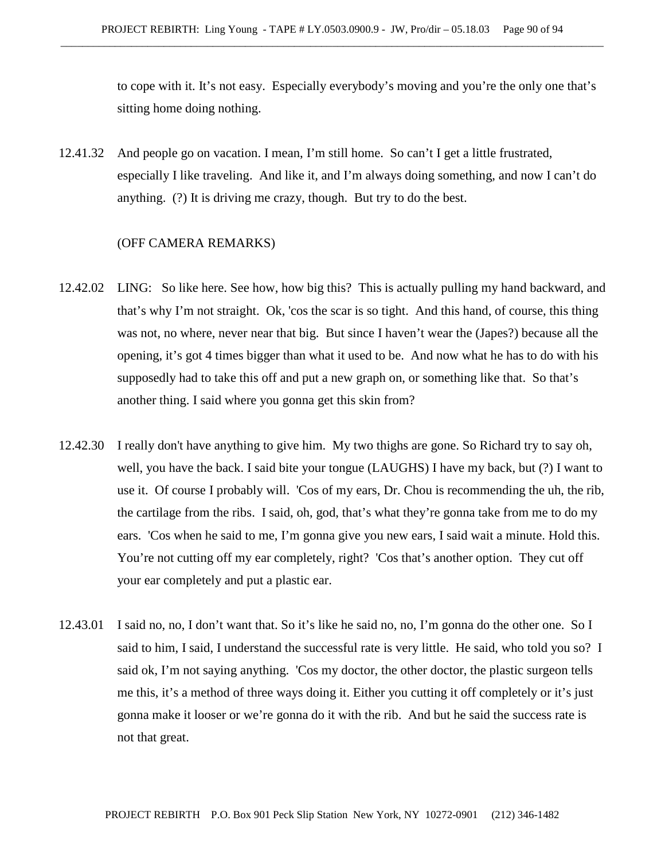to cope with it. It's not easy. Especially everybody's moving and you're the only one that's sitting home doing nothing.

12.41.32 And people go on vacation. I mean, I'm still home. So can't I get a little frustrated, especially I like traveling. And like it, and I'm always doing something, and now I can't do anything. (?) It is driving me crazy, though. But try to do the best.

#### (OFF CAMERA REMARKS)

- 12.42.02 LING: So like here. See how, how big this? This is actually pulling my hand backward, and that's why I'm not straight. Ok, 'cos the scar is so tight. And this hand, of course, this thing was not, no where, never near that big. But since I haven't wear the (Japes?) because all the opening, it's got 4 times bigger than what it used to be. And now what he has to do with his supposedly had to take this off and put a new graph on, or something like that. So that's another thing. I said where you gonna get this skin from?
- 12.42.30 I really don't have anything to give him. My two thighs are gone. So Richard try to say oh, well, you have the back. I said bite your tongue (LAUGHS) I have my back, but (?) I want to use it. Of course I probably will. 'Cos of my ears, Dr. Chou is recommending the uh, the rib, the cartilage from the ribs. I said, oh, god, that's what they're gonna take from me to do my ears. 'Cos when he said to me, I'm gonna give you new ears, I said wait a minute. Hold this. You're not cutting off my ear completely, right? 'Cos that's another option. They cut off your ear completely and put a plastic ear.
- 12.43.01 I said no, no, I don't want that. So it's like he said no, no, I'm gonna do the other one. So I said to him, I said, I understand the successful rate is very little. He said, who told you so? I said ok, I'm not saying anything. 'Cos my doctor, the other doctor, the plastic surgeon tells me this, it's a method of three ways doing it. Either you cutting it off completely or it's just gonna make it looser or we're gonna do it with the rib. And but he said the success rate is not that great.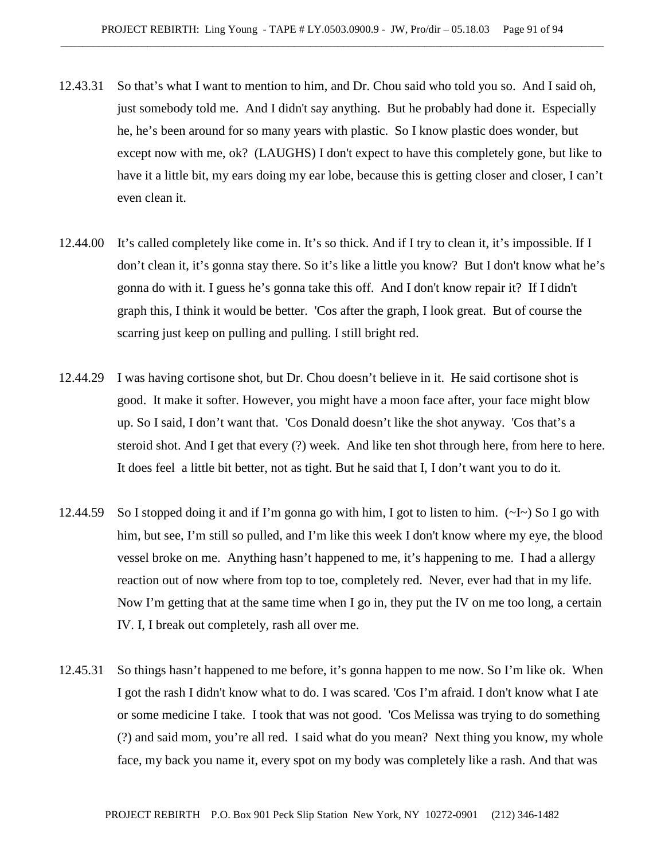- 12.43.31 So that's what I want to mention to him, and Dr. Chou said who told you so. And I said oh, just somebody told me. And I didn't say anything. But he probably had done it. Especially he, he's been around for so many years with plastic. So I know plastic does wonder, but except now with me, ok? (LAUGHS) I don't expect to have this completely gone, but like to have it a little bit, my ears doing my ear lobe, because this is getting closer and closer, I can't even clean it.
- 12.44.00 It's called completely like come in. It's so thick. And if I try to clean it, it's impossible. If I don't clean it, it's gonna stay there. So it's like a little you know? But I don't know what he's gonna do with it. I guess he's gonna take this off. And I don't know repair it? If I didn't graph this, I think it would be better. 'Cos after the graph, I look great. But of course the scarring just keep on pulling and pulling. I still bright red.
- 12.44.29 I was having cortisone shot, but Dr. Chou doesn't believe in it. He said cortisone shot is good. It make it softer. However, you might have a moon face after, your face might blow up. So I said, I don't want that. 'Cos Donald doesn't like the shot anyway. 'Cos that's a steroid shot. And I get that every (?) week. And like ten shot through here, from here to here. It does feel a little bit better, not as tight. But he said that I, I don't want you to do it.
- 12.44.59 So I stopped doing it and if I'm gonna go with him, I got to listen to him. (~I~) So I go with him, but see, I'm still so pulled, and I'm like this week I don't know where my eye, the blood vessel broke on me. Anything hasn't happened to me, it's happening to me. I had a allergy reaction out of now where from top to toe, completely red. Never, ever had that in my life. Now I'm getting that at the same time when I go in, they put the IV on me too long, a certain IV. I, I break out completely, rash all over me.
- 12.45.31 So things hasn't happened to me before, it's gonna happen to me now. So I'm like ok. When I got the rash I didn't know what to do. I was scared. 'Cos I'm afraid. I don't know what I ate or some medicine I take. I took that was not good. 'Cos Melissa was trying to do something (?) and said mom, you're all red. I said what do you mean? Next thing you know, my whole face, my back you name it, every spot on my body was completely like a rash. And that was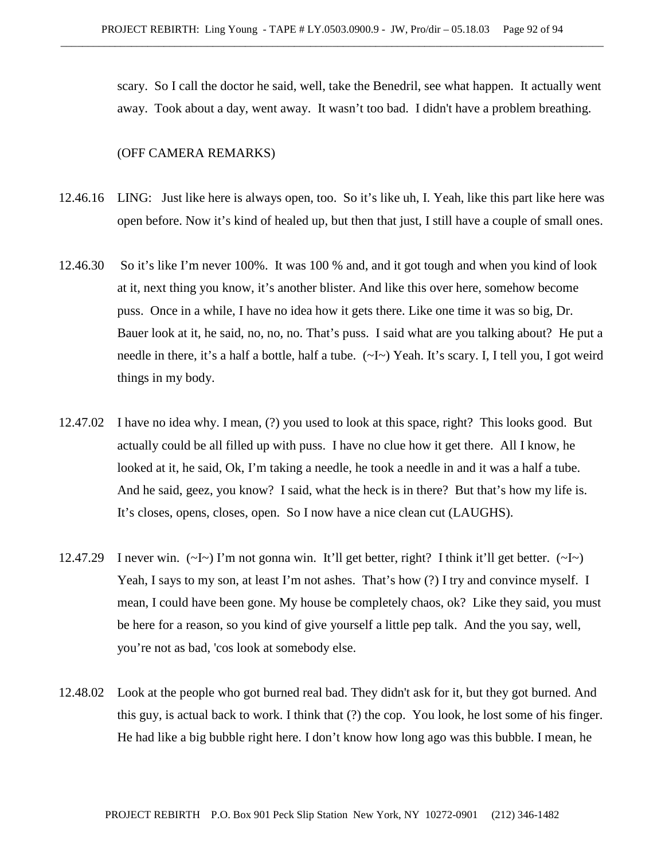scary. So I call the doctor he said, well, take the Benedril, see what happen. It actually went away. Took about a day, went away. It wasn't too bad. I didn't have a problem breathing.

## (OFF CAMERA REMARKS)

- 12.46.16 LING: Just like here is always open, too. So it's like uh, I. Yeah, like this part like here was open before. Now it's kind of healed up, but then that just, I still have a couple of small ones.
- 12.46.30 So it's like I'm never 100%. It was 100 % and, and it got tough and when you kind of look at it, next thing you know, it's another blister. And like this over here, somehow become puss. Once in a while, I have no idea how it gets there. Like one time it was so big, Dr. Bauer look at it, he said, no, no, no. That's puss. I said what are you talking about? He put a needle in there, it's a half a bottle, half a tube. (~I~) Yeah. It's scary. I, I tell you, I got weird things in my body.
- 12.47.02 I have no idea why. I mean, (?) you used to look at this space, right? This looks good. But actually could be all filled up with puss. I have no clue how it get there. All I know, he looked at it, he said, Ok, I'm taking a needle, he took a needle in and it was a half a tube. And he said, geez, you know? I said, what the heck is in there? But that's how my life is. It's closes, opens, closes, open. So I now have a nice clean cut (LAUGHS).
- 12.47.29 I never win. (~I~) I'm not gonna win. It'll get better, right? I think it'll get better. (~I~) Yeah, I says to my son, at least I'm not ashes. That's how (?) I try and convince myself. I mean, I could have been gone. My house be completely chaos, ok? Like they said, you must be here for a reason, so you kind of give yourself a little pep talk. And the you say, well, you're not as bad, 'cos look at somebody else.
- 12.48.02 Look at the people who got burned real bad. They didn't ask for it, but they got burned. And this guy, is actual back to work. I think that (?) the cop. You look, he lost some of his finger. He had like a big bubble right here. I don't know how long ago was this bubble. I mean, he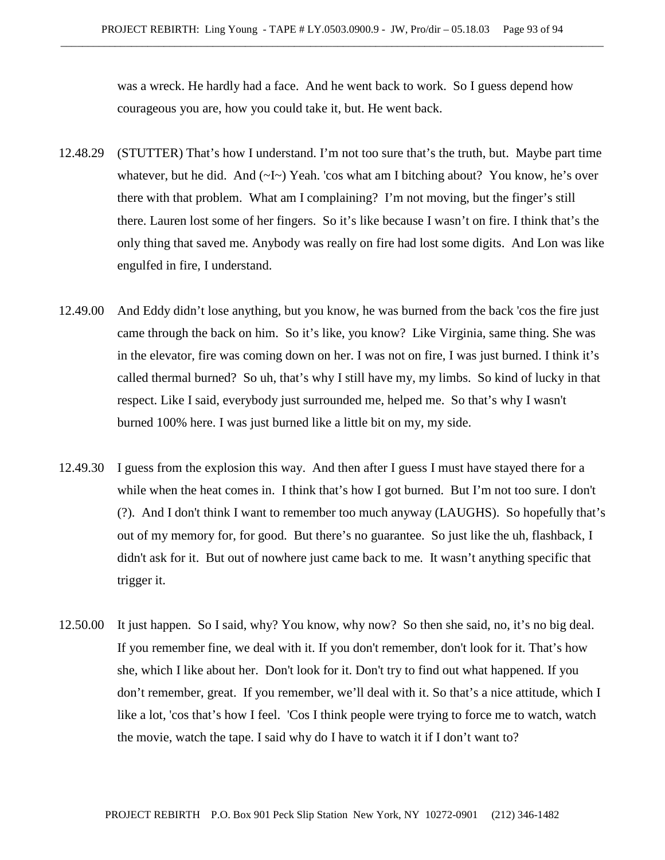was a wreck. He hardly had a face. And he went back to work. So I guess depend how courageous you are, how you could take it, but. He went back.

- 12.48.29 (STUTTER) That's how I understand. I'm not too sure that's the truth, but. Maybe part time whatever, but he did. And  $(\sim I \sim)$  Yeah. 'cos what am I bitching about? You know, he's over there with that problem. What am I complaining? I'm not moving, but the finger's still there. Lauren lost some of her fingers. So it's like because I wasn't on fire. I think that's the only thing that saved me. Anybody was really on fire had lost some digits. And Lon was like engulfed in fire, I understand.
- 12.49.00 And Eddy didn't lose anything, but you know, he was burned from the back 'cos the fire just came through the back on him. So it's like, you know? Like Virginia, same thing. She was in the elevator, fire was coming down on her. I was not on fire, I was just burned. I think it's called thermal burned? So uh, that's why I still have my, my limbs. So kind of lucky in that respect. Like I said, everybody just surrounded me, helped me. So that's why I wasn't burned 100% here. I was just burned like a little bit on my, my side.
- 12.49.30 I guess from the explosion this way. And then after I guess I must have stayed there for a while when the heat comes in. I think that's how I got burned. But I'm not too sure. I don't (?). And I don't think I want to remember too much anyway (LAUGHS). So hopefully that's out of my memory for, for good. But there's no guarantee. So just like the uh, flashback, I didn't ask for it. But out of nowhere just came back to me. It wasn't anything specific that trigger it.
- 12.50.00 It just happen. So I said, why? You know, why now? So then she said, no, it's no big deal. If you remember fine, we deal with it. If you don't remember, don't look for it. That's how she, which I like about her. Don't look for it. Don't try to find out what happened. If you don't remember, great. If you remember, we'll deal with it. So that's a nice attitude, which I like a lot, 'cos that's how I feel. 'Cos I think people were trying to force me to watch, watch the movie, watch the tape. I said why do I have to watch it if I don't want to?